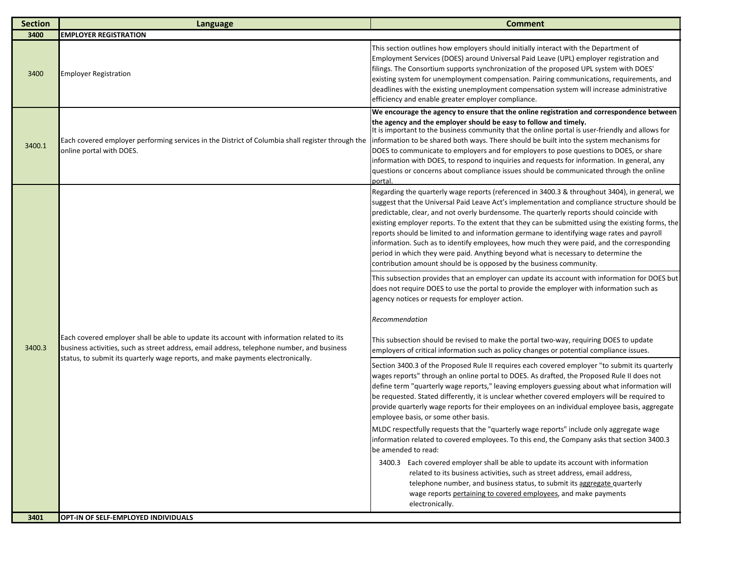| <b>Section</b> | Language                                                                                                                                                                                                                                                                   | <b>Comment</b>                                                                                                                                                                                                                                                                                                                                                                                                                                                                                                                                                                                                                                                                                                                                            |
|----------------|----------------------------------------------------------------------------------------------------------------------------------------------------------------------------------------------------------------------------------------------------------------------------|-----------------------------------------------------------------------------------------------------------------------------------------------------------------------------------------------------------------------------------------------------------------------------------------------------------------------------------------------------------------------------------------------------------------------------------------------------------------------------------------------------------------------------------------------------------------------------------------------------------------------------------------------------------------------------------------------------------------------------------------------------------|
| 3400           | <b>EMPLOYER REGISTRATION</b>                                                                                                                                                                                                                                               |                                                                                                                                                                                                                                                                                                                                                                                                                                                                                                                                                                                                                                                                                                                                                           |
| 3400           | <b>Employer Registration</b>                                                                                                                                                                                                                                               | This section outlines how employers should initially interact with the Department of<br>Employment Services (DOES) around Universal Paid Leave (UPL) employer registration and<br>filings. The Consortium supports synchronization of the proposed UPL system with DOES'<br>existing system for unemployment compensation. Pairing communications, requirements, and<br>deadlines with the existing unemployment compensation system will increase administrative<br>efficiency and enable greater employer compliance.                                                                                                                                                                                                                                   |
| 3400.1         | Each covered employer performing services in the District of Columbia shall register through the<br>online portal with DOES.                                                                                                                                               | We encourage the agency to ensure that the online registration and correspondence between<br>the agency and the employer should be easy to follow and timely.<br>It is important to the business community that the online portal is user-friendly and allows for<br>information to be shared both ways. There should be built into the system mechanisms for<br>DOES to communicate to employers and for employers to pose questions to DOES, or share<br>information with DOES, to respond to inquiries and requests for information. In general, any<br>questions or concerns about compliance issues should be communicated through the online<br>portal                                                                                              |
| 3400.3         | Each covered employer shall be able to update its account with information related to its<br>business activities, such as street address, email address, telephone number, and business<br>status, to submit its quarterly wage reports, and make payments electronically. | Regarding the quarterly wage reports (referenced in 3400.3 & throughout 3404), in general, we<br>suggest that the Universal Paid Leave Act's implementation and compliance structure should be<br>predictable, clear, and not overly burdensome. The quarterly reports should coincide with<br>existing employer reports. To the extent that they can be submitted using the existing forms, the<br>reports should be limited to and information germane to identifying wage rates and payroll<br>information. Such as to identify employees, how much they were paid, and the corresponding<br>period in which they were paid. Anything beyond what is necessary to determine the<br>contribution amount should be is opposed by the business community. |
|                |                                                                                                                                                                                                                                                                            | This subsection provides that an employer can update its account with information for DOES but<br>does not require DOES to use the portal to provide the employer with information such as<br>agency notices or requests for employer action.<br>Recommendation                                                                                                                                                                                                                                                                                                                                                                                                                                                                                           |
|                |                                                                                                                                                                                                                                                                            | This subsection should be revised to make the portal two-way, requiring DOES to update<br>employers of critical information such as policy changes or potential compliance issues.                                                                                                                                                                                                                                                                                                                                                                                                                                                                                                                                                                        |
|                |                                                                                                                                                                                                                                                                            | Section 3400.3 of the Proposed Rule II requires each covered employer "to submit its quarterly<br>wages reports" through an online portal to DOES. As drafted, the Proposed Rule II does not<br>define term "quarterly wage reports," leaving employers guessing about what information will<br>be requested. Stated differently, it is unclear whether covered employers will be required to<br>provide quarterly wage reports for their employees on an individual employee basis, aggregate<br>employee basis, or some other basis.                                                                                                                                                                                                                    |
|                |                                                                                                                                                                                                                                                                            | MLDC respectfully requests that the "quarterly wage reports" include only aggregate wage<br>information related to covered employees. To this end, the Company asks that section 3400.3<br>be amended to read:                                                                                                                                                                                                                                                                                                                                                                                                                                                                                                                                            |
|                |                                                                                                                                                                                                                                                                            | 3400.3 Each covered employer shall be able to update its account with information<br>related to its business activities, such as street address, email address,<br>telephone number, and business status, to submit its aggregate quarterly<br>wage reports pertaining to covered employees, and make payments<br>electronically.                                                                                                                                                                                                                                                                                                                                                                                                                         |
| 3401           | OPT-IN OF SELF-EMPLOYED INDIVIDUALS                                                                                                                                                                                                                                        |                                                                                                                                                                                                                                                                                                                                                                                                                                                                                                                                                                                                                                                                                                                                                           |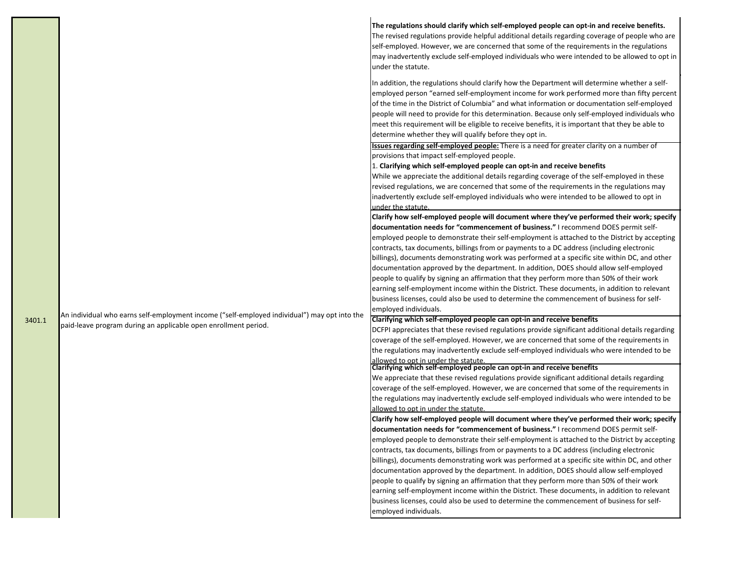|  | The regulations should clarify which self-employed people can opt-in and receive benefits.<br>The revised regulations provide helpful additional details regarding coverage of people who are<br>self-employed. However, we are concerned that some of the requirements in the regulations<br>may inadvertently exclude self-employed individuals who were intended to be allowed to opt in<br>under the statute.                                                                                                                                           |
|--|-------------------------------------------------------------------------------------------------------------------------------------------------------------------------------------------------------------------------------------------------------------------------------------------------------------------------------------------------------------------------------------------------------------------------------------------------------------------------------------------------------------------------------------------------------------|
|  | In addition, the regulations should clarify how the Department will determine whether a self-<br>employed person "earned self-employment income for work performed more than fifty percent<br>of the time in the District of Columbia" and what information or documentation self-employed<br>people will need to provide for this determination. Because only self-employed individuals who<br>meet this requirement will be eligible to receive benefits, it is important that they be able to<br>determine whether they will qualify before they opt in. |
|  | <b>Issues regarding self-employed people:</b> There is a need for greater clarity on a number of                                                                                                                                                                                                                                                                                                                                                                                                                                                            |
|  | provisions that impact self-employed people.                                                                                                                                                                                                                                                                                                                                                                                                                                                                                                                |
|  | 1. Clarifying which self-employed people can opt-in and receive benefits                                                                                                                                                                                                                                                                                                                                                                                                                                                                                    |
|  | While we appreciate the additional details regarding coverage of the self-employed in these                                                                                                                                                                                                                                                                                                                                                                                                                                                                 |
|  | revised regulations, we are concerned that some of the requirements in the regulations may                                                                                                                                                                                                                                                                                                                                                                                                                                                                  |
|  | inadvertently exclude self-employed individuals who were intended to be allowed to opt in                                                                                                                                                                                                                                                                                                                                                                                                                                                                   |
|  | under the statute.<br>Clarify how self-employed people will document where they've performed their work; specify                                                                                                                                                                                                                                                                                                                                                                                                                                            |
|  | documentation needs for "commencement of business." I recommend DOES permit self-                                                                                                                                                                                                                                                                                                                                                                                                                                                                           |
|  | employed people to demonstrate their self-employment is attached to the District by accepting                                                                                                                                                                                                                                                                                                                                                                                                                                                               |
|  | contracts, tax documents, billings from or payments to a DC address (including electronic                                                                                                                                                                                                                                                                                                                                                                                                                                                                   |
|  | billings), documents demonstrating work was performed at a specific site within DC, and other                                                                                                                                                                                                                                                                                                                                                                                                                                                               |
|  | documentation approved by the department. In addition, DOES should allow self-employed                                                                                                                                                                                                                                                                                                                                                                                                                                                                      |
|  | people to qualify by signing an affirmation that they perform more than 50% of their work                                                                                                                                                                                                                                                                                                                                                                                                                                                                   |
|  | earning self-employment income within the District. These documents, in addition to relevant                                                                                                                                                                                                                                                                                                                                                                                                                                                                |
|  | business licenses, could also be used to determine the commencement of business for self-                                                                                                                                                                                                                                                                                                                                                                                                                                                                   |
|  | employed individuals.                                                                                                                                                                                                                                                                                                                                                                                                                                                                                                                                       |
|  | Clarifying which self-employed people can opt-in and receive benefits                                                                                                                                                                                                                                                                                                                                                                                                                                                                                       |
|  | DCFPI appreciates that these revised regulations provide significant additional details regarding<br>coverage of the self-employed. However, we are concerned that some of the requirements in                                                                                                                                                                                                                                                                                                                                                              |
|  | the regulations may inadvertently exclude self-employed individuals who were intended to be                                                                                                                                                                                                                                                                                                                                                                                                                                                                 |
|  |                                                                                                                                                                                                                                                                                                                                                                                                                                                                                                                                                             |
|  | allowed to opt in under the statute.<br>Clarifying which self-employed people can opt-in and receive benefits                                                                                                                                                                                                                                                                                                                                                                                                                                               |
|  | We appreciate that these revised regulations provide significant additional details regarding                                                                                                                                                                                                                                                                                                                                                                                                                                                               |
|  | coverage of the self-employed. However, we are concerned that some of the requirements in                                                                                                                                                                                                                                                                                                                                                                                                                                                                   |
|  | the regulations may inadvertently exclude self-employed individuals who were intended to be                                                                                                                                                                                                                                                                                                                                                                                                                                                                 |
|  | allowed to opt in under the statute.<br>Clarify how self-employed people will document where they've performed their work; specify                                                                                                                                                                                                                                                                                                                                                                                                                          |
|  | documentation needs for "commencement of business." I recommend DOES permit self-                                                                                                                                                                                                                                                                                                                                                                                                                                                                           |
|  | employed people to demonstrate their self-employment is attached to the District by accepting                                                                                                                                                                                                                                                                                                                                                                                                                                                               |
|  | contracts, tax documents, billings from or payments to a DC address (including electronic                                                                                                                                                                                                                                                                                                                                                                                                                                                                   |
|  | billings), documents demonstrating work was performed at a specific site within DC, and other                                                                                                                                                                                                                                                                                                                                                                                                                                                               |
|  | documentation approved by the department. In addition, DOES should allow self-employed                                                                                                                                                                                                                                                                                                                                                                                                                                                                      |
|  | people to qualify by signing an affirmation that they perform more than 50% of their work                                                                                                                                                                                                                                                                                                                                                                                                                                                                   |
|  | earning self-employment income within the District. These documents, in addition to relevant                                                                                                                                                                                                                                                                                                                                                                                                                                                                |
|  | business licenses, could also be used to determine the commencement of business for self-<br>employed individuals.                                                                                                                                                                                                                                                                                                                                                                                                                                          |
|  | An individual who earns self-employment income ("self-employed individual") may opt into the<br>paid-leave program during an applicable open enrollment period.                                                                                                                                                                                                                                                                                                                                                                                             |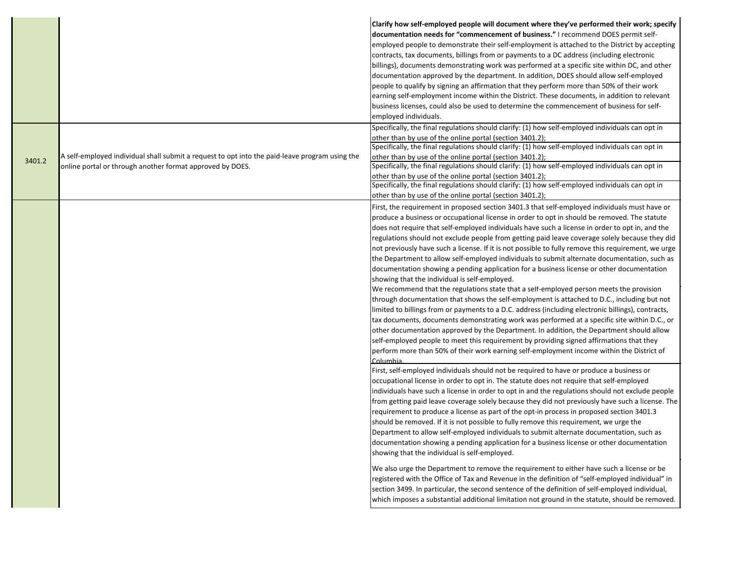|        |                                                                                                | Clarify how self-employed people will document where they've performed their work; specify<br>documentation needs for "commencement of business." I recommend DOES permit self-<br>employed people to demonstrate their self-employment is attached to the District by accepting<br>contracts, tax documents, billings from or payments to a DC address (including electronic<br>billings), documents demonstrating work was performed at a specific site within DC, and other<br>documentation approved by the department. In addition, DOES should allow self-employed<br>people to qualify by signing an affirmation that they perform more than 50% of their work<br>earning self-employment income within the District. These documents, in addition to relevant<br>business licenses, could also be used to determine the commencement of business for self-<br>employed individuals. |
|--------|------------------------------------------------------------------------------------------------|---------------------------------------------------------------------------------------------------------------------------------------------------------------------------------------------------------------------------------------------------------------------------------------------------------------------------------------------------------------------------------------------------------------------------------------------------------------------------------------------------------------------------------------------------------------------------------------------------------------------------------------------------------------------------------------------------------------------------------------------------------------------------------------------------------------------------------------------------------------------------------------------|
|        |                                                                                                | Specifically, the final regulations should clarify: (1) how self-employed individuals can opt in<br>other than by use of the online portal (section 3401.2);                                                                                                                                                                                                                                                                                                                                                                                                                                                                                                                                                                                                                                                                                                                                |
|        |                                                                                                | Specifically, the final regulations should clarify: (1) how self-employed individuals can opt in                                                                                                                                                                                                                                                                                                                                                                                                                                                                                                                                                                                                                                                                                                                                                                                            |
| 3401.2 | A self-employed individual shall submit a request to opt into the paid-leave program using the | other than by use of the online portal (section 3401.2);<br>Specifically, the final regulations should clarify: (1) how self-employed individuals can opt in                                                                                                                                                                                                                                                                                                                                                                                                                                                                                                                                                                                                                                                                                                                                |
|        | online portal or through another format approved by DOES.                                      | other than by use of the online portal (section 3401.2);                                                                                                                                                                                                                                                                                                                                                                                                                                                                                                                                                                                                                                                                                                                                                                                                                                    |
|        |                                                                                                | Specifically, the final regulations should clarify: (1) how self-employed individuals can opt in                                                                                                                                                                                                                                                                                                                                                                                                                                                                                                                                                                                                                                                                                                                                                                                            |
|        |                                                                                                | other than by use of the online portal (section 3401.2);                                                                                                                                                                                                                                                                                                                                                                                                                                                                                                                                                                                                                                                                                                                                                                                                                                    |
|        |                                                                                                | First, the requirement in proposed section 3401.3 that self-employed individuals must have or                                                                                                                                                                                                                                                                                                                                                                                                                                                                                                                                                                                                                                                                                                                                                                                               |
|        |                                                                                                | produce a business or occupational license in order to opt in should be removed. The statute                                                                                                                                                                                                                                                                                                                                                                                                                                                                                                                                                                                                                                                                                                                                                                                                |
|        |                                                                                                | does not require that self-employed individuals have such a license in order to opt in, and the                                                                                                                                                                                                                                                                                                                                                                                                                                                                                                                                                                                                                                                                                                                                                                                             |
|        |                                                                                                | regulations should not exclude people from getting paid leave coverage solely because they did                                                                                                                                                                                                                                                                                                                                                                                                                                                                                                                                                                                                                                                                                                                                                                                              |
|        |                                                                                                | not previously have such a license. If it is not possible to fully remove this requirement, we urge                                                                                                                                                                                                                                                                                                                                                                                                                                                                                                                                                                                                                                                                                                                                                                                         |
|        |                                                                                                | the Department to allow self-employed individuals to submit alternate documentation, such as                                                                                                                                                                                                                                                                                                                                                                                                                                                                                                                                                                                                                                                                                                                                                                                                |
|        |                                                                                                | documentation showing a pending application for a business license or other documentation                                                                                                                                                                                                                                                                                                                                                                                                                                                                                                                                                                                                                                                                                                                                                                                                   |
|        |                                                                                                | showing that the individual is self-employed.<br>We recommend that the regulations state that a self-employed person meets the provision                                                                                                                                                                                                                                                                                                                                                                                                                                                                                                                                                                                                                                                                                                                                                    |
|        |                                                                                                | through documentation that shows the self-employment is attached to D.C., including but not                                                                                                                                                                                                                                                                                                                                                                                                                                                                                                                                                                                                                                                                                                                                                                                                 |
|        |                                                                                                | limited to billings from or payments to a D.C. address (including electronic billings), contracts,                                                                                                                                                                                                                                                                                                                                                                                                                                                                                                                                                                                                                                                                                                                                                                                          |
|        |                                                                                                | tax documents, documents demonstrating work was performed at a specific site within D.C., or                                                                                                                                                                                                                                                                                                                                                                                                                                                                                                                                                                                                                                                                                                                                                                                                |
|        |                                                                                                | other documentation approved by the Department. In addition, the Department should allow                                                                                                                                                                                                                                                                                                                                                                                                                                                                                                                                                                                                                                                                                                                                                                                                    |
|        |                                                                                                | self-employed people to meet this requirement by providing signed affirmations that they                                                                                                                                                                                                                                                                                                                                                                                                                                                                                                                                                                                                                                                                                                                                                                                                    |
|        |                                                                                                | perform more than 50% of their work earning self-employment income within the District of                                                                                                                                                                                                                                                                                                                                                                                                                                                                                                                                                                                                                                                                                                                                                                                                   |
|        |                                                                                                | Columbia.                                                                                                                                                                                                                                                                                                                                                                                                                                                                                                                                                                                                                                                                                                                                                                                                                                                                                   |
|        |                                                                                                | First, self-employed individuals should not be required to have or produce a business or                                                                                                                                                                                                                                                                                                                                                                                                                                                                                                                                                                                                                                                                                                                                                                                                    |
|        |                                                                                                | occupational license in order to opt in. The statute does not require that self-employed                                                                                                                                                                                                                                                                                                                                                                                                                                                                                                                                                                                                                                                                                                                                                                                                    |
|        |                                                                                                | individuals have such a license in order to opt in and the regulations should not exclude people                                                                                                                                                                                                                                                                                                                                                                                                                                                                                                                                                                                                                                                                                                                                                                                            |
|        |                                                                                                | from getting paid leave coverage solely because they did not previously have such a license. The                                                                                                                                                                                                                                                                                                                                                                                                                                                                                                                                                                                                                                                                                                                                                                                            |
|        |                                                                                                | requirement to produce a license as part of the opt-in process in proposed section 3401.3                                                                                                                                                                                                                                                                                                                                                                                                                                                                                                                                                                                                                                                                                                                                                                                                   |
|        |                                                                                                | should be removed. If it is not possible to fully remove this requirement, we urge the                                                                                                                                                                                                                                                                                                                                                                                                                                                                                                                                                                                                                                                                                                                                                                                                      |
|        |                                                                                                | Department to allow self-employed individuals to submit alternate documentation, such as                                                                                                                                                                                                                                                                                                                                                                                                                                                                                                                                                                                                                                                                                                                                                                                                    |
|        |                                                                                                | documentation showing a pending application for a business license or other documentation<br>showing that the individual is self-employed.                                                                                                                                                                                                                                                                                                                                                                                                                                                                                                                                                                                                                                                                                                                                                  |
|        |                                                                                                |                                                                                                                                                                                                                                                                                                                                                                                                                                                                                                                                                                                                                                                                                                                                                                                                                                                                                             |
|        |                                                                                                | We also urge the Department to remove the requirement to either have such a license or be                                                                                                                                                                                                                                                                                                                                                                                                                                                                                                                                                                                                                                                                                                                                                                                                   |
|        |                                                                                                | registered with the Office of Tax and Revenue in the definition of "self-employed individual" in                                                                                                                                                                                                                                                                                                                                                                                                                                                                                                                                                                                                                                                                                                                                                                                            |
|        |                                                                                                | section 3499. In particular, the second sentence of the definition of self-employed individual,<br>which imposes a substantial additional limitation not ground in the statute, should be removed.                                                                                                                                                                                                                                                                                                                                                                                                                                                                                                                                                                                                                                                                                          |
|        |                                                                                                |                                                                                                                                                                                                                                                                                                                                                                                                                                                                                                                                                                                                                                                                                                                                                                                                                                                                                             |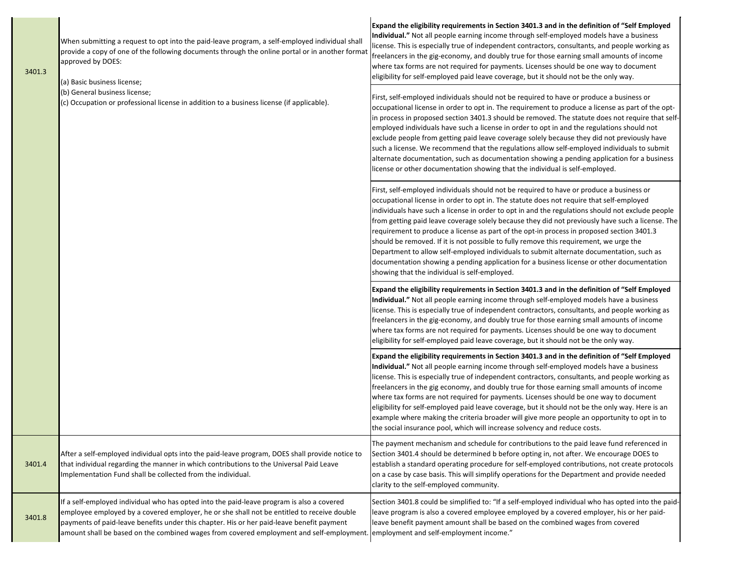| 3401.3 | When submitting a request to opt into the paid-leave program, a self-employed individual shall<br>provide a copy of one of the following documents through the online portal or in another format<br>approved by DOES:<br>(a) Basic business license;<br>(b) General business license;<br>(c) Occupation or professional license in addition to a business license (if applicable).                                      | <b>Individual.</b> " Not all people earning income through self-employed models have a business<br>license. This is especially true of independent contractors, consultants, and people working as<br>freelancers in the gig-economy, and doubly true for those earning small amounts of income<br>where tax forms are not required for payments. Licenses should be one way to document<br>eligibility for self-employed paid leave coverage, but it should not be the only way.                                                                                                                                                                                                                                                                                                                                             |
|--------|--------------------------------------------------------------------------------------------------------------------------------------------------------------------------------------------------------------------------------------------------------------------------------------------------------------------------------------------------------------------------------------------------------------------------|-------------------------------------------------------------------------------------------------------------------------------------------------------------------------------------------------------------------------------------------------------------------------------------------------------------------------------------------------------------------------------------------------------------------------------------------------------------------------------------------------------------------------------------------------------------------------------------------------------------------------------------------------------------------------------------------------------------------------------------------------------------------------------------------------------------------------------|
|        |                                                                                                                                                                                                                                                                                                                                                                                                                          | First, self-employed individuals should not be required to have or produce a business or<br>occupational license in order to opt in. The requirement to produce a license as part of the opt-<br>in process in proposed section 3401.3 should be removed. The statute does not require that self-<br>employed individuals have such a license in order to opt in and the regulations should not<br>exclude people from getting paid leave coverage solely because they did not previously have<br>such a license. We recommend that the regulations allow self-employed individuals to submit<br>alternate documentation, such as documentation showing a pending application for a business<br>license or other documentation showing that the individual is self-employed.                                                  |
|        |                                                                                                                                                                                                                                                                                                                                                                                                                          | First, self-employed individuals should not be required to have or produce a business or<br>occupational license in order to opt in. The statute does not require that self-employed<br>individuals have such a license in order to opt in and the regulations should not exclude people<br>from getting paid leave coverage solely because they did not previously have such a license. The<br>requirement to produce a license as part of the opt-in process in proposed section 3401.3<br>should be removed. If it is not possible to fully remove this requirement, we urge the<br>Department to allow self-employed individuals to submit alternate documentation, such as<br>documentation showing a pending application for a business license or other documentation<br>showing that the individual is self-employed. |
|        |                                                                                                                                                                                                                                                                                                                                                                                                                          | Expand the eligibility requirements in Section 3401.3 and in the definition of "Self Employed<br>Individual." Not all people earning income through self-employed models have a business<br>license. This is especially true of independent contractors, consultants, and people working as<br>freelancers in the gig-economy, and doubly true for those earning small amounts of income<br>where tax forms are not required for payments. Licenses should be one way to document<br>eligibility for self-employed paid leave coverage, but it should not be the only way.                                                                                                                                                                                                                                                    |
|        |                                                                                                                                                                                                                                                                                                                                                                                                                          | Expand the eligibility requirements in Section 3401.3 and in the definition of "Self Employed<br>Individual." Not all people earning income through self-employed models have a business<br>license. This is especially true of independent contractors, consultants, and people working as<br>freelancers in the gig economy, and doubly true for those earning small amounts of income<br>where tax forms are not required for payments. Licenses should be one way to document<br>eligibility for self-employed paid leave coverage, but it should not be the only way. Here is an<br>example where making the criteria broader will give more people an opportunity to opt in to<br>the social insurance pool, which will increase solvency and reduce costs.                                                             |
| 3401.4 | After a self-employed individual opts into the paid-leave program, DOES shall provide notice to<br>that individual regarding the manner in which contributions to the Universal Paid Leave<br>Implementation Fund shall be collected from the individual.                                                                                                                                                                | The payment mechanism and schedule for contributions to the paid leave fund referenced in<br>Section 3401.4 should be determined b before opting in, not after. We encourage DOES to<br>establish a standard operating procedure for self-employed contributions, not create protocols<br>on a case by case basis. This will simplify operations for the Department and provide needed<br>clarity to the self-employed community.                                                                                                                                                                                                                                                                                                                                                                                             |
| 3401.8 | If a self-employed individual who has opted into the paid-leave program is also a covered<br>employee employed by a covered employer, he or she shall not be entitled to receive double<br>payments of paid-leave benefits under this chapter. His or her paid-leave benefit payment<br>amount shall be based on the combined wages from covered employment and self-employment. employment and self-employment income." | Section 3401.8 could be simplified to: "If a self-employed individual who has opted into the paid-<br>leave program is also a covered employee employed by a covered employer, his or her paid-<br>leave benefit payment amount shall be based on the combined wages from covered                                                                                                                                                                                                                                                                                                                                                                                                                                                                                                                                             |

**Expand the eligibility requirements in Section 3401.3 and in the definition of "Self Employed**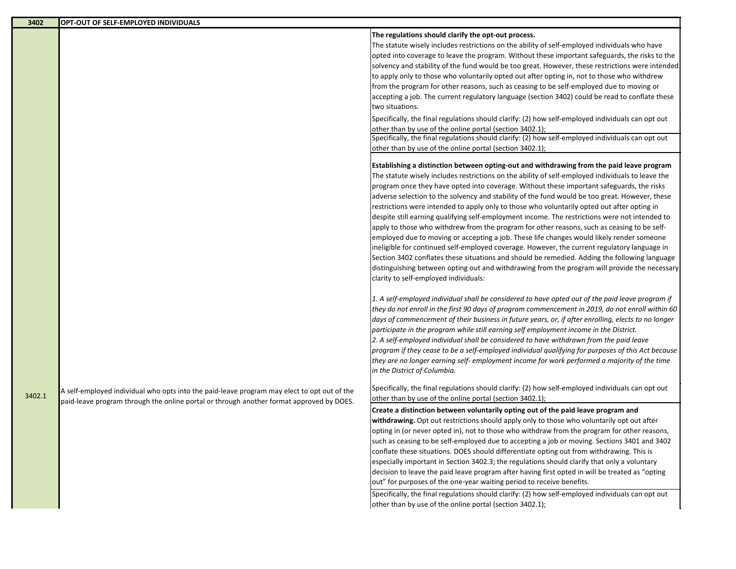| 3402   | OPT-OUT OF SELF-EMPLOYED INDIVIDUALS                                                                                                                                                    |                                                                                                                                                                                                                                                                                                                                                                                                                                                                                                                                                                                                                                                                                                                                                                                                                                                                                                                                                                                                                                                                                                                                       |
|--------|-----------------------------------------------------------------------------------------------------------------------------------------------------------------------------------------|---------------------------------------------------------------------------------------------------------------------------------------------------------------------------------------------------------------------------------------------------------------------------------------------------------------------------------------------------------------------------------------------------------------------------------------------------------------------------------------------------------------------------------------------------------------------------------------------------------------------------------------------------------------------------------------------------------------------------------------------------------------------------------------------------------------------------------------------------------------------------------------------------------------------------------------------------------------------------------------------------------------------------------------------------------------------------------------------------------------------------------------|
|        |                                                                                                                                                                                         | The regulations should clarify the opt-out process.<br>The statute wisely includes restrictions on the ability of self-employed individuals who have<br>opted into coverage to leave the program. Without these important safeguards, the risks to the<br>solvency and stability of the fund would be too great. However, these restrictions were intended<br>to apply only to those who voluntarily opted out after opting in, not to those who withdrew<br>from the program for other reasons, such as ceasing to be self-employed due to moving or<br>accepting a job. The current regulatory language (section 3402) could be read to conflate these<br>two situations.<br>Specifically, the final regulations should clarify: (2) how self-employed individuals can opt out<br>other than by use of the online portal (section 3402.1);<br>Specifically, the final regulations should clarify: (2) how self-employed individuals can opt out<br>other than by use of the online portal (section 3402.1);                                                                                                                         |
|        |                                                                                                                                                                                         | Establishing a distinction between opting-out and withdrawing from the paid leave program<br>The statute wisely includes restrictions on the ability of self-employed individuals to leave the<br>program once they have opted into coverage. Without these important safeguards, the risks<br>adverse selection to the solvency and stability of the fund would be too great. However, these<br>restrictions were intended to apply only to those who voluntarily opted out after opting in<br>despite still earning qualifying self-employment income. The restrictions were not intended to<br>apply to those who withdrew from the program for other reasons, such as ceasing to be self-<br>employed due to moving or accepting a job. These life changes would likely render someone<br>ineligible for continued self-employed coverage. However, the current regulatory language in<br>Section 3402 conflates these situations and should be remedied. Adding the following language<br>distinguishing between opting out and withdrawing from the program will provide the necessary<br>clarity to self-employed individuals: |
|        |                                                                                                                                                                                         | 1. A self-employed individual shall be considered to have opted out of the paid leave program if<br>they do not enroll in the first 90 days of program commencement in 2019, do not enroll within 60<br>days of commencement of their business in future years, or, if after enrolling, elects to no longer<br>participate in the program while still earning self employment income in the District.<br>2. A self-employed individual shall be considered to have withdrawn from the paid leave<br>program if they cease to be a self-employed individual qualifying for purposes of this Act because<br>they are no longer earning self- employment income for work performed a majority of the time<br>in the District of Columbia.                                                                                                                                                                                                                                                                                                                                                                                                |
| 3402.1 | A self-employed individual who opts into the paid-leave program may elect to opt out of the<br>paid-leave program through the online portal or through another format approved by DOES. | Specifically, the final regulations should clarify: (2) how self-employed individuals can opt out<br>other than by use of the online portal (section 3402.1);<br>Create a distinction between voluntarily opting out of the paid leave program and<br>withdrawing. Opt out restrictions should apply only to those who voluntarily opt out after<br>opting in (or never opted in), not to those who withdraw from the program for other reasons,<br>such as ceasing to be self-employed due to accepting a job or moving. Sections 3401 and 3402<br>conflate these situations. DOES should differentiate opting out from withdrawing. This is<br>especially important in Section 3402.3; the regulations should clarify that only a voluntary<br>decision to leave the paid leave program after having first opted in will be treated as "opting<br>out" for purposes of the one-year waiting period to receive benefits.<br>Specifically, the final regulations should clarify: (2) how self-employed individuals can opt out<br>other than by use of the online portal (section 3402.1);                                            |

L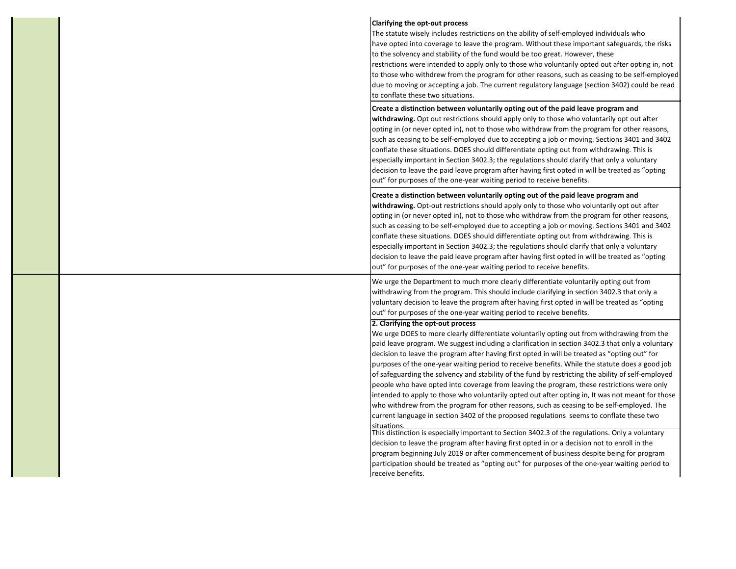| Clarifying the opt-out process<br>The statute wisely includes restrictions on the ability of self-employed individuals who<br>have opted into coverage to leave the program. Without these important safeguards, the risks<br>to the solvency and stability of the fund would be too great. However, these<br>restrictions were intended to apply only to those who voluntarily opted out after opting in, not<br>to those who withdrew from the program for other reasons, such as ceasing to be self-employed<br>due to moving or accepting a job. The current regulatory language (section 3402) could be read<br>to conflate these two situations.                                                                                                                                                                                                                                                                                                  |
|---------------------------------------------------------------------------------------------------------------------------------------------------------------------------------------------------------------------------------------------------------------------------------------------------------------------------------------------------------------------------------------------------------------------------------------------------------------------------------------------------------------------------------------------------------------------------------------------------------------------------------------------------------------------------------------------------------------------------------------------------------------------------------------------------------------------------------------------------------------------------------------------------------------------------------------------------------|
| Create a distinction between voluntarily opting out of the paid leave program and<br>withdrawing. Opt out restrictions should apply only to those who voluntarily opt out after<br>opting in (or never opted in), not to those who withdraw from the program for other reasons,<br>such as ceasing to be self-employed due to accepting a job or moving. Sections 3401 and 3402<br>conflate these situations. DOES should differentiate opting out from withdrawing. This is<br>especially important in Section 3402.3; the regulations should clarify that only a voluntary<br>decision to leave the paid leave program after having first opted in will be treated as "opting<br>out" for purposes of the one-year waiting period to receive benefits.                                                                                                                                                                                                |
| Create a distinction between voluntarily opting out of the paid leave program and<br>withdrawing. Opt-out restrictions should apply only to those who voluntarily opt out after<br>opting in (or never opted in), not to those who withdraw from the program for other reasons,<br>such as ceasing to be self-employed due to accepting a job or moving. Sections 3401 and 3402<br>conflate these situations. DOES should differentiate opting out from withdrawing. This is<br>especially important in Section 3402.3; the regulations should clarify that only a voluntary<br>decision to leave the paid leave program after having first opted in will be treated as "opting<br>out" for purposes of the one-year waiting period to receive benefits.                                                                                                                                                                                                |
| We urge the Department to much more clearly differentiate voluntarily opting out from<br>withdrawing from the program. This should include clarifying in section 3402.3 that only a<br>voluntary decision to leave the program after having first opted in will be treated as "opting<br>out" for purposes of the one-year waiting period to receive benefits.                                                                                                                                                                                                                                                                                                                                                                                                                                                                                                                                                                                          |
| 2. Clarifying the opt-out process<br>We urge DOES to more clearly differentiate voluntarily opting out from withdrawing from the<br>paid leave program. We suggest including a clarification in section 3402.3 that only a voluntary<br>decision to leave the program after having first opted in will be treated as "opting out" for<br>purposes of the one-year waiting period to receive benefits. While the statute does a good job<br>of safeguarding the solvency and stability of the fund by restricting the ability of self-employed<br>people who have opted into coverage from leaving the program, these restrictions were only<br>intended to apply to those who voluntarily opted out after opting in, It was not meant for those<br>who withdrew from the program for other reasons, such as ceasing to be self-employed. The<br>current language in section 3402 of the proposed regulations seems to conflate these two<br>situations. |
| This distinction is especially important to Section 3402.3 of the regulations. Only a voluntary<br>decision to leave the program after having first opted in or a decision not to enroll in the<br>program beginning July 2019 or after commencement of business despite being for program<br>participation should be treated as "opting out" for purposes of the one-year waiting period to<br>receive benefits.                                                                                                                                                                                                                                                                                                                                                                                                                                                                                                                                       |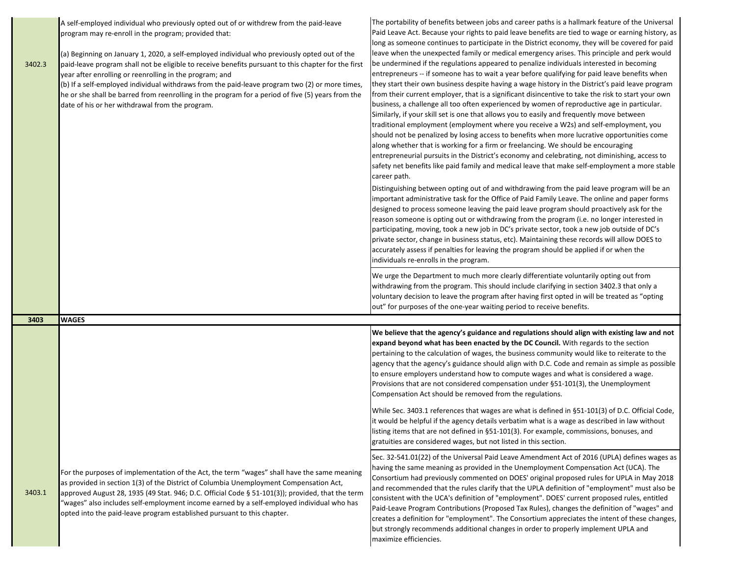| 3402.3 | A self-employed individual who previously opted out of or withdrew from the paid-leave<br>program may re-enroll in the program; provided that:<br>(a) Beginning on January 1, 2020, a self-employed individual who previously opted out of the<br>paid-leave program shall not be eligible to receive benefits pursuant to this chapter for the first<br>year after enrolling or reenrolling in the program; and<br>(b) If a self-employed individual withdraws from the paid-leave program two (2) or more times,<br>he or she shall be barred from reenrolling in the program for a period of five (5) years from the<br>date of his or her withdrawal from the program. | The portability of benefits between jobs and career paths is a hallmark feature of the Universal<br>Paid Leave Act. Because your rights to paid leave benefits are tied to wage or earning history, as<br>long as someone continues to participate in the District economy, they will be covered for paid<br>leave when the unexpected family or medical emergency arises. This principle and perk would<br>be undermined if the regulations appeared to penalize individuals interested in becoming<br>entrepreneurs -- if someone has to wait a year before qualifying for paid leave benefits when<br>they start their own business despite having a wage history in the District's paid leave program<br>from their current employer, that is a significant disincentive to take the risk to start your own<br>business, a challenge all too often experienced by women of reproductive age in particular.<br>Similarly, if your skill set is one that allows you to easily and frequently move between<br>traditional employment (employment where you receive a W2s) and self-employment, you<br>should not be penalized by losing access to benefits when more lucrative opportunities come<br>along whether that is working for a firm or freelancing. We should be encouraging<br>entrepreneurial pursuits in the District's economy and celebrating, not diminishing, access to<br>safety net benefits like paid family and medical leave that make self-employment a more stable<br>career path.<br>Distinguishing between opting out of and withdrawing from the paid leave program will be an<br>important administrative task for the Office of Paid Family Leave. The online and paper forms<br>designed to process someone leaving the paid leave program should proactively ask for the<br>reason someone is opting out or withdrawing from the program (i.e. no longer interested in<br>participating, moving, took a new job in DC's private sector, took a new job outside of DC's<br>private sector, change in business status, etc). Maintaining these records will allow DOES to<br>accurately assess if penalties for leaving the program should be applied if or when the<br>individuals re-enrolls in the program. |
|--------|----------------------------------------------------------------------------------------------------------------------------------------------------------------------------------------------------------------------------------------------------------------------------------------------------------------------------------------------------------------------------------------------------------------------------------------------------------------------------------------------------------------------------------------------------------------------------------------------------------------------------------------------------------------------------|----------------------------------------------------------------------------------------------------------------------------------------------------------------------------------------------------------------------------------------------------------------------------------------------------------------------------------------------------------------------------------------------------------------------------------------------------------------------------------------------------------------------------------------------------------------------------------------------------------------------------------------------------------------------------------------------------------------------------------------------------------------------------------------------------------------------------------------------------------------------------------------------------------------------------------------------------------------------------------------------------------------------------------------------------------------------------------------------------------------------------------------------------------------------------------------------------------------------------------------------------------------------------------------------------------------------------------------------------------------------------------------------------------------------------------------------------------------------------------------------------------------------------------------------------------------------------------------------------------------------------------------------------------------------------------------------------------------------------------------------------------------------------------------------------------------------------------------------------------------------------------------------------------------------------------------------------------------------------------------------------------------------------------------------------------------------------------------------------------------------------------------------------------------------------------------------------------------------------------------------|
|        |                                                                                                                                                                                                                                                                                                                                                                                                                                                                                                                                                                                                                                                                            | We urge the Department to much more clearly differentiate voluntarily opting out from<br>withdrawing from the program. This should include clarifying in section 3402.3 that only a<br>voluntary decision to leave the program after having first opted in will be treated as "opting<br>out" for purposes of the one-year waiting period to receive benefits.                                                                                                                                                                                                                                                                                                                                                                                                                                                                                                                                                                                                                                                                                                                                                                                                                                                                                                                                                                                                                                                                                                                                                                                                                                                                                                                                                                                                                                                                                                                                                                                                                                                                                                                                                                                                                                                                               |
| 3403   | <b>WAGES</b>                                                                                                                                                                                                                                                                                                                                                                                                                                                                                                                                                                                                                                                               |                                                                                                                                                                                                                                                                                                                                                                                                                                                                                                                                                                                                                                                                                                                                                                                                                                                                                                                                                                                                                                                                                                                                                                                                                                                                                                                                                                                                                                                                                                                                                                                                                                                                                                                                                                                                                                                                                                                                                                                                                                                                                                                                                                                                                                              |
|        |                                                                                                                                                                                                                                                                                                                                                                                                                                                                                                                                                                                                                                                                            | We believe that the agency's guidance and regulations should align with existing law and not<br>expand beyond what has been enacted by the DC Council. With regards to the section<br>pertaining to the calculation of wages, the business community would like to reiterate to the<br>agency that the agency's guidance should align with D.C. Code and remain as simple as possible<br>to ensure employers understand how to compute wages and what is considered a wage.<br>Provisions that are not considered compensation under §51-101(3), the Unemployment<br>Compensation Act should be removed from the regulations.                                                                                                                                                                                                                                                                                                                                                                                                                                                                                                                                                                                                                                                                                                                                                                                                                                                                                                                                                                                                                                                                                                                                                                                                                                                                                                                                                                                                                                                                                                                                                                                                                |
|        |                                                                                                                                                                                                                                                                                                                                                                                                                                                                                                                                                                                                                                                                            | While Sec. 3403.1 references that wages are what is defined in §51-101(3) of D.C. Official Code,<br>it would be helpful if the agency details verbatim what is a wage as described in law without<br>listing items that are not defined in §51-101(3). For example, commissions, bonuses, and<br>gratuities are considered wages, but not listed in this section.                                                                                                                                                                                                                                                                                                                                                                                                                                                                                                                                                                                                                                                                                                                                                                                                                                                                                                                                                                                                                                                                                                                                                                                                                                                                                                                                                                                                                                                                                                                                                                                                                                                                                                                                                                                                                                                                            |
| 3403.1 | For the purposes of implementation of the Act, the term "wages" shall have the same meaning<br>as provided in section 1(3) of the District of Columbia Unemployment Compensation Act,<br>approved August 28, 1935 (49 Stat. 946; D.C. Official Code § 51-101(3)); provided, that the term<br>'wages" also includes self-employment income earned by a self-employed individual who has<br>opted into the paid-leave program established pursuant to this chapter.                                                                                                                                                                                                          | Sec. 32-541.01(22) of the Universal Paid Leave Amendment Act of 2016 (UPLA) defines wages as<br>having the same meaning as provided in the Unemployment Compensation Act (UCA). The<br>Consortium had previously commented on DOES' original proposed rules for UPLA in May 2018<br>and recommended that the rules clarify that the UPLA definition of "employment" must also be<br>consistent with the UCA's definition of "employment". DOES' current proposed rules, entitled<br>Paid-Leave Program Contributions (Proposed Tax Rules), changes the definition of "wages" and<br>creates a definition for "employment". The Consortium appreciates the intent of these changes,<br>but strongly recommends additional changes in order to properly implement UPLA and<br>maximize efficiencies.                                                                                                                                                                                                                                                                                                                                                                                                                                                                                                                                                                                                                                                                                                                                                                                                                                                                                                                                                                                                                                                                                                                                                                                                                                                                                                                                                                                                                                           |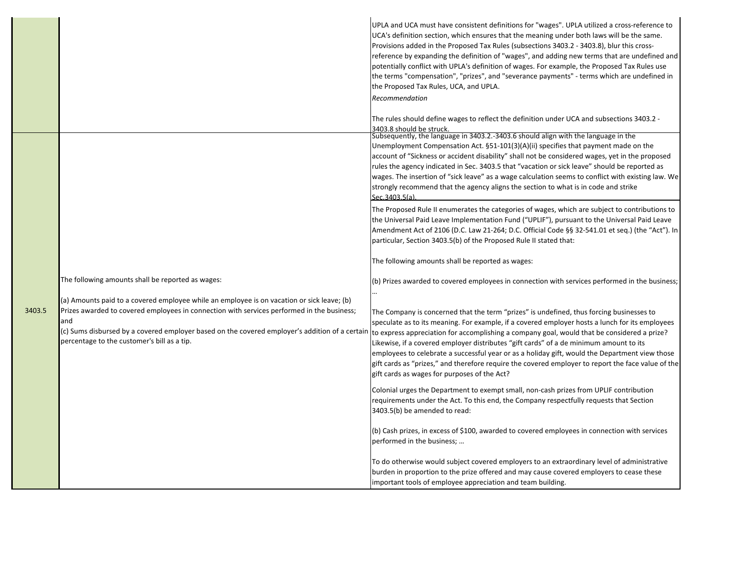|        |                                                                                                                                                                                                                                                                                                                                                                                                      | UPLA and UCA must have consistent definitions for "wages". UPLA utilized a cross-reference to<br>UCA's definition section, which ensures that the meaning under both laws will be the same.<br>Provisions added in the Proposed Tax Rules (subsections 3403.2 - 3403.8), blur this cross-<br>reference by expanding the definition of "wages", and adding new terms that are undefined and<br>potentially conflict with UPLA's definition of wages. For example, the Proposed Tax Rules use<br>the terms "compensation", "prizes", and "severance payments" - terms which are undefined in<br>the Proposed Tax Rules, UCA, and UPLA.<br>Recommendation                                                                                         |
|--------|------------------------------------------------------------------------------------------------------------------------------------------------------------------------------------------------------------------------------------------------------------------------------------------------------------------------------------------------------------------------------------------------------|------------------------------------------------------------------------------------------------------------------------------------------------------------------------------------------------------------------------------------------------------------------------------------------------------------------------------------------------------------------------------------------------------------------------------------------------------------------------------------------------------------------------------------------------------------------------------------------------------------------------------------------------------------------------------------------------------------------------------------------------|
|        |                                                                                                                                                                                                                                                                                                                                                                                                      | The rules should define wages to reflect the definition under UCA and subsections 3403.2 -<br>3403.8 should be struck.<br>Subsequently, the language in 3403.2.-3403.6 should align with the language in the<br>Unemployment Compensation Act. §51-101(3)(A)(ii) specifies that payment made on the<br>account of "Sickness or accident disability" shall not be considered wages, yet in the proposed<br>rules the agency indicated in Sec. 3403.5 that "vacation or sick leave" should be reported as<br>wages. The insertion of "sick leave" as a wage calculation seems to conflict with existing law. We<br>strongly recommend that the agency aligns the section to what is in code and strike<br>Sec.3403.5(a)                          |
| 3403.5 | The following amounts shall be reported as wages:<br>(a) Amounts paid to a covered employee while an employee is on vacation or sick leave; (b)<br>Prizes awarded to covered employees in connection with services performed in the business;<br>and<br>c) Sums disbursed by a covered employer based on the covered employer's addition of a certain<br>percentage to the customer's bill as a tip. | The Proposed Rule II enumerates the categories of wages, which are subject to contributions to<br>the Universal Paid Leave Implementation Fund ("UPLIF"), pursuant to the Universal Paid Leave<br>Amendment Act of 2106 (D.C. Law 21-264; D.C. Official Code §§ 32-541.01 et seq.) (the "Act"). In<br>particular, Section 3403.5(b) of the Proposed Rule II stated that:<br>The following amounts shall be reported as wages:                                                                                                                                                                                                                                                                                                                  |
|        |                                                                                                                                                                                                                                                                                                                                                                                                      | (b) Prizes awarded to covered employees in connection with services performed in the business;<br>The Company is concerned that the term "prizes" is undefined, thus forcing businesses to<br>speculate as to its meaning. For example, if a covered employer hosts a lunch for its employees<br>to express appreciation for accomplishing a company goal, would that be considered a prize?<br>Likewise, if a covered employer distributes "gift cards" of a de minimum amount to its<br>employees to celebrate a successful year or as a holiday gift, would the Department view those<br>gift cards as "prizes," and therefore require the covered employer to report the face value of the<br>gift cards as wages for purposes of the Act? |
|        |                                                                                                                                                                                                                                                                                                                                                                                                      | Colonial urges the Department to exempt small, non-cash prizes from UPLIF contribution<br>requirements under the Act. To this end, the Company respectfully requests that Section<br>3403.5(b) be amended to read:<br>(b) Cash prizes, in excess of \$100, awarded to covered employees in connection with services<br>performed in the business;                                                                                                                                                                                                                                                                                                                                                                                              |
|        |                                                                                                                                                                                                                                                                                                                                                                                                      | To do otherwise would subject covered employers to an extraordinary level of administrative<br>burden in proportion to the prize offered and may cause covered employers to cease these<br>important tools of employee appreciation and team building.                                                                                                                                                                                                                                                                                                                                                                                                                                                                                         |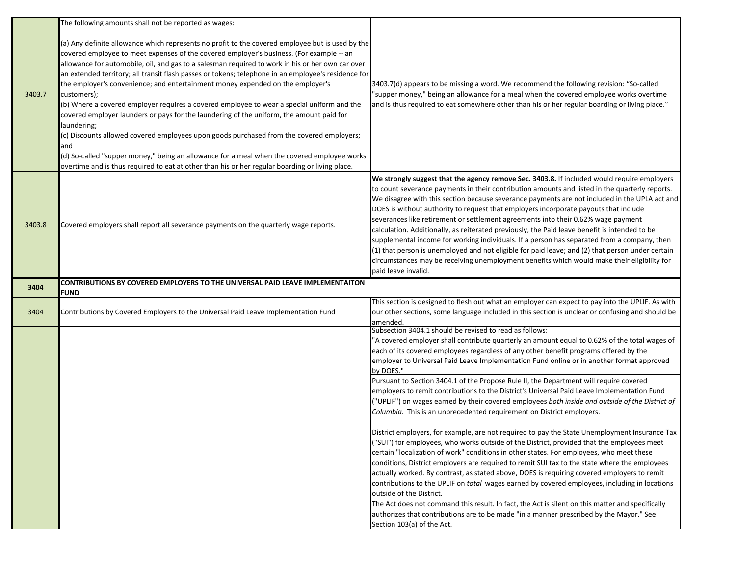|        | The following amounts shall not be reported as wages:                                                                                                                                                                                                                                                                                                                                                                                                                                                                                                                                                                                                                                                                                                                                                                                                                                                                                                                                                                  |                                                                                                                                                                                                                                                                                                                                                                                                                                                                                                                                                                                                                                                                                                                                                                                                                                                                                                                                                                                                                                                                                                                                                                                                                                                                                                                                                                                                                                                                                                                                                        |
|--------|------------------------------------------------------------------------------------------------------------------------------------------------------------------------------------------------------------------------------------------------------------------------------------------------------------------------------------------------------------------------------------------------------------------------------------------------------------------------------------------------------------------------------------------------------------------------------------------------------------------------------------------------------------------------------------------------------------------------------------------------------------------------------------------------------------------------------------------------------------------------------------------------------------------------------------------------------------------------------------------------------------------------|--------------------------------------------------------------------------------------------------------------------------------------------------------------------------------------------------------------------------------------------------------------------------------------------------------------------------------------------------------------------------------------------------------------------------------------------------------------------------------------------------------------------------------------------------------------------------------------------------------------------------------------------------------------------------------------------------------------------------------------------------------------------------------------------------------------------------------------------------------------------------------------------------------------------------------------------------------------------------------------------------------------------------------------------------------------------------------------------------------------------------------------------------------------------------------------------------------------------------------------------------------------------------------------------------------------------------------------------------------------------------------------------------------------------------------------------------------------------------------------------------------------------------------------------------------|
| 3403.7 | (a) Any definite allowance which represents no profit to the covered employee but is used by the<br>covered employee to meet expenses of the covered employer's business. (For example -- an<br>allowance for automobile, oil, and gas to a salesman required to work in his or her own car over<br>an extended territory; all transit flash passes or tokens; telephone in an employee's residence for<br>the employer's convenience; and entertainment money expended on the employer's<br>customers);<br>(b) Where a covered employer requires a covered employee to wear a special uniform and the<br>covered employer launders or pays for the laundering of the uniform, the amount paid for<br>laundering;<br>(c) Discounts allowed covered employees upon goods purchased from the covered employers;<br>and<br>(d) So-called "supper money," being an allowance for a meal when the covered employee works<br>overtime and is thus required to eat at other than his or her regular boarding or living place. | 3403.7(d) appears to be missing a word. We recommend the following revision: "So-called<br>"supper money," being an allowance for a meal when the covered employee works overtime<br>and is thus required to eat somewhere other than his or her regular boarding or living place."                                                                                                                                                                                                                                                                                                                                                                                                                                                                                                                                                                                                                                                                                                                                                                                                                                                                                                                                                                                                                                                                                                                                                                                                                                                                    |
| 3403.8 | Covered employers shall report all severance payments on the quarterly wage reports.                                                                                                                                                                                                                                                                                                                                                                                                                                                                                                                                                                                                                                                                                                                                                                                                                                                                                                                                   | We strongly suggest that the agency remove Sec. 3403.8. If included would require employers<br>to count severance payments in their contribution amounts and listed in the quarterly reports.<br>We disagree with this section because severance payments are not included in the UPLA act and<br>DOES is without authority to request that employers incorporate payouts that include<br>severances like retirement or settlement agreements into their 0.62% wage payment<br>calculation. Additionally, as reiterated previously, the Paid leave benefit is intended to be<br>supplemental income for working individuals. If a person has separated from a company, then<br>(1) that person is unemployed and not eligible for paid leave; and (2) that person under certain<br>circumstances may be receiving unemployment benefits which would make their eligibility for<br>paid leave invalid.                                                                                                                                                                                                                                                                                                                                                                                                                                                                                                                                                                                                                                                  |
| 3404   | CONTRIBUTIONS BY COVERED EMPLOYERS TO THE UNIVERSAL PAID LEAVE IMPLEMENTAITON                                                                                                                                                                                                                                                                                                                                                                                                                                                                                                                                                                                                                                                                                                                                                                                                                                                                                                                                          |                                                                                                                                                                                                                                                                                                                                                                                                                                                                                                                                                                                                                                                                                                                                                                                                                                                                                                                                                                                                                                                                                                                                                                                                                                                                                                                                                                                                                                                                                                                                                        |
|        | <b>FUND</b>                                                                                                                                                                                                                                                                                                                                                                                                                                                                                                                                                                                                                                                                                                                                                                                                                                                                                                                                                                                                            |                                                                                                                                                                                                                                                                                                                                                                                                                                                                                                                                                                                                                                                                                                                                                                                                                                                                                                                                                                                                                                                                                                                                                                                                                                                                                                                                                                                                                                                                                                                                                        |
| 3404   | Contributions by Covered Employers to the Universal Paid Leave Implementation Fund                                                                                                                                                                                                                                                                                                                                                                                                                                                                                                                                                                                                                                                                                                                                                                                                                                                                                                                                     | This section is designed to flesh out what an employer can expect to pay into the UPLIF. As with<br>our other sections, some language included in this section is unclear or confusing and should be<br>amended.                                                                                                                                                                                                                                                                                                                                                                                                                                                                                                                                                                                                                                                                                                                                                                                                                                                                                                                                                                                                                                                                                                                                                                                                                                                                                                                                       |
|        |                                                                                                                                                                                                                                                                                                                                                                                                                                                                                                                                                                                                                                                                                                                                                                                                                                                                                                                                                                                                                        | Subsection 3404.1 should be revised to read as follows:<br>'A covered employer shall contribute quarterly an amount equal to 0.62% of the total wages of<br>each of its covered employees regardless of any other benefit programs offered by the<br>employer to Universal Paid Leave Implementation Fund online or in another format approved<br>by DOES."<br>Pursuant to Section 3404.1 of the Propose Rule II, the Department will require covered<br>employers to remit contributions to the District's Universal Paid Leave Implementation Fund<br>"UPLIF") on wages earned by their covered employees both inside and outside of the District of<br>Columbia. This is an unprecedented requirement on District employers.<br>District employers, for example, are not required to pay the State Unemployment Insurance Tax<br>("SUI") for employees, who works outside of the District, provided that the employees meet<br>certain "localization of work" conditions in other states. For employees, who meet these<br>conditions, District employers are required to remit SUI tax to the state where the employees<br>actually worked. By contrast, as stated above, DOES is requiring covered employers to remit<br>contributions to the UPLIF on total wages earned by covered employees, including in locations<br>outside of the District.<br>The Act does not command this result. In fact, the Act is silent on this matter and specifically<br>authorizes that contributions are to be made "in a manner prescribed by the Mayor." See |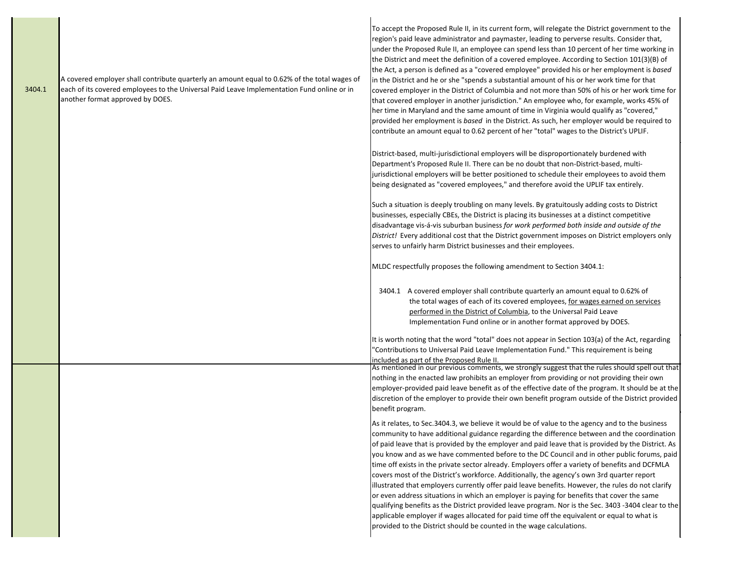| 3404.1 | A covered employer shall contribute quarterly an amount equal to 0.62% of the total wages of<br>each of its covered employees to the Universal Paid Leave Implementation Fund online or in<br>another format approved by DOES. | To accept the Proposed Rule II, in its current form, will relegate the District government to the<br>region's paid leave administrator and paymaster, leading to perverse results. Consider that,<br>under the Proposed Rule II, an employee can spend less than 10 percent of her time working in<br>the District and meet the definition of a covered employee. According to Section 101(3)(B) of<br>the Act, a person is defined as a "covered employee" provided his or her employment is based<br>in the District and he or she "spends a substantial amount of his or her work time for that<br>covered employer in the District of Columbia and not more than 50% of his or her work time for<br>that covered employer in another jurisdiction." An employee who, for example, works 45% of<br>her time in Maryland and the same amount of time in Virginia would qualify as "covered,"<br>provided her employment is based in the District. As such, her employer would be required to<br>contribute an amount equal to 0.62 percent of her "total" wages to the District's UPLIF. |
|--------|--------------------------------------------------------------------------------------------------------------------------------------------------------------------------------------------------------------------------------|--------------------------------------------------------------------------------------------------------------------------------------------------------------------------------------------------------------------------------------------------------------------------------------------------------------------------------------------------------------------------------------------------------------------------------------------------------------------------------------------------------------------------------------------------------------------------------------------------------------------------------------------------------------------------------------------------------------------------------------------------------------------------------------------------------------------------------------------------------------------------------------------------------------------------------------------------------------------------------------------------------------------------------------------------------------------------------------------|
|        |                                                                                                                                                                                                                                | District-based, multi-jurisdictional employers will be disproportionately burdened with<br>Department's Proposed Rule II. There can be no doubt that non-District-based, multi-<br>jurisdictional employers will be better positioned to schedule their employees to avoid them<br>being designated as "covered employees," and therefore avoid the UPLIF tax entirely.                                                                                                                                                                                                                                                                                                                                                                                                                                                                                                                                                                                                                                                                                                                    |
|        |                                                                                                                                                                                                                                | Such a situation is deeply troubling on many levels. By gratuitously adding costs to District<br>businesses, especially CBEs, the District is placing its businesses at a distinct competitive<br>disadvantage vis-á-vis suburban business for work performed both inside and outside of the<br>District! Every additional cost that the District government imposes on District employers only<br>serves to unfairly harm District businesses and their employees.                                                                                                                                                                                                                                                                                                                                                                                                                                                                                                                                                                                                                        |
|        |                                                                                                                                                                                                                                | MLDC respectfully proposes the following amendment to Section 3404.1:                                                                                                                                                                                                                                                                                                                                                                                                                                                                                                                                                                                                                                                                                                                                                                                                                                                                                                                                                                                                                      |
|        |                                                                                                                                                                                                                                | 3404.1 A covered employer shall contribute quarterly an amount equal to 0.62% of<br>the total wages of each of its covered employees, for wages earned on services<br>performed in the District of Columbia, to the Universal Paid Leave<br>Implementation Fund online or in another format approved by DOES.                                                                                                                                                                                                                                                                                                                                                                                                                                                                                                                                                                                                                                                                                                                                                                              |
|        |                                                                                                                                                                                                                                | It is worth noting that the word "total" does not appear in Section 103(a) of the Act, regarding<br>"Contributions to Universal Paid Leave Implementation Fund." This requirement is being<br>included as part of the Proposed Rule II.                                                                                                                                                                                                                                                                                                                                                                                                                                                                                                                                                                                                                                                                                                                                                                                                                                                    |
|        |                                                                                                                                                                                                                                | As mentioned in our previous comments, we strongly suggest that the rules should spell out that<br>nothing in the enacted law prohibits an employer from providing or not providing their own<br>employer-provided paid leave benefit as of the effective date of the program. It should be at the<br>discretion of the employer to provide their own benefit program outside of the District provided<br>benefit program.                                                                                                                                                                                                                                                                                                                                                                                                                                                                                                                                                                                                                                                                 |
|        |                                                                                                                                                                                                                                | As it relates, to Sec. 3404.3, we believe it would be of value to the agency and to the business<br>community to have additional guidance regarding the difference between and the coordination<br>of paid leave that is provided by the employer and paid leave that is provided by the District. As<br>you know and as we have commented before to the DC Council and in other public forums, paid<br>time off exists in the private sector already. Employers offer a variety of benefits and DCFMLA<br>covers most of the District's workforce. Additionally, the agency's own 3rd quarter report<br>illustrated that employers currently offer paid leave benefits. However, the rules do not clarify<br>or even address situations in which an employer is paying for benefits that cover the same<br>qualifying benefits as the District provided leave program. Nor is the Sec. 3403 -3404 clear to the<br>applicable employer if wages allocated for paid time off the equivalent or equal to what is<br>provided to the District should be counted in the wage calculations.     |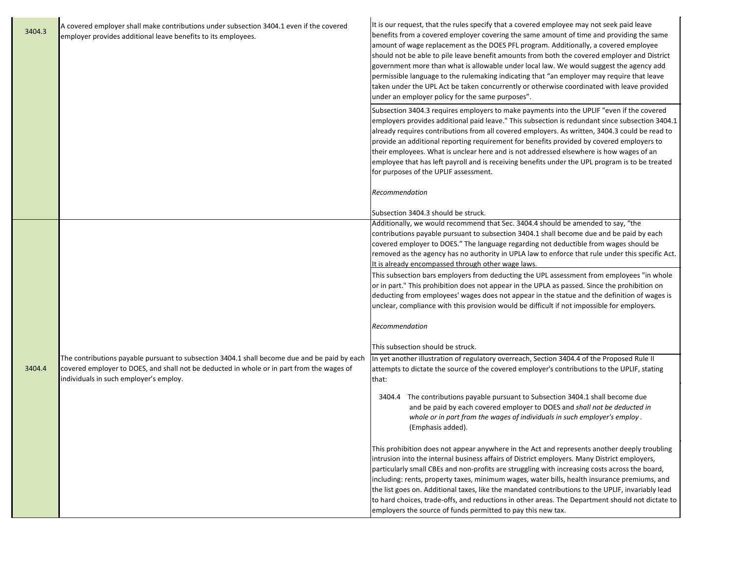| 3404.3 | A covered employer shall make contributions under subsection 3404.1 even if the covered<br>employer provides additional leave benefits to its employees.                                                                            | It is our request, that the rules specify that a covered employee may not seek paid leave<br>benefits from a covered employer covering the same amount of time and providing the same<br>amount of wage replacement as the DOES PFL program. Additionally, a covered employee<br>should not be able to pile leave benefit amounts from both the covered employer and District<br>government more than what is allowable under local law. We would suggest the agency add<br>permissible language to the rulemaking indicating that "an employer may require that leave<br>taken under the UPL Act be taken concurrently or otherwise coordinated with leave provided<br>under an employer policy for the same purposes". |
|--------|-------------------------------------------------------------------------------------------------------------------------------------------------------------------------------------------------------------------------------------|--------------------------------------------------------------------------------------------------------------------------------------------------------------------------------------------------------------------------------------------------------------------------------------------------------------------------------------------------------------------------------------------------------------------------------------------------------------------------------------------------------------------------------------------------------------------------------------------------------------------------------------------------------------------------------------------------------------------------|
|        |                                                                                                                                                                                                                                     | Subsection 3404.3 requires employers to make payments into the UPLIF "even if the covered<br>employers provides additional paid leave." This subsection is redundant since subsection 3404.1<br>already requires contributions from all covered employers. As written, 3404.3 could be read to<br>provide an additional reporting requirement for benefits provided by covered employers to<br>their employees. What is unclear here and is not addressed elsewhere is how wages of an<br>employee that has left payroll and is receiving benefits under the UPL program is to be treated<br>for purposes of the UPLIF assessment.                                                                                       |
|        |                                                                                                                                                                                                                                     | Recommendation                                                                                                                                                                                                                                                                                                                                                                                                                                                                                                                                                                                                                                                                                                           |
|        |                                                                                                                                                                                                                                     | Subsection 3404.3 should be struck.                                                                                                                                                                                                                                                                                                                                                                                                                                                                                                                                                                                                                                                                                      |
|        |                                                                                                                                                                                                                                     | Additionally, we would recommend that Sec. 3404.4 should be amended to say, "the<br>contributions payable pursuant to subsection 3404.1 shall become due and be paid by each<br>covered employer to DOES." The language regarding not deductible from wages should be<br>removed as the agency has no authority in UPLA law to enforce that rule under this specific Act.<br>It is already encompassed through other wage laws.                                                                                                                                                                                                                                                                                          |
|        |                                                                                                                                                                                                                                     | This subsection bars employers from deducting the UPL assessment from employees "in whole<br>or in part." This prohibition does not appear in the UPLA as passed. Since the prohibition on<br>deducting from employees' wages does not appear in the statue and the definition of wages is<br>unclear, compliance with this provision would be difficult if not impossible for employers.                                                                                                                                                                                                                                                                                                                                |
|        |                                                                                                                                                                                                                                     | Recommendation                                                                                                                                                                                                                                                                                                                                                                                                                                                                                                                                                                                                                                                                                                           |
|        |                                                                                                                                                                                                                                     | This subsection should be struck.                                                                                                                                                                                                                                                                                                                                                                                                                                                                                                                                                                                                                                                                                        |
| 3404.4 | The contributions payable pursuant to subsection 3404.1 shall become due and be paid by each<br>covered employer to DOES, and shall not be deducted in whole or in part from the wages of<br>individuals in such employer's employ. | In yet another illustration of regulatory overreach, Section 3404.4 of the Proposed Rule II<br>attempts to dictate the source of the covered employer's contributions to the UPLIF, stating<br>that:                                                                                                                                                                                                                                                                                                                                                                                                                                                                                                                     |
|        |                                                                                                                                                                                                                                     | 3404.4 The contributions payable pursuant to Subsection 3404.1 shall become due<br>and be paid by each covered employer to DOES and shall not be deducted in<br>whole or in part from the wages of individuals in such employer's employ.<br>(Emphasis added).                                                                                                                                                                                                                                                                                                                                                                                                                                                           |
|        |                                                                                                                                                                                                                                     | This prohibition does not appear anywhere in the Act and represents another deeply troubling<br>intrusion into the internal business affairs of District employers. Many District employers,<br>particularly small CBEs and non-profits are struggling with increasing costs across the board,<br>including: rents, property taxes, minimum wages, water bills, health insurance premiums, and<br>the list goes on. Additional taxes, like the mandated contributions to the UPLIF, invariably lead<br>to hard choices, trade-offs, and reductions in other areas. The Department should not dictate to<br>employers the source of funds permitted to pay this new tax.                                                  |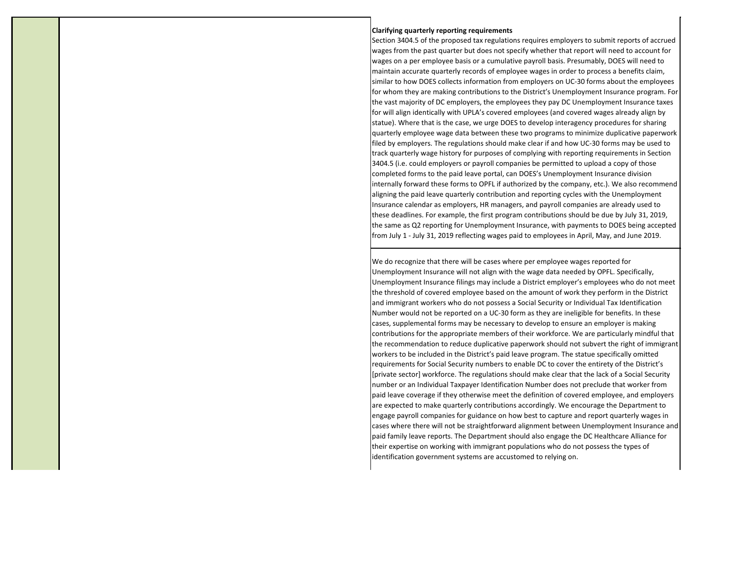#### **Clarifying quarterly reporting requirements**

Section 3404.5 of the proposed tax regulations requires employers to submit reports of accrued wages from the past quarter but does not specify whether that report will need to account for wages on a per employee basis or a cumulative payroll basis. Presumably, DOES will need to maintain accurate quarterly records of employee wages in order to process a benefits claim, similar to how DOES collects information from employers on UC-30 forms about the employees for whom they are making contributions to the District's Unemployment Insurance program. For the vast majority of DC employers, the employees they pay DC Unemployment Insurance taxes for will align identically with UPLA's covered employees (and covered wages already align by statue). Where that is the case, we urge DOES to develop interagency procedures for sharing quarterly employee wage data between these two programs to minimize duplicative paperwork filed by employers. The regulations should make clear if and how UC-30 forms may be used to track quarterly wage history for purposes of complying with reporting requirements in Section 3404.5 (i.e. could employers or payroll companies be permitted to upload a copy of those completed forms to the paid leave portal, can DOES's Unemployment Insurance division internally forward these forms to OPFL if authorized by the company, etc.). We also recommend aligning the paid leave quarterly contribution and reporting cycles with the Unemployment Insurance calendar as employers, HR managers, and payroll companies are already used to these deadlines. For example, the first program contributions should be due by July 31, 2019, the same as Q2 reporting for Unemployment Insurance, with payments to DOES being accepted from July 1 - July 31, 2019 reflecting wages paid to employees in April, May, and June 2019.

We do recognize that there will be cases where per employee wages reported for Unemployment Insurance will not align with the wage data needed by OPFL. Specifically, Unemployment Insurance filings may include a District employer's employees who do not meet the threshold of covered employee based on the amount of work they perform in the District and immigrant workers who do not possess a Social Security or Individual Tax Identification Number would not be reported on a UC-30 form as they are ineligible for benefits. In these cases, supplemental forms may be necessary to develop to ensure an employer is making contributions for the appropriate members of their workforce. We are particularly mindful that the recommendation to reduce duplicative paperwork should not subvert the right of immigrant workers to be included in the District's paid leave program. The statue specifically omitted requirements for Social Security numbers to enable DC to cover the entirety of the District's [private sector] workforce. The regulations should make clear that the lack of a Social Security number or an Individual Taxpayer Identification Number does not preclude that worker from paid leave coverage if they otherwise meet the definition of covered employee, and employers are expected to make quarterly contributions accordingly. We encourage the Department to engage payroll companies for guidance on how best to capture and report quarterly wages in cases where there will not be straightforward alignment between Unemployment Insurance and paid family leave reports. The Department should also engage the DC Healthcare Alliance for their expertise on working with immigrant populations who do not possess the types of identification government systems are accustomed to relying on.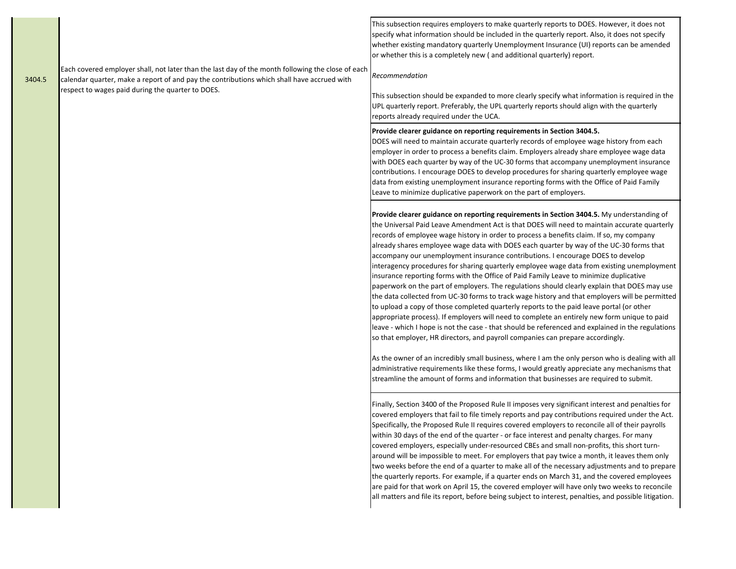|        |                                                                                                                                                                                                 | This subsection requires employers to make quarterly reports to DOES. However, it does not<br>specify what information should be included in the quarterly report. Also, it does not specify<br>whether existing mandatory quarterly Unemployment Insurance (UI) reports can be amended<br>or whether this is a completely new (and additional quarterly) report.                                                                                                                                                                                                                                                                                                                                                                                                                                                                                                                                                                                                                                                                                                                                                                                                                                                                                                                                                                                                                                                                                                                                                                              |
|--------|-------------------------------------------------------------------------------------------------------------------------------------------------------------------------------------------------|------------------------------------------------------------------------------------------------------------------------------------------------------------------------------------------------------------------------------------------------------------------------------------------------------------------------------------------------------------------------------------------------------------------------------------------------------------------------------------------------------------------------------------------------------------------------------------------------------------------------------------------------------------------------------------------------------------------------------------------------------------------------------------------------------------------------------------------------------------------------------------------------------------------------------------------------------------------------------------------------------------------------------------------------------------------------------------------------------------------------------------------------------------------------------------------------------------------------------------------------------------------------------------------------------------------------------------------------------------------------------------------------------------------------------------------------------------------------------------------------------------------------------------------------|
| 3404.5 | Each covered employer shall, not later than the last day of the month following the close of each<br>calendar quarter, make a report of and pay the contributions which shall have accrued with | Recommendation                                                                                                                                                                                                                                                                                                                                                                                                                                                                                                                                                                                                                                                                                                                                                                                                                                                                                                                                                                                                                                                                                                                                                                                                                                                                                                                                                                                                                                                                                                                                 |
|        | respect to wages paid during the quarter to DOES.                                                                                                                                               | This subsection should be expanded to more clearly specify what information is required in the<br>UPL quarterly report. Preferably, the UPL quarterly reports should align with the quarterly<br>reports already required under the UCA.                                                                                                                                                                                                                                                                                                                                                                                                                                                                                                                                                                                                                                                                                                                                                                                                                                                                                                                                                                                                                                                                                                                                                                                                                                                                                                       |
|        |                                                                                                                                                                                                 | Provide clearer guidance on reporting requirements in Section 3404.5.<br>DOES will need to maintain accurate quarterly records of employee wage history from each<br>employer in order to process a benefits claim. Employers already share employee wage data<br>with DOES each quarter by way of the UC-30 forms that accompany unemployment insurance<br>contributions. I encourage DOES to develop procedures for sharing quarterly employee wage<br>data from existing unemployment insurance reporting forms with the Office of Paid Family<br>Leave to minimize duplicative paperwork on the part of employers.                                                                                                                                                                                                                                                                                                                                                                                                                                                                                                                                                                                                                                                                                                                                                                                                                                                                                                                         |
|        |                                                                                                                                                                                                 | Provide clearer guidance on reporting requirements in Section 3404.5. My understanding of<br>the Universal Paid Leave Amendment Act is that DOES will need to maintain accurate quarterly<br>records of employee wage history in order to process a benefits claim. If so, my company<br>already shares employee wage data with DOES each quarter by way of the UC-30 forms that<br>accompany our unemployment insurance contributions. I encourage DOES to develop<br>interagency procedures for sharing quarterly employee wage data from existing unemployment<br>insurance reporting forms with the Office of Paid Family Leave to minimize duplicative<br>paperwork on the part of employers. The regulations should clearly explain that DOES may use<br>the data collected from UC-30 forms to track wage history and that employers will be permitted<br>to upload a copy of those completed quarterly reports to the paid leave portal (or other<br>appropriate process). If employers will need to complete an entirely new form unique to paid<br>leave - which I hope is not the case - that should be referenced and explained in the regulations<br>so that employer, HR directors, and payroll companies can prepare accordingly.<br>As the owner of an incredibly small business, where I am the only person who is dealing with all<br>administrative requirements like these forms, I would greatly appreciate any mechanisms that<br>streamline the amount of forms and information that businesses are required to submit. |
|        |                                                                                                                                                                                                 | Finally, Section 3400 of the Proposed Rule II imposes very significant interest and penalties for<br>covered employers that fail to file timely reports and pay contributions required under the Act.<br>Specifically, the Proposed Rule II requires covered employers to reconcile all of their payrolls<br>within 30 days of the end of the quarter - or face interest and penalty charges. For many<br>covered employers, especially under-resourced CBEs and small non-profits, this short turn-<br>around will be impossible to meet. For employers that pay twice a month, it leaves them only<br>two weeks before the end of a quarter to make all of the necessary adjustments and to prepare<br>the quarterly reports. For example, if a quarter ends on March 31, and the covered employees<br>are paid for that work on April 15, the covered employer will have only two weeks to reconcile<br>all matters and file its report, before being subject to interest, penalties, and possible litigation.                                                                                                                                                                                                                                                                                                                                                                                                                                                                                                                              |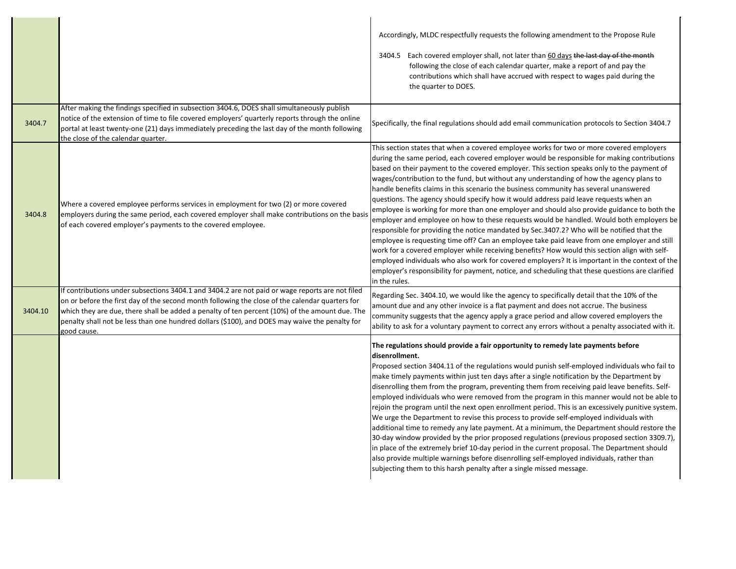|         |                                                                                                                                                                                                                                                                                                                                                                                                                       | Accordingly, MLDC respectfully requests the following amendment to the Propose Rule<br>3404.5 Each covered employer shall, not later than 60 days the last day of the month<br>following the close of each calendar quarter, make a report of and pay the<br>contributions which shall have accrued with respect to wages paid during the<br>the quarter to DOES.                                                                                                                                                                                                                                                                                                                                                                                                                                                                                                                                                                                                                                                                                                                                                                                                                                                                                                                     |
|---------|-----------------------------------------------------------------------------------------------------------------------------------------------------------------------------------------------------------------------------------------------------------------------------------------------------------------------------------------------------------------------------------------------------------------------|---------------------------------------------------------------------------------------------------------------------------------------------------------------------------------------------------------------------------------------------------------------------------------------------------------------------------------------------------------------------------------------------------------------------------------------------------------------------------------------------------------------------------------------------------------------------------------------------------------------------------------------------------------------------------------------------------------------------------------------------------------------------------------------------------------------------------------------------------------------------------------------------------------------------------------------------------------------------------------------------------------------------------------------------------------------------------------------------------------------------------------------------------------------------------------------------------------------------------------------------------------------------------------------|
| 3404.7  | After making the findings specified in subsection 3404.6, DOES shall simultaneously publish<br>notice of the extension of time to file covered employers' quarterly reports through the online<br>portal at least twenty-one (21) days immediately preceding the last day of the month following<br>the close of the calendar quarter.                                                                                | Specifically, the final regulations should add email communication protocols to Section 3404.7                                                                                                                                                                                                                                                                                                                                                                                                                                                                                                                                                                                                                                                                                                                                                                                                                                                                                                                                                                                                                                                                                                                                                                                        |
| 3404.8  | Where a covered employee performs services in employment for two (2) or more covered<br>employers during the same period, each covered employer shall make contributions on the basis<br>of each covered employer's payments to the covered employee.                                                                                                                                                                 | This section states that when a covered employee works for two or more covered employers<br>during the same period, each covered employer would be responsible for making contributions<br>based on their payment to the covered employer. This section speaks only to the payment of<br>wages/contribution to the fund, but without any understanding of how the agency plans to<br>handle benefits claims in this scenario the business community has several unanswered<br>questions. The agency should specify how it would address paid leave requests when an<br>employee is working for more than one employer and should also provide guidance to both the<br>employer and employee on how to these requests would be handled. Would both employers be<br>responsible for providing the notice mandated by Sec.3407.2? Who will be notified that the<br>employee is requesting time off? Can an employee take paid leave from one employer and still<br>work for a covered employer while receiving benefits? How would this section align with self-<br>employed individuals who also work for covered employers? It is important in the context of the<br>employer's responsibility for payment, notice, and scheduling that these questions are clarified<br>in the rules. |
| 3404.10 | If contributions under subsections 3404.1 and 3404.2 are not paid or wage reports are not filed<br>on or before the first day of the second month following the close of the calendar quarters for<br>which they are due, there shall be added a penalty of ten percent (10%) of the amount due. The<br>penalty shall not be less than one hundred dollars (\$100), and DOES may waive the penalty for<br>good cause. | Regarding Sec. 3404.10, we would like the agency to specifically detail that the 10% of the<br>amount due and any other invoice is a flat payment and does not accrue. The business<br>community suggests that the agency apply a grace period and allow covered employers the<br>ability to ask for a voluntary payment to correct any errors without a penalty associated with it.                                                                                                                                                                                                                                                                                                                                                                                                                                                                                                                                                                                                                                                                                                                                                                                                                                                                                                  |
|         |                                                                                                                                                                                                                                                                                                                                                                                                                       | The regulations should provide a fair opportunity to remedy late payments before<br>disenrollment.<br>Proposed section 3404.11 of the regulations would punish self-employed individuals who fail to<br>make timely payments within just ten days after a single notification by the Department by<br>disenrolling them from the program, preventing them from receiving paid leave benefits. Self-<br>employed individuals who were removed from the program in this manner would not be able to<br>rejoin the program until the next open enrollment period. This is an excessively punitive system.<br>We urge the Department to revise this process to provide self-employed individuals with<br>additional time to remedy any late payment. At a minimum, the Department should restore the<br>30-day window provided by the prior proposed regulations (previous proposed section 3309.7),<br>in place of the extremely brief 10-day period in the current proposal. The Department should<br>also provide multiple warnings before disenrolling self-employed individuals, rather than<br>subjecting them to this harsh penalty after a single missed message.                                                                                                                 |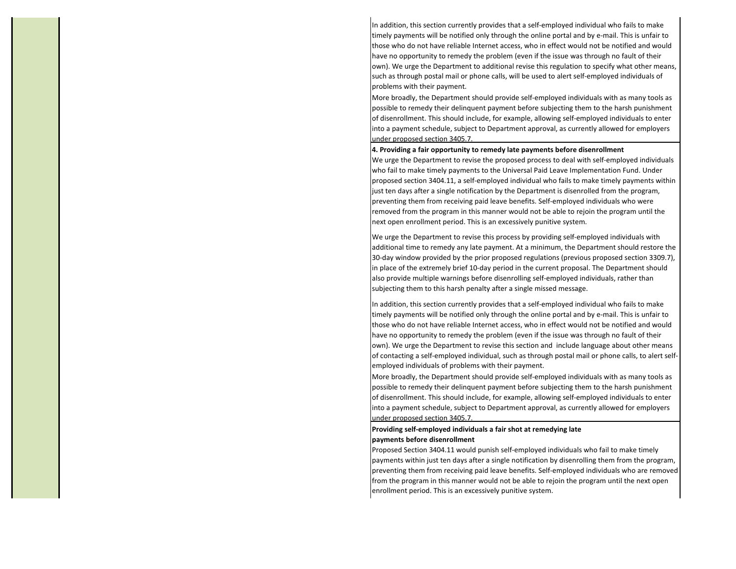In addition, this section currently provides that a self-employed individual who fails to make timely payments will be notified only through the online portal and by e-mail. This is unfair to those who do not have reliable Internet access, who in effect would not be notified and would have no opportunity to remedy the problem (even if the issue was through no fault of their own). We urge the Department to additional revise this regulation to specify what other means, such as through postal mail or phone calls, will be used to alert self-employed individuals of problems with their payment.

More broadly, the Department should provide self-employed individuals with as many tools as possible to remedy their delinquent payment before subjecting them to the harsh punishment of disenrollment. This should include, for example, allowing self-employed individuals to enter into a payment schedule, subject to Department approval, as currently allowed for employers under proposed section 3405.7.

#### **4. Providing a fair opportunity to remedy late payments before disenrollment**

We urge the Department to revise the proposed process to deal with self-employed individuals who fail to make timely payments to the Universal Paid Leave Implementation Fund. Under proposed section 3404.11, a self-employed individual who fails to make timely payments within just ten days after a single notification by the Department is disenrolled from the program, preventing them from receiving paid leave benefits. Self-employed individuals who were removed from the program in this manner would not be able to rejoin the program until the next open enrollment period. This is an excessively punitive system.

We urge the Department to revise this process by providing self-employed individuals with additional time to remedy any late payment. At a minimum, the Department should restore the 30-day window provided by the prior proposed regulations (previous proposed section 3309.7), in place of the extremely brief 10-day period in the current proposal. The Department should also provide multiple warnings before disenrolling self-employed individuals, rather than subjecting them to this harsh penalty after a single missed message.

In addition, this section currently provides that a self-employed individual who fails to make timely payments will be notified only through the online portal and by e-mail. This is unfair to those who do not have reliable Internet access, who in effect would not be notified and would have no opportunity to remedy the problem (even if the issue was through no fault of their own). We urge the Department to revise this section and include language about other means of contacting a self-employed individual, such as through postal mail or phone calls, to alert selfemployed individuals of problems with their payment.

More broadly, the Department should provide self-employed individuals with as many tools as possible to remedy their delinquent payment before subjecting them to the harsh punishment of disenrollment. This should include, for example, allowing self-employed individuals to enter into a payment schedule, subject to Department approval, as currently allowed for employers under proposed section 3405.7.

## **Providing self-employed individuals a fair shot at remedying late payments before disenrollment**

Proposed Section 3404.11 would punish self-employed individuals who fail to make timely payments within just ten days after a single notification by disenrolling them from the program, preventing them from receiving paid leave benefits. Self-employed individuals who are removed from the program in this manner would not be able to rejoin the program until the next open enrollment period. This is an excessively punitive system.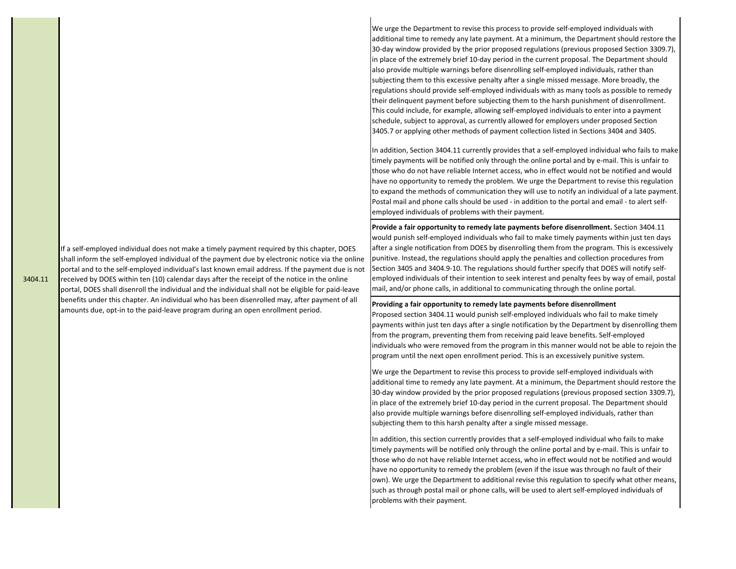If a self-employed individual does not make a timely payment required by this chapter, DOES shall inform the self-employed individual of the payment due by electronic notice via the online portal and to the self-employed individual's last known email address. If the payment due is not received by DOES within ten (10) calendar days after the receipt of the notice in the online

3404.11 portal, DOES shall disenroll the individual and the individual shall not be eligible for paid-leave benefits under this chapter. An individual who has been disenrolled may, after payment of all amounts due, opt-in to the paid-leave program during an open enrollment period.

We urge the Department to revise this process to provide self-employed individuals with additional time to remedy any late payment. At a minimum, the Department should restore the 30-day window provided by the prior proposed regulations (previous proposed Section 3309.7), in place of the extremely brief 10-day period in the current proposal. The Department should also provide multiple warnings before disenrolling self-employed individuals, rather than subjecting them to this excessive penalty after a single missed message. More broadly, the regulations should provide self-employed individuals with as many tools as possible to remedy their delinquent payment before subjecting them to the harsh punishment of disenrollment. This could include, for example, allowing self-employed individuals to enter into a payment schedule, subject to approval, as currently allowed for employers under proposed Section 3405.7 or applying other methods of payment collection listed in Sections 3404 and 3405.

In addition, Section 3404.11 currently provides that a self-employed individual who fails to make timely payments will be notified only through the online portal and by e-mail. This is unfair to those who do not have reliable Internet access, who in effect would not be notified and would have no opportunity to remedy the problem. We urge the Department to revise this regulation to expand the methods of communication they will use to notify an individual of a late payment. Postal mail and phone calls should be used - in addition to the portal and email - to alert selfemployed individuals of problems with their payment.

**Provide a fair opportunity to remedy late payments before disenrollment.** Section 3404.11 would punish self-employed individuals who fail to make timely payments within just ten days after a single notification from DOES by disenrolling them from the program. This is excessively punitive. Instead, the regulations should apply the penalties and collection procedures from Section 3405 and 3404.9-10. The regulations should further specify that DOES will notify selfemployed individuals of their intention to seek interest and penalty fees by way of email, postal mail, and/or phone calls, in additional to communicating through the online portal.

### **Providing a fair opportunity to remedy late payments before disenrollment**

Proposed section 3404.11 would punish self-employed individuals who fail to make timely payments within just ten days after a single notification by the Department by disenrolling them from the program, preventing them from receiving paid leave benefits. Self-employed individuals who were removed from the program in this manner would not be able to rejoin the program until the next open enrollment period. This is an excessively punitive system.

We urge the Department to revise this process to provide self-employed individuals with additional time to remedy any late payment. At a minimum, the Department should restore the 30-day window provided by the prior proposed regulations (previous proposed section 3309.7), in place of the extremely brief 10-day period in the current proposal. The Department should also provide multiple warnings before disenrolling self-employed individuals, rather than subjecting them to this harsh penalty after a single missed message.

In addition, this section currently provides that a self-employed individual who fails to make timely payments will be notified only through the online portal and by e-mail. This is unfair to those who do not have reliable Internet access, who in effect would not be notified and would have no opportunity to remedy the problem (even if the issue was through no fault of their own). We urge the Department to additional revise this regulation to specify what other means, such as through postal mail or phone calls, will be used to alert self-employed individuals of problems with their payment.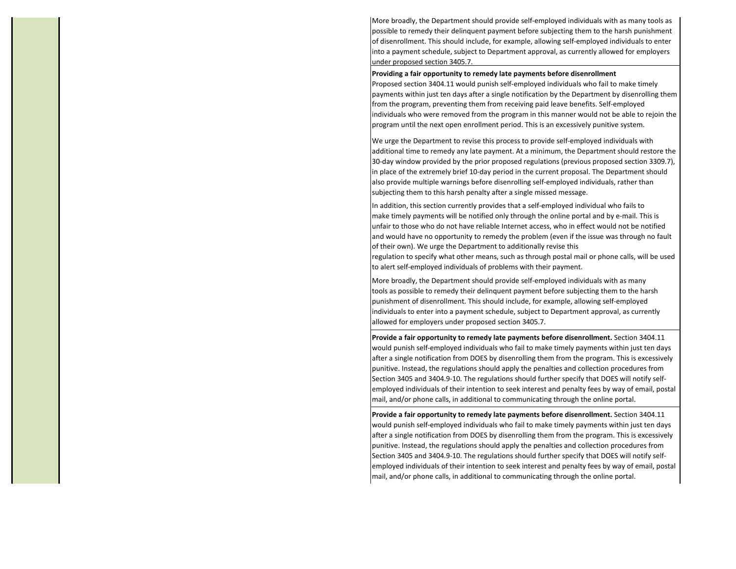More broadly, the Department should provide self-employed individuals with as many tools as possible to remedy their delinquent payment before subjecting them to the harsh punishment of disenrollment. This should include, for example, allowing self-employed individuals to enter into a payment schedule, subject to Department approval, as currently allowed for employers under proposed section 3405.7.

#### **Providing a fair opportunity to remedy late payments before disenrollment**

Proposed section 3404.11 would punish self-employed individuals who fail to make timely payments within just ten days after a single notification by the Department by disenrolling them from the program, preventing them from receiving paid leave benefits. Self-employed individuals who were removed from the program in this manner would not be able to rejoin the program until the next open enrollment period. This is an excessively punitive system.

We urge the Department to revise this process to provide self-employed individuals with additional time to remedy any late payment. At a minimum, the Department should restore the 30-day window provided by the prior proposed regulations (previous proposed section 3309.7), in place of the extremely brief 10-day period in the current proposal. The Department should also provide multiple warnings before disenrolling self-employed individuals, rather than subjecting them to this harsh penalty after a single missed message.

In addition, this section currently provides that a self-employed individual who fails to make timely payments will be notified only through the online portal and by e-mail. This is unfair to those who do not have reliable Internet access, who in effect would not be notified and would have no opportunity to remedy the problem (even if the issue was through no fault of their own). We urge the Department to additionally revise this regulation to specify what other means, such as through postal mail or phone calls, will be used to alert self-employed individuals of problems with their payment.

More broadly, the Department should provide self-employed individuals with as many tools as possible to remedy their delinquent payment before subjecting them to the harsh punishment of disenrollment. This should include, for example, allowing self-employed individuals to enter into a payment schedule, subject to Department approval, as currently allowed for employers under proposed section 3405.7.

**Provide a fair opportunity to remedy late payments before disenrollment.** Section 3404.11 would punish self-employed individuals who fail to make timely payments within just ten days after a single notification from DOES by disenrolling them from the program. This is excessively punitive. Instead, the regulations should apply the penalties and collection procedures from Section 3405 and 3404.9-10. The regulations should further specify that DOES will notify selfemployed individuals of their intention to seek interest and penalty fees by way of email, postal mail, and/or phone calls, in additional to communicating through the online portal.

**Provide a fair opportunity to remedy late payments before disenrollment.** Section 3404.11 would punish self-employed individuals who fail to make timely payments within just ten days after a single notification from DOES by disenrolling them from the program. This is excessively punitive. Instead, the regulations should apply the penalties and collection procedures from Section 3405 and 3404.9-10. The regulations should further specify that DOES will notify selfemployed individuals of their intention to seek interest and penalty fees by way of email, postal mail, and/or phone calls, in additional to communicating through the online portal.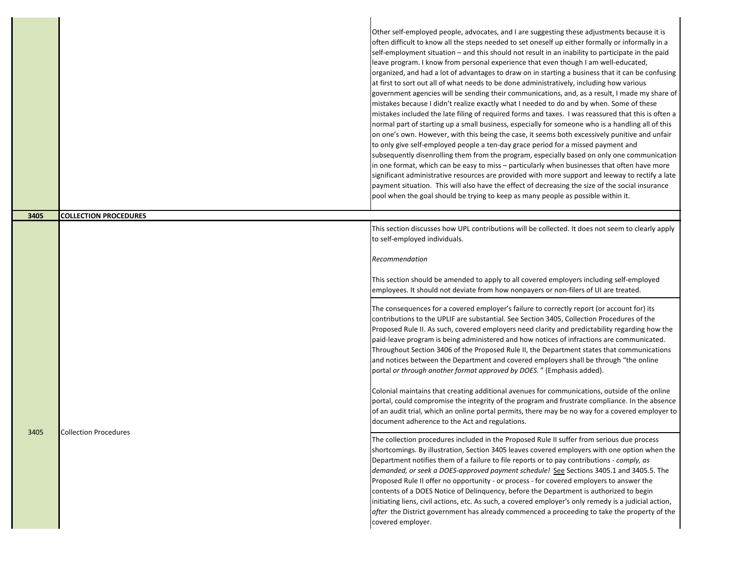|      |                              | Other self-employed people, advocates, and I are suggesting these adjustments because it is<br>often difficult to know all the steps needed to set oneself up either formally or informally in a<br>self-employment situation - and this should not result in an inability to participate in the paid<br>leave program. I know from personal experience that even though I am well-educated,<br>organized, and had a lot of advantages to draw on in starting a business that it can be confusing<br>at first to sort out all of what needs to be done administratively, including how various<br>government agencies will be sending their communications, and, as a result, I made my share of<br>mistakes because I didn't realize exactly what I needed to do and by when. Some of these<br>mistakes included the late filing of required forms and taxes. I was reassured that this is often a<br>normal part of starting up a small business, especially for someone who is a handling all of this<br>on one's own. However, with this being the case, it seems both excessively punitive and unfair<br>to only give self-employed people a ten-day grace period for a missed payment and<br>subsequently disenrolling them from the program, especially based on only one communication<br>in one format, which can be easy to miss - particularly when businesses that often have more<br>significant administrative resources are provided with more support and leeway to rectify a late<br>payment situation. This will also have the effect of decreasing the size of the social insurance<br>pool when the goal should be trying to keep as many people as possible within it. |
|------|------------------------------|---------------------------------------------------------------------------------------------------------------------------------------------------------------------------------------------------------------------------------------------------------------------------------------------------------------------------------------------------------------------------------------------------------------------------------------------------------------------------------------------------------------------------------------------------------------------------------------------------------------------------------------------------------------------------------------------------------------------------------------------------------------------------------------------------------------------------------------------------------------------------------------------------------------------------------------------------------------------------------------------------------------------------------------------------------------------------------------------------------------------------------------------------------------------------------------------------------------------------------------------------------------------------------------------------------------------------------------------------------------------------------------------------------------------------------------------------------------------------------------------------------------------------------------------------------------------------------------------------------------------------------------------------------------------------------------------|
| 3405 | <b>COLLECTION PROCEDURES</b> |                                                                                                                                                                                                                                                                                                                                                                                                                                                                                                                                                                                                                                                                                                                                                                                                                                                                                                                                                                                                                                                                                                                                                                                                                                                                                                                                                                                                                                                                                                                                                                                                                                                                                             |
|      |                              | This section discusses how UPL contributions will be collected. It does not seem to clearly apply<br>to self-employed individuals.<br>Recommendation<br>This section should be amended to apply to all covered employers including self-employed<br>employees. It should not deviate from how nonpayers or non-filers of UI are treated.                                                                                                                                                                                                                                                                                                                                                                                                                                                                                                                                                                                                                                                                                                                                                                                                                                                                                                                                                                                                                                                                                                                                                                                                                                                                                                                                                    |
|      |                              | The consequences for a covered employer's failure to correctly report (or account for) its<br>contributions to the UPLIF are substantial. See Section 3405, Collection Procedures of the<br>Proposed Rule II. As such, covered employers need clarity and predictability regarding how the<br>paid-leave program is being administered and how notices of infractions are communicated.<br>Throughout Section 3406 of the Proposed Rule II, the Department states that communications<br>and notices between the Department and covered employers shall be through "the online<br>portal or through another format approved by DOES." (Emphasis added).<br>Colonial maintains that creating additional avenues for communications, outside of the online                                                                                                                                                                                                                                                                                                                                                                                                                                                                                                                                                                                                                                                                                                                                                                                                                                                                                                                                    |
|      |                              | portal, could compromise the integrity of the program and frustrate compliance. In the absence<br>of an audit trial, which an online portal permits, there may be no way for a covered employer to<br>document adherence to the Act and regulations.                                                                                                                                                                                                                                                                                                                                                                                                                                                                                                                                                                                                                                                                                                                                                                                                                                                                                                                                                                                                                                                                                                                                                                                                                                                                                                                                                                                                                                        |
| 3405 | <b>Collection Procedures</b> | The collection procedures included in the Proposed Rule II suffer from serious due process<br>shortcomings. By illustration, Section 3405 leaves covered employers with one option when the<br>Department notifies them of a failure to file reports or to pay contributions - comply, as<br>demanded, or seek a DOES-approved payment schedule! See Sections 3405.1 and 3405.5. The<br>Proposed Rule II offer no opportunity - or process - for covered employers to answer the<br>contents of a DOES Notice of Delinquency, before the Department is authorized to begin<br>initiating liens, civil actions, etc. As such, a covered employer's only remedy is a judicial action,<br>after the District government has already commenced a proceeding to take the property of the<br>covered employer.                                                                                                                                                                                                                                                                                                                                                                                                                                                                                                                                                                                                                                                                                                                                                                                                                                                                                    |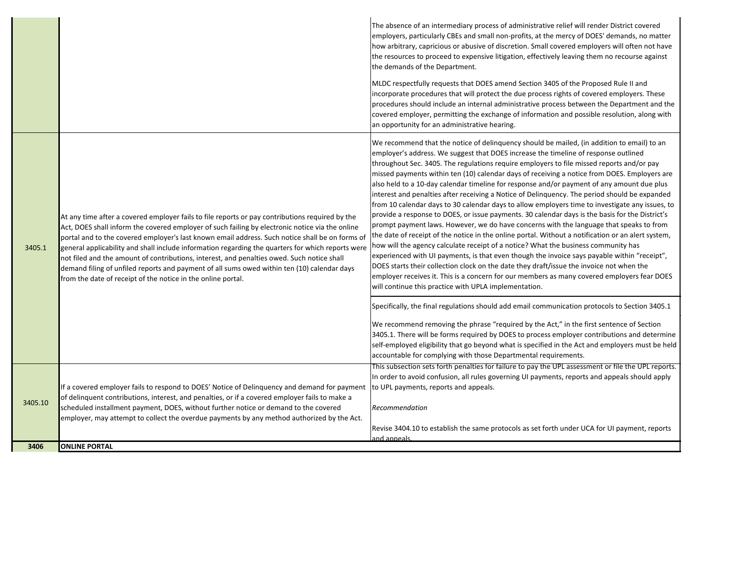|         |                                                                                                                                                                                                                                                                                                                                                                                                                                                                                                                                                                                                                                                                         | The absence of an intermediary process of administrative relief will render District covered<br>employers, particularly CBEs and small non-profits, at the mercy of DOES' demands, no matter<br>how arbitrary, capricious or abusive of discretion. Small covered employers will often not have<br>the resources to proceed to expensive litigation, effectively leaving them no recourse against<br>the demands of the Department.<br>MLDC respectfully requests that DOES amend Section 3405 of the Proposed Rule II and<br>incorporate procedures that will protect the due process rights of covered employers. These<br>procedures should include an internal administrative process between the Department and the<br>covered employer, permitting the exchange of information and possible resolution, along with<br>an opportunity for an administrative hearing.                                                                                                                                                                                                                                                                                                                                                                                                                                                                                                                                                      |
|---------|-------------------------------------------------------------------------------------------------------------------------------------------------------------------------------------------------------------------------------------------------------------------------------------------------------------------------------------------------------------------------------------------------------------------------------------------------------------------------------------------------------------------------------------------------------------------------------------------------------------------------------------------------------------------------|--------------------------------------------------------------------------------------------------------------------------------------------------------------------------------------------------------------------------------------------------------------------------------------------------------------------------------------------------------------------------------------------------------------------------------------------------------------------------------------------------------------------------------------------------------------------------------------------------------------------------------------------------------------------------------------------------------------------------------------------------------------------------------------------------------------------------------------------------------------------------------------------------------------------------------------------------------------------------------------------------------------------------------------------------------------------------------------------------------------------------------------------------------------------------------------------------------------------------------------------------------------------------------------------------------------------------------------------------------------------------------------------------------------------------------|
| 3405.1  | At any time after a covered employer fails to file reports or pay contributions required by the<br>Act, DOES shall inform the covered employer of such failing by electronic notice via the online<br>portal and to the covered employer's last known email address. Such notice shall be on forms of<br>general applicability and shall include information regarding the quarters for which reports were<br>not filed and the amount of contributions, interest, and penalties owed. Such notice shall<br>demand filing of unfiled reports and payment of all sums owed within ten (10) calendar days<br>from the date of receipt of the notice in the online portal. | We recommend that the notice of delinguency should be mailed, (in addition to email) to an<br>employer's address. We suggest that DOES increase the timeline of response outlined<br>throughout Sec. 3405. The regulations require employers to file missed reports and/or pay<br>missed payments within ten (10) calendar days of receiving a notice from DOES. Employers are<br>also held to a 10-day calendar timeline for response and/or payment of any amount due plus<br>interest and penalties after receiving a Notice of Delinquency. The period should be expanded<br>from 10 calendar days to 30 calendar days to allow employers time to investigate any issues, to<br>provide a response to DOES, or issue payments. 30 calendar days is the basis for the District's<br>prompt payment laws. However, we do have concerns with the language that speaks to from<br>the date of receipt of the notice in the online portal. Without a notification or an alert system,<br>how will the agency calculate receipt of a notice? What the business community has<br>experienced with UI payments, is that even though the invoice says payable within "receipt",<br>DOES starts their collection clock on the date they draft/issue the invoice not when the<br>employer receives it. This is a concern for our members as many covered employers fear DOES<br>will continue this practice with UPLA implementation. |
|         |                                                                                                                                                                                                                                                                                                                                                                                                                                                                                                                                                                                                                                                                         | Specifically, the final regulations should add email communication protocols to Section 3405.1<br>We recommend removing the phrase "required by the Act," in the first sentence of Section<br>3405.1. There will be forms required by DOES to process employer contributions and determine<br>self-employed eligibility that go beyond what is specified in the Act and employers must be held<br>accountable for complying with those Departmental requirements.                                                                                                                                                                                                                                                                                                                                                                                                                                                                                                                                                                                                                                                                                                                                                                                                                                                                                                                                                              |
| 3405.10 | If a covered employer fails to respond to DOES' Notice of Delinguency and demand for payment<br>of delinguent contributions, interest, and penalties, or if a covered employer fails to make a<br>scheduled installment payment, DOES, without further notice or demand to the covered<br>employer, may attempt to collect the overdue payments by any method authorized by the Act.                                                                                                                                                                                                                                                                                    | This subsection sets forth penalties for failure to pay the UPL assessment or file the UPL reports.<br>In order to avoid confusion, all rules governing UI payments, reports and appeals should apply<br>to UPL payments, reports and appeals.<br>Recommendation<br>Revise 3404.10 to establish the same protocols as set forth under UCA for UI payment, reports                                                                                                                                                                                                                                                                                                                                                                                                                                                                                                                                                                                                                                                                                                                                                                                                                                                                                                                                                                                                                                                              |
| 3406    | <b>ONLINE PORTAL</b>                                                                                                                                                                                                                                                                                                                                                                                                                                                                                                                                                                                                                                                    | and anneals.                                                                                                                                                                                                                                                                                                                                                                                                                                                                                                                                                                                                                                                                                                                                                                                                                                                                                                                                                                                                                                                                                                                                                                                                                                                                                                                                                                                                                   |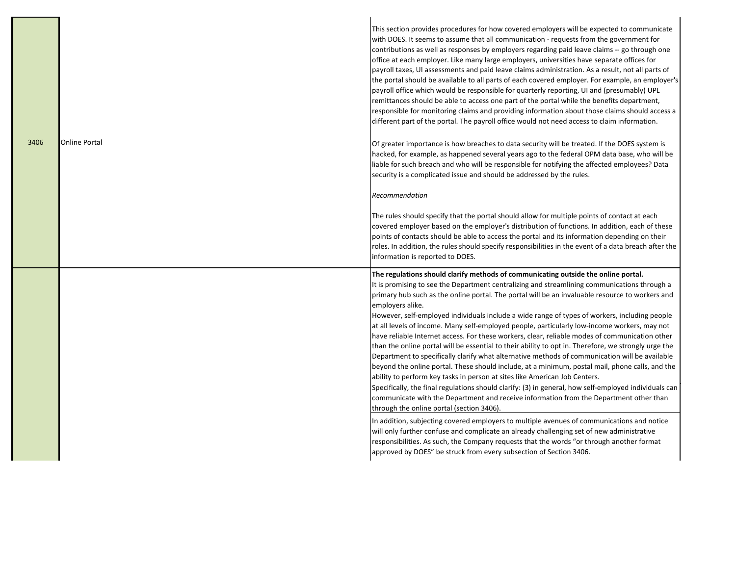|      |                      | This section provides procedures for how covered employers will be expected to communicate<br>with DOES. It seems to assume that all communication - requests from the government for<br>contributions as well as responses by employers regarding paid leave claims -- go through one<br>office at each employer. Like many large employers, universities have separate offices for<br>payroll taxes, UI assessments and paid leave claims administration. As a result, not all parts of<br>the portal should be available to all parts of each covered employer. For example, an employer's<br>payroll office which would be responsible for quarterly reporting, UI and (presumably) UPL<br>remittances should be able to access one part of the portal while the benefits department,<br>responsible for monitoring claims and providing information about those claims should access a<br>different part of the portal. The payroll office would not need access to claim information.                                                                                                                                                                                                                                                            |
|------|----------------------|--------------------------------------------------------------------------------------------------------------------------------------------------------------------------------------------------------------------------------------------------------------------------------------------------------------------------------------------------------------------------------------------------------------------------------------------------------------------------------------------------------------------------------------------------------------------------------------------------------------------------------------------------------------------------------------------------------------------------------------------------------------------------------------------------------------------------------------------------------------------------------------------------------------------------------------------------------------------------------------------------------------------------------------------------------------------------------------------------------------------------------------------------------------------------------------------------------------------------------------------------------|
| 3406 | <b>Online Portal</b> | Of greater importance is how breaches to data security will be treated. If the DOES system is<br>hacked, for example, as happened several years ago to the federal OPM data base, who will be<br>liable for such breach and who will be responsible for notifying the affected employees? Data<br>security is a complicated issue and should be addressed by the rules.                                                                                                                                                                                                                                                                                                                                                                                                                                                                                                                                                                                                                                                                                                                                                                                                                                                                                |
|      |                      | Recommendation                                                                                                                                                                                                                                                                                                                                                                                                                                                                                                                                                                                                                                                                                                                                                                                                                                                                                                                                                                                                                                                                                                                                                                                                                                         |
|      |                      | The rules should specify that the portal should allow for multiple points of contact at each<br>covered employer based on the employer's distribution of functions. In addition, each of these<br>points of contacts should be able to access the portal and its information depending on their<br>roles. In addition, the rules should specify responsibilities in the event of a data breach after the<br>information is reported to DOES.                                                                                                                                                                                                                                                                                                                                                                                                                                                                                                                                                                                                                                                                                                                                                                                                           |
|      |                      | The regulations should clarify methods of communicating outside the online portal.<br>It is promising to see the Department centralizing and streamlining communications through a<br>primary hub such as the online portal. The portal will be an invaluable resource to workers and<br>employers alike.<br>However, self-employed individuals include a wide range of types of workers, including people<br>at all levels of income. Many self-employed people, particularly low-income workers, may not<br>have reliable Internet access. For these workers, clear, reliable modes of communication other<br>than the online portal will be essential to their ability to opt in. Therefore, we strongly urge the<br>Department to specifically clarify what alternative methods of communication will be available<br>beyond the online portal. These should include, at a minimum, postal mail, phone calls, and the<br>ability to perform key tasks in person at sites like American Job Centers.<br>Specifically, the final regulations should clarify: (3) in general, how self-employed individuals can<br>communicate with the Department and receive information from the Department other than<br>through the online portal (section 3406) |
|      |                      | In addition, subjecting covered employers to multiple avenues of communications and notice<br>will only further confuse and complicate an already challenging set of new administrative<br>responsibilities. As such, the Company requests that the words "or through another format<br>approved by DOES" be struck from every subsection of Section 3406.                                                                                                                                                                                                                                                                                                                                                                                                                                                                                                                                                                                                                                                                                                                                                                                                                                                                                             |

L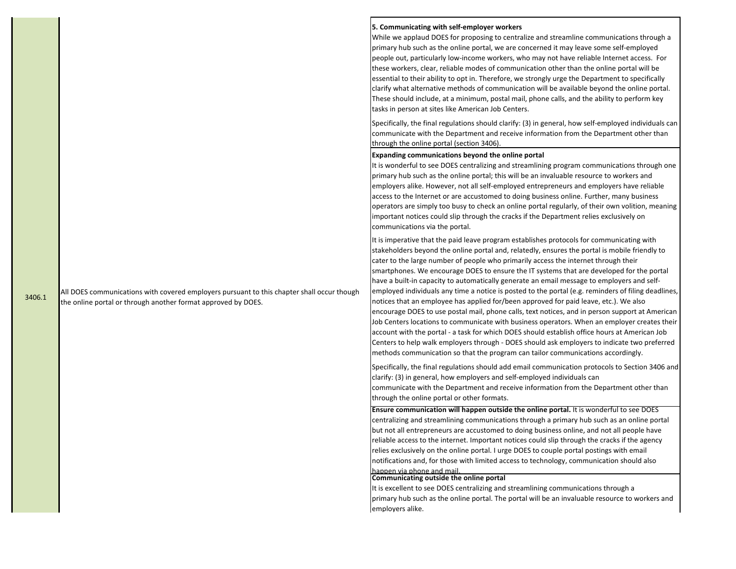All DOES communications with covered employers pursuant to this chapter shall occur though 3406.1 The online portal or through another format approved by DOES.

## **5. Communicating with self-employer workers**

While we applaud DOES for proposing to centralize and streamline communications through a primary hub such as the online portal, we are concerned it may leave some self-employed people out, particularly low-income workers, who may not have reliable Internet access. For these workers, clear, reliable modes of communication other than the online portal will be essential to their ability to opt in. Therefore, we strongly urge the Department to specifically clarify what alternative methods of communication will be available beyond the online portal. These should include, at a minimum, postal mail, phone calls, and the ability to perform key tasks in person at sites like American Job Centers.

Specifically, the final regulations should clarify: (3) in general, how self-employed individuals can communicate with the Department and receive information from the Department other than through the online portal (section 3406).

### **Expanding communications beyond the online portal**

It is wonderful to see DOES centralizing and streamlining program communications through one primary hub such as the online portal; this will be an invaluable resource to workers and employers alike. However, not all self-employed entrepreneurs and employers have reliable access to the Internet or are accustomed to doing business online. Further, many business operators are simply too busy to check an online portal regularly, of their own volition, meaning important notices could slip through the cracks if the Department relies exclusively on communications via the portal.

It is imperative that the paid leave program establishes protocols for communicating with stakeholders beyond the online portal and, relatedly, ensures the portal is mobile friendly to cater to the large number of people who primarily access the internet through their smartphones. We encourage DOES to ensure the IT systems that are developed for the portal have a built-in capacity to automatically generate an email message to employers and selfemployed individuals any time a notice is posted to the portal (e.g. reminders of filing deadlines, notices that an employee has applied for/been approved for paid leave, etc.). We also encourage DOES to use postal mail, phone calls, text notices, and in person support at American Job Centers locations to communicate with business operators. When an employer creates their account with the portal - a task for which DOES should establish office hours at American Job Centers to help walk employers through - DOES should ask employers to indicate two preferred methods communication so that the program can tailor communications accordingly.

Specifically, the final regulations should add email communication protocols to Section 3406 and clarify: (3) in general, how employers and self-employed individuals can communicate with the Department and receive information from the Department other than

through the online portal or other formats.

**Ensure communication will happen outside the online portal.** It is wonderful to see DOES centralizing and streamlining communications through a primary hub such as an online portal but not all entrepreneurs are accustomed to doing business online, and not all people have reliable access to the internet. Important notices could slip through the cracks if the agency relies exclusively on the online portal. I urge DOES to couple portal postings with email notifications and, for those with limited access to technology, communication should also happen via phone and mail.

# **Communicating outside the online portal**

It is excellent to see DOES centralizing and streamlining communications through a primary hub such as the online portal. The portal will be an invaluable resource to workers and employers alike.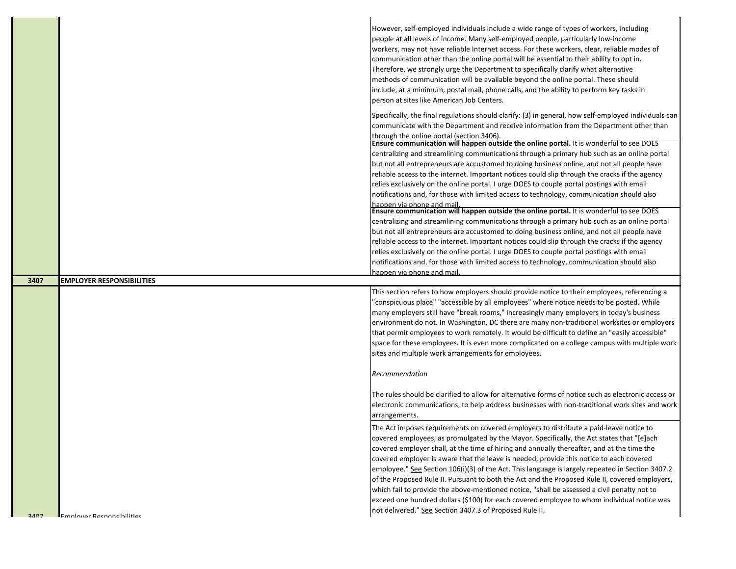|      |                                  | However, self-employed individuals include a wide range of types of workers, including<br>people at all levels of income. Many self-employed people, particularly low-income<br>workers, may not have reliable Internet access. For these workers, clear, reliable modes of<br>communication other than the online portal will be essential to their ability to opt in.<br>Therefore, we strongly urge the Department to specifically clarify what alternative<br>methods of communication will be available beyond the online portal. These should<br>include, at a minimum, postal mail, phone calls, and the ability to perform key tasks in<br>person at sites like American Job Centers.                                                                                                                                    |
|------|----------------------------------|----------------------------------------------------------------------------------------------------------------------------------------------------------------------------------------------------------------------------------------------------------------------------------------------------------------------------------------------------------------------------------------------------------------------------------------------------------------------------------------------------------------------------------------------------------------------------------------------------------------------------------------------------------------------------------------------------------------------------------------------------------------------------------------------------------------------------------|
|      |                                  | Specifically, the final regulations should clarify: (3) in general, how self-employed individuals can<br>communicate with the Department and receive information from the Department other than<br>through the online portal (section 3406).<br>Ensure communication will happen outside the online portal. It is wonderful to see DOES<br>centralizing and streamlining communications through a primary hub such as an online portal<br>but not all entrepreneurs are accustomed to doing business online, and not all people have<br>reliable access to the internet. Important notices could slip through the cracks if the agency<br>relies exclusively on the online portal. I urge DOES to couple portal postings with email<br>notifications and, for those with limited access to technology, communication should also |
|      |                                  | happen via phone and mail.<br><b>Ensure communication will happen outside the online portal.</b> It is wonderful to see DOES<br>centralizing and streamlining communications through a primary hub such as an online portal<br>but not all entrepreneurs are accustomed to doing business online, and not all people have<br>reliable access to the internet. Important notices could slip through the cracks if the agency<br>relies exclusively on the online portal. I urge DOES to couple portal postings with email<br>notifications and, for those with limited access to technology, communication should also<br>happen via phone and mail.                                                                                                                                                                              |
|      |                                  |                                                                                                                                                                                                                                                                                                                                                                                                                                                                                                                                                                                                                                                                                                                                                                                                                                  |
| 3407 | <b>EMPLOYER RESPONSIBILITIES</b> |                                                                                                                                                                                                                                                                                                                                                                                                                                                                                                                                                                                                                                                                                                                                                                                                                                  |
|      |                                  | This section refers to how employers should provide notice to their employees, referencing a<br>"conspicuous place" "accessible by all employees" where notice needs to be posted. While<br>many employers still have "break rooms," increasingly many employers in today's business<br>environment do not. In Washington, DC there are many non-traditional worksites or employers<br>that permit employees to work remotely. It would be difficult to define an "easily accessible"<br>space for these employees. It is even more complicated on a college campus with multiple work<br>sites and multiple work arrangements for employees.                                                                                                                                                                                    |
|      |                                  |                                                                                                                                                                                                                                                                                                                                                                                                                                                                                                                                                                                                                                                                                                                                                                                                                                  |
|      |                                  | Recommendation<br>The rules should be clarified to allow for alternative forms of notice such as electronic access or<br>electronic communications, to help address businesses with non-traditional work sites and work<br>arrangements.                                                                                                                                                                                                                                                                                                                                                                                                                                                                                                                                                                                         |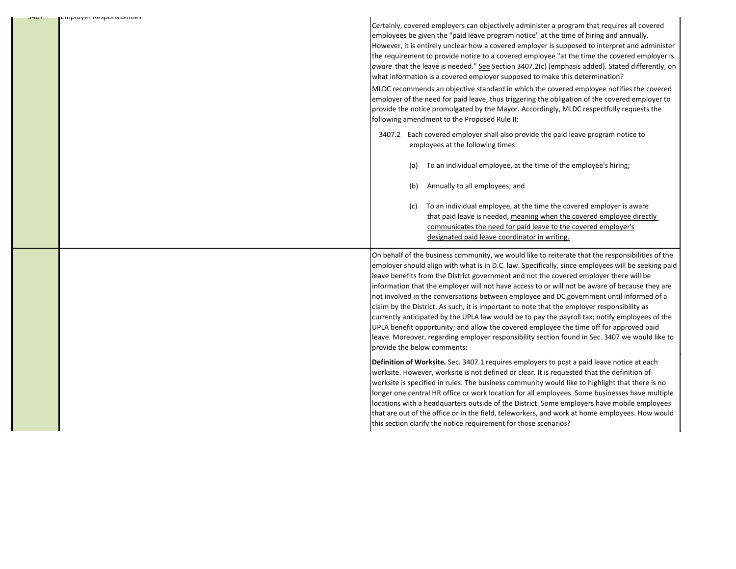| בחווטוסערו ווכאטווואוווווורס<br>וט <del>ו</del> יכ | Certainly, covered employers can objectively administer a program that requires all covered<br>employees be given the "paid leave program notice" at the time of hiring and annually.<br>However, it is entirely unclear how a covered employer is supposed to interpret and administer<br>the requirement to provide notice to a covered employee "at the time the covered employer is<br>aware that the leave is needed." See Section 3407.2(c) (emphasis added). Stated differently, on<br>what information is a covered employer supposed to make this determination?<br>MLDC recommends an objective standard in which the covered employee notifies the covered<br>employer of the need for paid leave, thus triggering the obligation of the covered employer to<br>provide the notice promulgated by the Mayor. Accordingly, MLDC respectfully requests the<br>following amendment to the Proposed Rule II:<br>3407.2 Each covered employer shall also provide the paid leave program notice to<br>employees at the following times:<br>To an individual employee, at the time of the employee's hiring;<br>(a)<br>Annually to all employees; and<br>(b)<br>To an individual employee, at the time the covered employer is aware<br>(c)<br>that paid leave is needed, meaning when the covered employee directly<br>communicates the need for paid leave to the covered employer's<br>designated paid leave coordinator in writing.                                                                                                                                                        |
|----------------------------------------------------|----------------------------------------------------------------------------------------------------------------------------------------------------------------------------------------------------------------------------------------------------------------------------------------------------------------------------------------------------------------------------------------------------------------------------------------------------------------------------------------------------------------------------------------------------------------------------------------------------------------------------------------------------------------------------------------------------------------------------------------------------------------------------------------------------------------------------------------------------------------------------------------------------------------------------------------------------------------------------------------------------------------------------------------------------------------------------------------------------------------------------------------------------------------------------------------------------------------------------------------------------------------------------------------------------------------------------------------------------------------------------------------------------------------------------------------------------------------------------------------------------------------------------------------------------------------------------------------------------|
|                                                    | On behalf of the business community, we would like to reiterate that the responsibilities of the<br>employer should align with what is in D.C. law. Specifically, since employees will be seeking paid<br>leave benefits from the District government and not the covered employer there will be<br>information that the employer will not have access to or will not be aware of because they are<br>not involved in the conversations between employee and DC government until informed of a<br>claim by the District. As such, it is important to note that the employer responsibility as<br>currently anticipated by the UPLA law would be to pay the payroll tax; notify employees of the<br>UPLA benefit opportunity; and allow the covered employee the time off for approved paid<br>leave. Moreover, regarding employer responsibility section found in Sec. 3407 we would like to<br>provide the below comments:<br>Definition of Worksite. Sec. 3407.1 requires employers to post a paid leave notice at each<br>worksite. However, worksite is not defined or clear. It is requested that the definition of<br>worksite is specified in rules. The business community would like to highlight that there is no<br>longer one central HR office or work location for all employees. Some businesses have multiple<br>locations with a headquarters outside of the District. Some employers have mobile employees<br>that are out of the office or in the field, teleworkers, and work at home employees. How would<br>this section clarify the notice requirement for those scenarios? |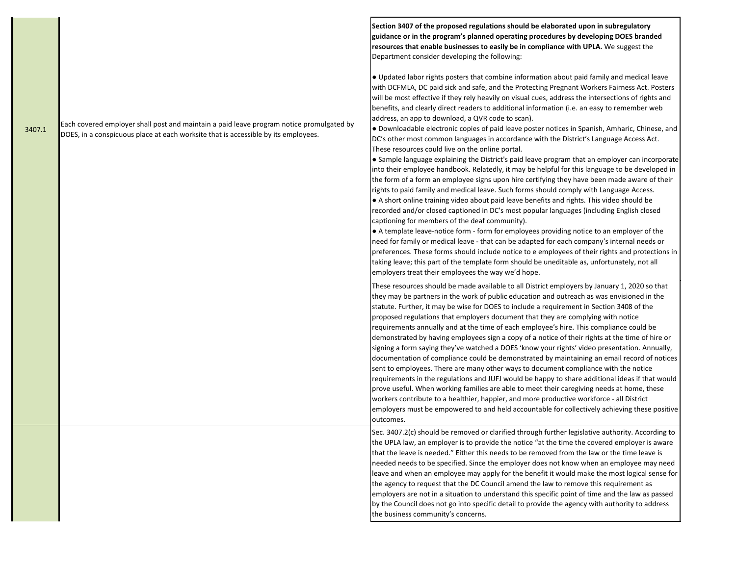|        |                                                                                                                                                                                | Section 3407 of the proposed regulations should be elaborated upon in subregulatory<br>guidance or in the program's planned operating procedures by developing DOES branded<br>resources that enable businesses to easily be in compliance with UPLA. We suggest the<br>Department consider developing the following:                                                                                                                                                                                                                                                                                                                                                                                                                                                                                                                                                                                                                                                                                                                                                                                                                                                                                                                                                                                                                                                                                                                                                                                                                                                                                                                                                                                                                                                                                           |
|--------|--------------------------------------------------------------------------------------------------------------------------------------------------------------------------------|-----------------------------------------------------------------------------------------------------------------------------------------------------------------------------------------------------------------------------------------------------------------------------------------------------------------------------------------------------------------------------------------------------------------------------------------------------------------------------------------------------------------------------------------------------------------------------------------------------------------------------------------------------------------------------------------------------------------------------------------------------------------------------------------------------------------------------------------------------------------------------------------------------------------------------------------------------------------------------------------------------------------------------------------------------------------------------------------------------------------------------------------------------------------------------------------------------------------------------------------------------------------------------------------------------------------------------------------------------------------------------------------------------------------------------------------------------------------------------------------------------------------------------------------------------------------------------------------------------------------------------------------------------------------------------------------------------------------------------------------------------------------------------------------------------------------|
| 3407.1 | Each covered employer shall post and maintain a paid leave program notice promulgated by<br>DOES, in a conspicuous place at each worksite that is accessible by its employees. | • Updated labor rights posters that combine information about paid family and medical leave<br>with DCFMLA, DC paid sick and safe, and the Protecting Pregnant Workers Fairness Act. Posters<br>will be most effective if they rely heavily on visual cues, address the intersections of rights and<br>benefits, and clearly direct readers to additional information (i.e. an easy to remember web<br>address, an app to download, a QVR code to scan).<br>. Downloadable electronic copies of paid leave poster notices in Spanish, Amharic, Chinese, and<br>DC's other most common languages in accordance with the District's Language Access Act.<br>These resources could live on the online portal.<br>• Sample language explaining the District's paid leave program that an employer can incorporate<br>into their employee handbook. Relatedly, it may be helpful for this language to be developed in<br>the form of a form an employee signs upon hire certifying they have been made aware of their<br>rights to paid family and medical leave. Such forms should comply with Language Access.<br>• A short online training video about paid leave benefits and rights. This video should be<br>recorded and/or closed captioned in DC's most popular languages (including English closed<br>captioning for members of the deaf community).<br>• A template leave-notice form - form for employees providing notice to an employer of the<br>need for family or medical leave - that can be adapted for each company's internal needs or<br>preferences. These forms should include notice to e employees of their rights and protections in<br>taking leave; this part of the template form should be uneditable as, unfortunately, not all<br>employers treat their employees the way we'd hope. |
|        |                                                                                                                                                                                | These resources should be made available to all District employers by January 1, 2020 so that<br>they may be partners in the work of public education and outreach as was envisioned in the<br>statute. Further, it may be wise for DOES to include a requirement in Section 3408 of the<br>proposed regulations that employers document that they are complying with notice<br>requirements annually and at the time of each employee's hire. This compliance could be<br>demonstrated by having employees sign a copy of a notice of their rights at the time of hire or<br>signing a form saying they've watched a DOES 'know your rights' video presentation. Annually,<br>documentation of compliance could be demonstrated by maintaining an email record of notices<br>sent to employees. There are many other ways to document compliance with the notice<br>requirements in the regulations and JUFJ would be happy to share additional ideas if that would<br>prove useful. When working families are able to meet their caregiving needs at home, these<br>workers contribute to a healthier, happier, and more productive workforce - all District<br>employers must be empowered to and held accountable for collectively achieving these positive<br>outcomes.                                                                                                                                                                                                                                                                                                                                                                                                                                                                                                                                    |
|        |                                                                                                                                                                                | Sec. 3407.2(c) should be removed or clarified through further legislative authority. According to<br>the UPLA law, an employer is to provide the notice "at the time the covered employer is aware<br>that the leave is needed." Either this needs to be removed from the law or the time leave is<br>needed needs to be specified. Since the employer does not know when an employee may need<br>leave and when an employee may apply for the benefit it would make the most logical sense for<br>the agency to request that the DC Council amend the law to remove this requirement as<br>employers are not in a situation to understand this specific point of time and the law as passed<br>by the Council does not go into specific detail to provide the agency with authority to address<br>the business community's concerns.                                                                                                                                                                                                                                                                                                                                                                                                                                                                                                                                                                                                                                                                                                                                                                                                                                                                                                                                                                           |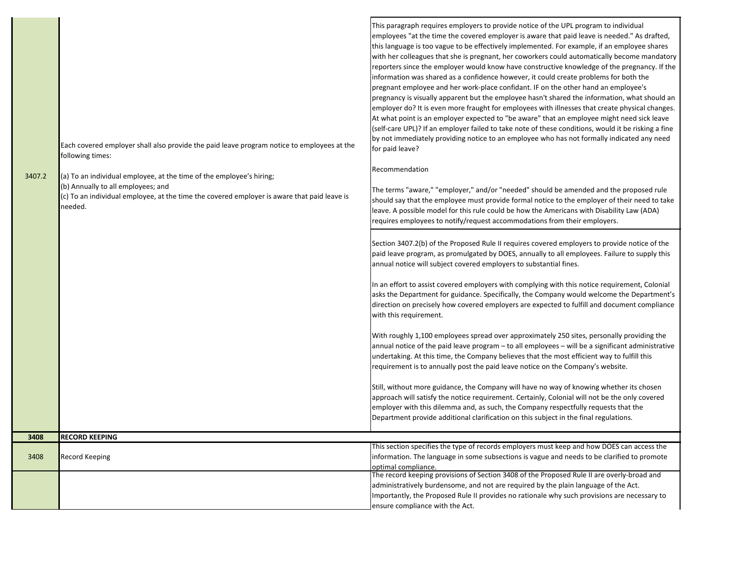| 3407.2 | Each covered employer shall also provide the paid leave program notice to employees at the<br>following times:<br>(a) To an individual employee, at the time of the employee's hiring;<br>(b) Annually to all employees; and<br>(c) To an individual employee, at the time the covered employer is aware that paid leave is<br>needed. | This paragraph requires employers to provide notice of the UPL program to individual<br>employees "at the time the covered employer is aware that paid leave is needed." As drafted,<br>this language is too vague to be effectively implemented. For example, if an employee shares<br>with her colleagues that she is pregnant, her coworkers could automatically become mandatory<br>reporters since the employer would know have constructive knowledge of the pregnancy. If the<br>information was shared as a confidence however, it could create problems for both the<br>pregnant employee and her work-place confidant. IF on the other hand an employee's<br>pregnancy is visually apparent but the employee hasn't shared the information, what should an<br>employer do? It is even more fraught for employees with illnesses that create physical changes.<br>At what point is an employer expected to "be aware" that an employee might need sick leave<br>(self-care UPL)? If an employer failed to take note of these conditions, would it be risking a fine<br>by not immediately providing notice to an employee who has not formally indicated any need<br>for paid leave?<br>Recommendation<br>The terms "aware," "employer," and/or "needed" should be amended and the proposed rule<br>should say that the employee must provide formal notice to the employer of their need to take<br>leave. A possible model for this rule could be how the Americans with Disability Law (ADA)<br>requires employees to notify/request accommodations from their employers.<br>Section 3407.2(b) of the Proposed Rule II requires covered employers to provide notice of the<br>paid leave program, as promulgated by DOES, annually to all employees. Failure to supply this<br>annual notice will subject covered employers to substantial fines.<br>In an effort to assist covered employers with complying with this notice requirement, Colonial<br>asks the Department for guidance. Specifically, the Company would welcome the Department's<br>direction on precisely how covered employers are expected to fulfill and document compliance<br>with this requirement.<br>With roughly 1,100 employees spread over approximately 250 sites, personally providing the<br>annual notice of the paid leave program - to all employees - will be a significant administrative<br>undertaking. At this time, the Company believes that the most efficient way to fulfill this<br>requirement is to annually post the paid leave notice on the Company's website.<br>Still, without more guidance, the Company will have no way of knowing whether its chosen<br>approach will satisfy the notice requirement. Certainly, Colonial will not be the only covered<br>employer with this dilemma and, as such, the Company respectfully requests that the<br>Department provide additional clarification on this subject in the final regulations. |
|--------|----------------------------------------------------------------------------------------------------------------------------------------------------------------------------------------------------------------------------------------------------------------------------------------------------------------------------------------|------------------------------------------------------------------------------------------------------------------------------------------------------------------------------------------------------------------------------------------------------------------------------------------------------------------------------------------------------------------------------------------------------------------------------------------------------------------------------------------------------------------------------------------------------------------------------------------------------------------------------------------------------------------------------------------------------------------------------------------------------------------------------------------------------------------------------------------------------------------------------------------------------------------------------------------------------------------------------------------------------------------------------------------------------------------------------------------------------------------------------------------------------------------------------------------------------------------------------------------------------------------------------------------------------------------------------------------------------------------------------------------------------------------------------------------------------------------------------------------------------------------------------------------------------------------------------------------------------------------------------------------------------------------------------------------------------------------------------------------------------------------------------------------------------------------------------------------------------------------------------------------------------------------------------------------------------------------------------------------------------------------------------------------------------------------------------------------------------------------------------------------------------------------------------------------------------------------------------------------------------------------------------------------------------------------------------------------------------------------------------------------------------------------------------------------------------------------------------------------------------------------------------------------------------------------------------------------------------------------------------------------------------------------------------------------------------------------------------------------------------------------------------------------------------------------------------------------------------------------------------------------------------------------------------------------------------------|
| 3408   | <b>RECORD KEEPING</b>                                                                                                                                                                                                                                                                                                                  |                                                                                                                                                                                                                                                                                                                                                                                                                                                                                                                                                                                                                                                                                                                                                                                                                                                                                                                                                                                                                                                                                                                                                                                                                                                                                                                                                                                                                                                                                                                                                                                                                                                                                                                                                                                                                                                                                                                                                                                                                                                                                                                                                                                                                                                                                                                                                                                                                                                                                                                                                                                                                                                                                                                                                                                                                                                                                                                                                            |
| 3408   | Record Keeping                                                                                                                                                                                                                                                                                                                         | This section specifies the type of records employers must keep and how DOES can access the<br>information. The language in some subsections is vague and needs to be clarified to promote<br>optimal compliance.<br>The record keeping provisions of Section 3408 of the Proposed Rule II are overly-broad and                                                                                                                                                                                                                                                                                                                                                                                                                                                                                                                                                                                                                                                                                                                                                                                                                                                                                                                                                                                                                                                                                                                                                                                                                                                                                                                                                                                                                                                                                                                                                                                                                                                                                                                                                                                                                                                                                                                                                                                                                                                                                                                                                                                                                                                                                                                                                                                                                                                                                                                                                                                                                                             |
|        |                                                                                                                                                                                                                                                                                                                                        | administratively burdensome, and not are required by the plain language of the Act.<br>Importantly, the Proposed Rule II provides no rationale why such provisions are necessary to<br>ensure compliance with the Act.                                                                                                                                                                                                                                                                                                                                                                                                                                                                                                                                                                                                                                                                                                                                                                                                                                                                                                                                                                                                                                                                                                                                                                                                                                                                                                                                                                                                                                                                                                                                                                                                                                                                                                                                                                                                                                                                                                                                                                                                                                                                                                                                                                                                                                                                                                                                                                                                                                                                                                                                                                                                                                                                                                                                     |

п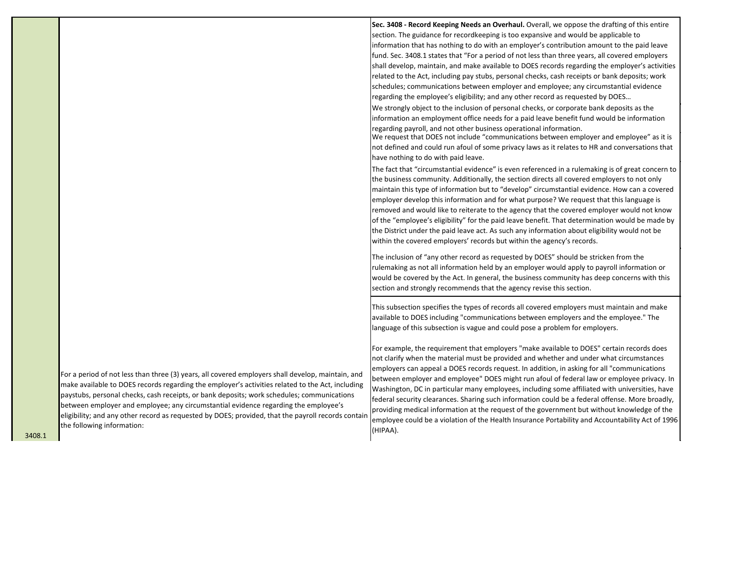|                                                                                                                                                                                                                                                                                                                                                                                                                                                                                                                                | Sec. 3408 - Record Keeping Needs an Overhaul. Overall, we oppose the drafting of this entire<br>section. The guidance for recordkeeping is too expansive and would be applicable to<br>information that has nothing to do with an employer's contribution amount to the paid leave<br>fund. Sec. 3408.1 states that "For a period of not less than three years, all covered employers<br>shall develop, maintain, and make available to DOES records regarding the employer's activities<br>related to the Act, including pay stubs, personal checks, cash receipts or bank deposits; work                                                                                                                                                                                                             |
|--------------------------------------------------------------------------------------------------------------------------------------------------------------------------------------------------------------------------------------------------------------------------------------------------------------------------------------------------------------------------------------------------------------------------------------------------------------------------------------------------------------------------------|--------------------------------------------------------------------------------------------------------------------------------------------------------------------------------------------------------------------------------------------------------------------------------------------------------------------------------------------------------------------------------------------------------------------------------------------------------------------------------------------------------------------------------------------------------------------------------------------------------------------------------------------------------------------------------------------------------------------------------------------------------------------------------------------------------|
|                                                                                                                                                                                                                                                                                                                                                                                                                                                                                                                                | schedules; communications between employer and employee; any circumstantial evidence<br>regarding the employee's eligibility; and any other record as requested by DOES<br>We strongly object to the inclusion of personal checks, or corporate bank deposits as the<br>information an employment office needs for a paid leave benefit fund would be information                                                                                                                                                                                                                                                                                                                                                                                                                                      |
|                                                                                                                                                                                                                                                                                                                                                                                                                                                                                                                                | regarding payroll, and not other business operational information.<br>We request that DOES not include "communications between employer and employee" as it is<br>not defined and could run afoul of some privacy laws as it relates to HR and conversations that<br>have nothing to do with paid leave.                                                                                                                                                                                                                                                                                                                                                                                                                                                                                               |
|                                                                                                                                                                                                                                                                                                                                                                                                                                                                                                                                | The fact that "circumstantial evidence" is even referenced in a rulemaking is of great concern to<br>the business community. Additionally, the section directs all covered employers to not only<br>maintain this type of information but to "develop" circumstantial evidence. How can a covered<br>employer develop this information and for what purpose? We request that this language is<br>removed and would like to reiterate to the agency that the covered employer would not know<br>of the "employee's eligibility" for the paid leave benefit. That determination would be made by<br>the District under the paid leave act. As such any information about eligibility would not be<br>within the covered employers' records but within the agency's records.                              |
|                                                                                                                                                                                                                                                                                                                                                                                                                                                                                                                                | The inclusion of "any other record as requested by DOES" should be stricken from the<br>rulemaking as not all information held by an employer would apply to payroll information or<br>would be covered by the Act. In general, the business community has deep concerns with this<br>section and strongly recommends that the agency revise this section.                                                                                                                                                                                                                                                                                                                                                                                                                                             |
|                                                                                                                                                                                                                                                                                                                                                                                                                                                                                                                                | This subsection specifies the types of records all covered employers must maintain and make<br>available to DOES including "communications between employers and the employee." The<br>language of this subsection is vague and could pose a problem for employers.                                                                                                                                                                                                                                                                                                                                                                                                                                                                                                                                    |
| For a period of not less than three (3) years, all covered employers shall develop, maintain, and<br>make available to DOES records regarding the employer's activities related to the Act, including<br>paystubs, personal checks, cash receipts, or bank deposits; work schedules; communications<br>between employer and employee; any circumstantial evidence regarding the employee's<br>eligibility; and any other record as requested by DOES; provided, that the payroll records contain<br>the following information: | For example, the requirement that employers "make available to DOES" certain records does<br>not clarify when the material must be provided and whether and under what circumstances<br>employers can appeal a DOES records request. In addition, in asking for all "communications"<br>between employer and employee" DOES might run afoul of federal law or employee privacy. In<br>Washington, DC in particular many employees, including some affiliated with universities, have<br>federal security clearances. Sharing such information could be a federal offense. More broadly,<br>providing medical information at the request of the government but without knowledge of the<br>employee could be a violation of the Health Insurance Portability and Accountability Act of 1996<br>(HIPAA). |

ι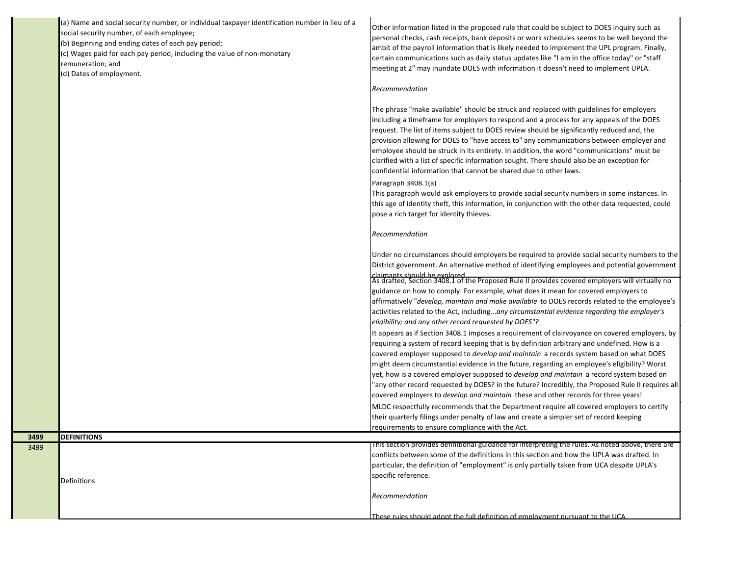|              | (a) Name and social security number, or individual taxpayer identification number in lieu of a<br>social security number, of each employee;<br>(b) Beginning and ending dates of each pay period;<br>(c) Wages paid for each pay period, including the value of non-monetary<br>remuneration; and<br>(d) Dates of employment. | Other information listed in the proposed rule that could be subject to DOES inquiry such as<br>personal checks, cash receipts, bank deposits or work schedules seems to be well beyond the<br>ambit of the payroll information that is likely needed to implement the UPL program. Finally,<br>certain communications such as daily status updates like "I am in the office today" or "staff<br>meeting at 2" may inundate DOES with information it doesn't need to implement UPLA.<br>Recommendation<br>The phrase "make available" should be struck and replaced with guidelines for employers<br>including a timeframe for employers to respond and a process for any appeals of the DOES<br>request. The list of items subject to DOES review should be significantly reduced and, the<br>provision allowing for DOES to "have access to" any communications between employer and<br>employee should be struck in its entirety. In addition, the word "communications" must be<br>clarified with a list of specific information sought. There should also be an exception for<br>confidential information that cannot be shared due to other laws.<br>Paragraph 3408.1(a)<br>This paragraph would ask employers to provide social security numbers in some instances. In<br>this age of identity theft, this information, in conjunction with the other data requested, could<br>pose a rich target for identity thieves.<br>Recommendation<br>Under no circumstances should employers be required to provide social security numbers to the<br>District government. An alternative method of identifying employees and potential government<br>claimants should be explored<br>As drafted, Section 3408.1 of the Proposed Rule II provides covered employers will virtually no<br>guidance on how to comply. For example, what does it mean for covered employers to<br>affirmatively "develop, maintain and make available to DOES records related to the employee's<br>activities related to the Act, includingany circumstantial evidence regarding the employer's<br>eligibility; and any other record requested by DOES"?<br>It appears as if Section 3408.1 imposes a requirement of clairvoyance on covered employers, by<br>requiring a system of record keeping that is by definition arbitrary and undefined. How is a<br>covered employer supposed to <i>develop and maintain</i> a records system based on what DOES<br>might deem circumstantial evidence in the future, regarding an employee's eligibility? Worst<br>yet, how is a covered employer supposed to <i>develop and maintain</i> a record system based on<br>'any other record requested by DOES? in the future? Incredibly, the Proposed Rule II requires all<br>covered employers to develop and maintain these and other records for three years!<br>MLDC respectfully recommends that the Department require all covered employers to certify<br>their quarterly filings under penalty of law and create a simpler set of record keeping |
|--------------|-------------------------------------------------------------------------------------------------------------------------------------------------------------------------------------------------------------------------------------------------------------------------------------------------------------------------------|-----------------------------------------------------------------------------------------------------------------------------------------------------------------------------------------------------------------------------------------------------------------------------------------------------------------------------------------------------------------------------------------------------------------------------------------------------------------------------------------------------------------------------------------------------------------------------------------------------------------------------------------------------------------------------------------------------------------------------------------------------------------------------------------------------------------------------------------------------------------------------------------------------------------------------------------------------------------------------------------------------------------------------------------------------------------------------------------------------------------------------------------------------------------------------------------------------------------------------------------------------------------------------------------------------------------------------------------------------------------------------------------------------------------------------------------------------------------------------------------------------------------------------------------------------------------------------------------------------------------------------------------------------------------------------------------------------------------------------------------------------------------------------------------------------------------------------------------------------------------------------------------------------------------------------------------------------------------------------------------------------------------------------------------------------------------------------------------------------------------------------------------------------------------------------------------------------------------------------------------------------------------------------------------------------------------------------------------------------------------------------------------------------------------------------------------------------------------------------------------------------------------------------------------------------------------------------------------------------------------------------------------------------------------------------------------------------------------------------------------------------------------------------------------------------------------------------------------------------------------------------------------------------------------------------------------------------------------------------------------------------------------------------|
|              |                                                                                                                                                                                                                                                                                                                               | requirements to ensure compliance with the Act.                                                                                                                                                                                                                                                                                                                                                                                                                                                                                                                                                                                                                                                                                                                                                                                                                                                                                                                                                                                                                                                                                                                                                                                                                                                                                                                                                                                                                                                                                                                                                                                                                                                                                                                                                                                                                                                                                                                                                                                                                                                                                                                                                                                                                                                                                                                                                                                                                                                                                                                                                                                                                                                                                                                                                                                                                                                                                                                                                                             |
| 3499<br>3499 | <b>DEFINITIONS</b>                                                                                                                                                                                                                                                                                                            | This section provides definitional guidance for interpreting the rules. As noted above, there are                                                                                                                                                                                                                                                                                                                                                                                                                                                                                                                                                                                                                                                                                                                                                                                                                                                                                                                                                                                                                                                                                                                                                                                                                                                                                                                                                                                                                                                                                                                                                                                                                                                                                                                                                                                                                                                                                                                                                                                                                                                                                                                                                                                                                                                                                                                                                                                                                                                                                                                                                                                                                                                                                                                                                                                                                                                                                                                           |
|              | Definitions                                                                                                                                                                                                                                                                                                                   | conflicts between some of the definitions in this section and how the UPLA was drafted. In<br>particular, the definition of "employment" is only partially taken from UCA despite UPLA's<br>specific reference.<br>Recommendation                                                                                                                                                                                                                                                                                                                                                                                                                                                                                                                                                                                                                                                                                                                                                                                                                                                                                                                                                                                                                                                                                                                                                                                                                                                                                                                                                                                                                                                                                                                                                                                                                                                                                                                                                                                                                                                                                                                                                                                                                                                                                                                                                                                                                                                                                                                                                                                                                                                                                                                                                                                                                                                                                                                                                                                           |
|              |                                                                                                                                                                                                                                                                                                                               | These rules should adont the full definition of employment pursuant to the UCA                                                                                                                                                                                                                                                                                                                                                                                                                                                                                                                                                                                                                                                                                                                                                                                                                                                                                                                                                                                                                                                                                                                                                                                                                                                                                                                                                                                                                                                                                                                                                                                                                                                                                                                                                                                                                                                                                                                                                                                                                                                                                                                                                                                                                                                                                                                                                                                                                                                                                                                                                                                                                                                                                                                                                                                                                                                                                                                                              |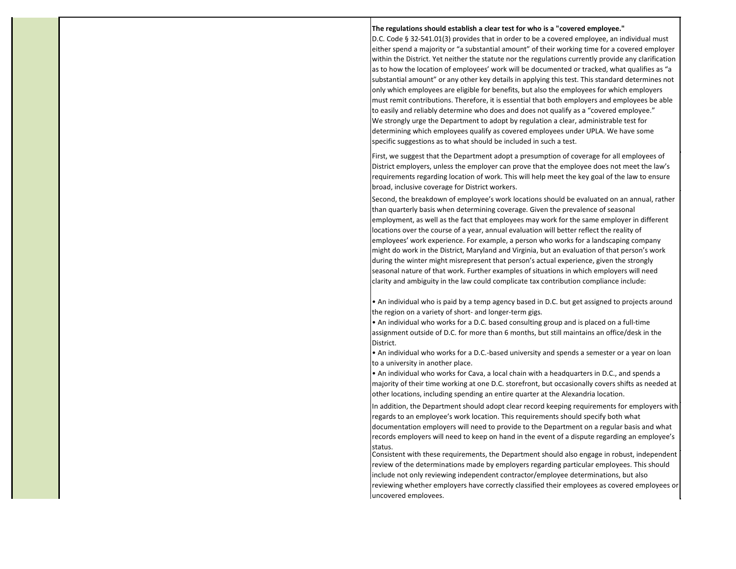#### **The regulations should establish a clear test for who is a "covered employee."**

D.C. Code § 32-541.01(3) provides that in order to be a covered employee, an individual must either spend a majority or "a substantial amount" of their working time for a covered employer within the District. Yet neither the statute nor the regulations currently provide any clarification as to how the location of employees' work will be documented or tracked, what qualifies as "a substantial amount" or any other key details in applying this test. This standard determines not only which employees are eligible for benefits, but also the employees for which employers must remit contributions. Therefore, it is essential that both employers and employees be able to easily and reliably determine who does and does not qualify as a "covered employee." We strongly urge the Department to adopt by regulation a clear, administrable test for determining which employees qualify as covered employees under UPLA. We have some specific suggestions as to what should be included in such a test.

First, we suggest that the Department adopt a presumption of coverage for all employees of District employers, unless the employer can prove that the employee does not meet the law's requirements regarding location of work. This will help meet the key goal of the law to ensure broad, inclusive coverage for District workers.

Second, the breakdown of employee's work locations should be evaluated on an annual, rather than quarterly basis when determining coverage. Given the prevalence of seasonal employment, as well as the fact that employees may work for the same employer in different locations over the course of a year, annual evaluation will better reflect the reality of employees' work experience. For example, a person who works for a landscaping company might do work in the District, Maryland and Virginia, but an evaluation of that person's work during the winter might misrepresent that person's actual experience, given the strongly seasonal nature of that work. Further examples of situations in which employers will need clarity and ambiguity in the law could complicate tax contribution compliance include:

• An individual who is paid by a temp agency based in D.C. but get assigned to projects around the region on a variety of short- and longer-term gigs.

• An individual who works for a D.C. based consulting group and is placed on a full-time assignment outside of D.C. for more than 6 months, but still maintains an office/desk in the District.

• An individual who works for a D.C.-based university and spends a semester or a year on loan to a university in another place.

• An individual who works for Cava, a local chain with a headquarters in D.C., and spends a majority of their time working at one D.C. storefront, but occasionally covers shifts as needed at other locations, including spending an entire quarter at the Alexandria location.

In addition, the Department should adopt clear record keeping requirements for employers with regards to an employee's work location. This requirements should specify both what

documentation employers will need to provide to the Department on a regular basis and what records employers will need to keep on hand in the event of a dispute regarding an employee's status.

Consistent with these requirements, the Department should also engage in robust, independent review of the determinations made by employers regarding particular employees. This should include not only reviewing independent contractor/employee determinations, but also reviewing whether employers have correctly classified their employees as covered employees or uncovered employees.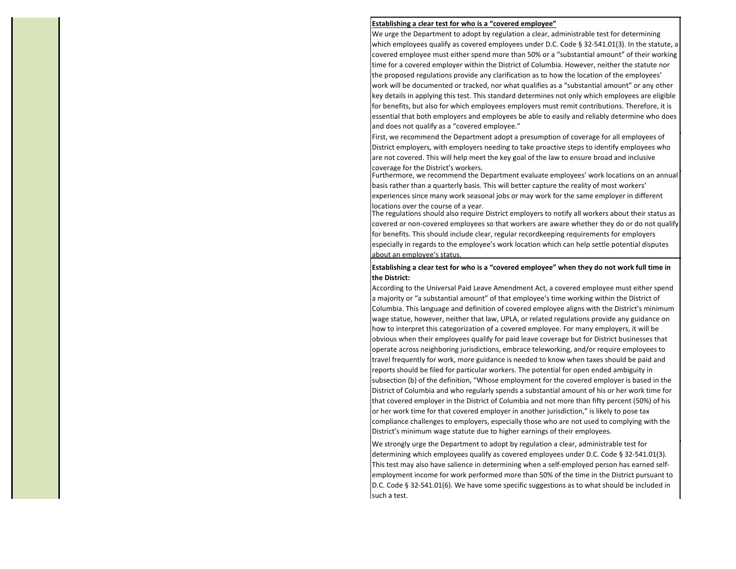# **Establishing a clear test for who is a "covered employee"**

We urge the Department to adopt by regulation a clear, administrable test for determining which employees qualify as covered employees under D.C. Code § 32-541.01(3). In the statute, a covered employee must either spend more than 50% or a "substantial amount" of their working time for a covered employer within the District of Columbia. However, neither the statute nor the proposed regulations provide any clarification as to how the location of the employees' work will be documented or tracked, nor what qualifies as a "substantial amount" or any other key details in applying this test. This standard determines not only which employees are eligible for benefits, but also for which employees employers must remit contributions. Therefore, it is essential that both employers and employees be able to easily and reliably determine who does and does not qualify as a "covered employee."

First, we recommend the Department adopt a presumption of coverage for all employees of District employers, with employers needing to take proactive steps to identify employees who are not covered. This will help meet the key goal of the law to ensure broad and inclusive coverage for the District's workers.

Furthermore, we recommend the Department evaluate employees' work locations on an annual basis rather than a quarterly basis. This will better capture the reality of most workers' experiences since many work seasonal jobs or may work for the same employer in different locations over the course of a year.

The regulations should also require District employers to notify all workers about their status as covered or non-covered employees so that workers are aware whether they do or do not qualify for benefits. This should include clear, regular recordkeeping requirements for employers especially in regards to the employee's work location which can help settle potential disputes about an employee's status.

# **Establishing a clear test for who is a "covered employee" when they do not work full time in the District:**

According to the Universal Paid Leave Amendment Act, a covered employee must either spend a majority or "a substantial amount" of that employee's time working within the District of Columbia. This language and definition of covered employee aligns with the District's minimum wage statue, however, neither that law, UPLA, or related regulations provide any guidance on how to interpret this categorization of a covered employee. For many employers, it will be obvious when their employees qualify for paid leave coverage but for District businesses that operate across neighboring jurisdictions, embrace teleworking, and/or require employees to travel frequently for work, more guidance is needed to know when taxes should be paid and reports should be filed for particular workers. The potential for open ended ambiguity in subsection (b) of the definition, "Whose employment for the covered employer is based in the District of Columbia and who regularly spends a substantial amount of his or her work time for that covered employer in the District of Columbia and not more than fifty percent (50%) of his or her work time for that covered employer in another jurisdiction," is likely to pose tax compliance challenges to employers, especially those who are not used to complying with the District's minimum wage statute due to higher earnings of their employees.

We strongly urge the Department to adopt by regulation a clear, administrable test for determining which employees qualify as covered employees under D.C. Code § 32-541.01(3). This test may also have salience in determining when a self-employed person has earned selfemployment income for work performed more than 50% of the time in the District pursuant to D.C. Code § 32-541.01(6). We have some specific suggestions as to what should be included in such a test.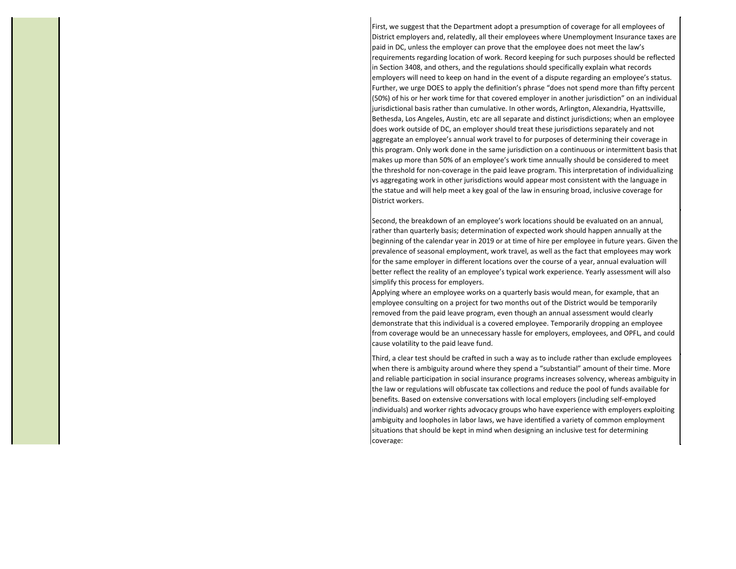First, we suggest that the Department adopt a presumption of coverage for all employees of District employers and, relatedly, all their employees where Unemployment Insurance taxes are paid in DC, unless the employer can prove that the employee does not meet the law's requirements regarding location of work. Record keeping for such purposes should be reflected in Section 3408, and others, and the regulations should specifically explain what records employers will need to keep on hand in the event of a dispute regarding an employee's status. Further, we urge DOES to apply the definition's phrase "does not spend more than fifty percent (50%) of his or her work time for that covered employer in another jurisdiction" on an individual jurisdictional basis rather than cumulative. In other words, Arlington, Alexandria, Hyattsville, Bethesda, Los Angeles, Austin, etc are all separate and distinct jurisdictions; when an employee does work outside of DC, an employer should treat these jurisdictions separately and not aggregate an employee's annual work travel to for purposes of determining their coverage in this program. Only work done in the same jurisdiction on a continuous or intermittent basis that makes up more than 50% of an employee's work time annually should be considered to meet the threshold for non-coverage in the paid leave program. This interpretation of individualizing vs aggregating work in other jurisdictions would appear most consistent with the language in the statue and will help meet a key goal of the law in ensuring broad, inclusive coverage for District workers.

Second, the breakdown of an employee's work locations should be evaluated on an annual, rather than quarterly basis; determination of expected work should happen annually at the beginning of the calendar year in 2019 or at time of hire per employee in future years. Given the prevalence of seasonal employment, work travel, as well as the fact that employees may work for the same employer in different locations over the course of a year, annual evaluation will better reflect the reality of an employee's typical work experience. Yearly assessment will also simplify this process for employers.

Applying where an employee works on a quarterly basis would mean, for example, that an employee consulting on a project for two months out of the District would be temporarily removed from the paid leave program, even though an annual assessment would clearly demonstrate that this individual is a covered employee. Temporarily dropping an employee from coverage would be an unnecessary hassle for employers, employees, and OPFL, and could cause volatility to the paid leave fund.

Third, a clear test should be crafted in such a way as to include rather than exclude employees when there is ambiguity around where they spend a "substantial" amount of their time. More and reliable participation in social insurance programs increases solvency, whereas ambiguity in the law or regulations will obfuscate tax collections and reduce the pool of funds available for benefits. Based on extensive conversations with local employers (including self-employed individuals) and worker rights advocacy groups who have experience with employers exploiting ambiguity and loopholes in labor laws, we have identified a variety of common employment situations that should be kept in mind when designing an inclusive test for determining coverage: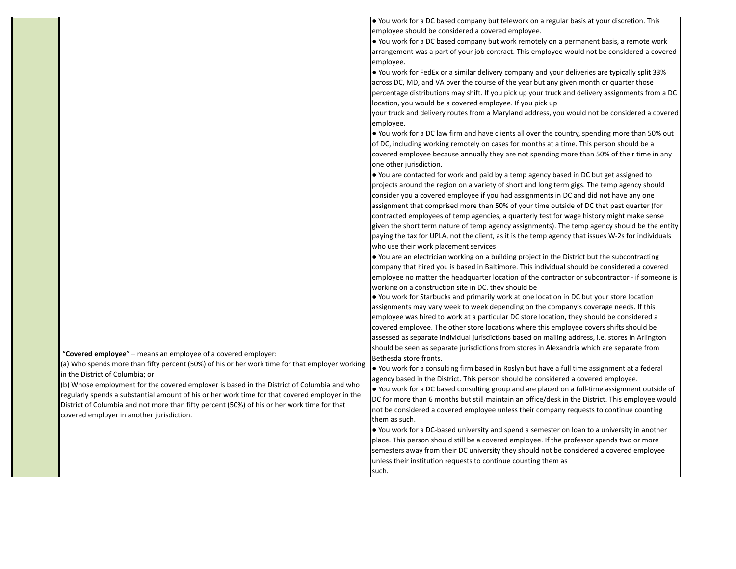"**Covered employee**" – means an employee of a covered employer:

(a) Who spends more than fifty percent (50%) of his or her work time for that employer working in the District of Columbia; or

(b) Whose employment for the covered employer is based in the District of Columbia and who regularly spends a substantial amount of his or her work time for that covered employer in the District of Columbia and not more than fifty percent (50%) of his or her work time for that covered employer in another jurisdiction.

● You work for a DC based company but telework on a regular basis at your discretion. This employee should be considered a covered employee.

● You work for a DC based company but work remotely on a permanent basis, a remote work arrangement was a part of your job contract. This employee would not be considered a covered employee.

● You work for FedEx or a similar delivery company and your deliveries are typically split 33% across DC, MD, and VA over the course of the year but any given month or quarter those percentage distributions may shift. If you pick up your truck and delivery assignments from a DC location, you would be a covered employee. If you pick up

your truck and delivery routes from a Maryland address, you would not be considered a covered employee.

● You work for a DC law firm and have clients all over the country, spending more than 50% out of DC, including working remotely on cases for months at a time. This person should be a covered employee because annually they are not spending more than 50% of their time in any one other jurisdiction.

● You are contacted for work and paid by a temp agency based in DC but get assigned to projects around the region on a variety of short and long term gigs. The temp agency should consider you a covered employee if you had assignments in DC and did not have any one assignment that comprised more than 50% of your time outside of DC that past quarter (for contracted employees of temp agencies, a quarterly test for wage history might make sense given the short term nature of temp agency assignments). The temp agency should be the entity paying the tax for UPLA, not the client, as it is the temp agency that issues W-2s for individuals who use their work placement services

● You are an electrician working on a building project in the District but the subcontracting company that hired you is based in Baltimore. This individual should be considered a covered employee no matter the headquarter location of the contractor or subcontractor - if someone is working on a construction site in DC, they should be

● You work for Starbucks and primarily work at one location in DC but your store location assignments may vary week to week depending on the company's coverage needs. If this employee was hired to work at a particular DC store location, they should be considered a covered employee. The other store locations where this employee covers shifts should be assessed as separate individual jurisdictions based on mailing address, i.e. stores in Arlington should be seen as separate jurisdictions from stores in Alexandria which are separate from Bethesda store fronts.

● You work for a consulting firm based in Roslyn but have a full time assignment at a federal agency based in the District. This person should be considered a covered employee. ● You work for a DC based consulting group and are placed on a full-time assignment outside of DC for more than 6 months but still maintain an office/desk in the District. This employee would not be considered a covered employee unless their company requests to continue counting them as such.

● You work for a DC-based university and spend a semester on loan to a university in another place. This person should still be a covered employee. If the professor spends two or more semesters away from their DC university they should not be considered a covered employee unless their institution requests to continue counting them as such.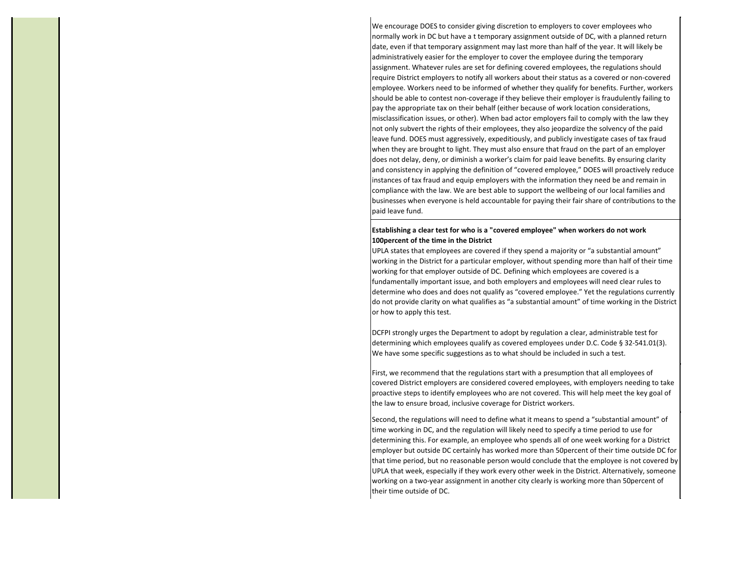We encourage DOES to consider giving discretion to employers to cover employees who normally work in DC but have a t temporary assignment outside of DC, with a planned return date, even if that temporary assignment may last more than half of the year. It will likely be administratively easier for the employer to cover the employee during the temporary assignment. Whatever rules are set for defining covered employees, the regulations should require District employers to notify all workers about their status as a covered or non-covered employee. Workers need to be informed of whether they qualify for benefits. Further, workers should be able to contest non-coverage if they believe their employer is fraudulently failing to pay the appropriate tax on their behalf (either because of work location considerations, misclassification issues, or other). When bad actor employers fail to comply with the law they not only subvert the rights of their employees, they also jeopardize the solvency of the paid leave fund. DOES must aggressively, expeditiously, and publicly investigate cases of tax fraud when they are brought to light. They must also ensure that fraud on the part of an employer does not delay, deny, or diminish a worker's claim for paid leave benefits. By ensuring clarity and consistency in applying the definition of "covered employee," DOES will proactively reduce instances of tax fraud and equip employers with the information they need be and remain in compliance with the law. We are best able to support the wellbeing of our local families and businesses when everyone is held accountable for paying their fair share of contributions to the paid leave fund.

# **Establishing a clear test for who is a "covered employee" when workers do not work 100percent of the time in the District**

UPLA states that employees are covered if they spend a majority or "a substantial amount" working in the District for a particular employer, without spending more than half of their time working for that employer outside of DC. Defining which employees are covered is a fundamentally important issue, and both employers and employees will need clear rules to determine who does and does not qualify as "covered employee." Yet the regulations currently do not provide clarity on what qualifies as "a substantial amount" of time working in the District or how to apply this test.

DCFPI strongly urges the Department to adopt by regulation a clear, administrable test for determining which employees qualify as covered employees under D.C. Code § 32-541.01(3). We have some specific suggestions as to what should be included in such a test.

First, we recommend that the regulations start with a presumption that all employees of covered District employers are considered covered employees, with employers needing to take proactive steps to identify employees who are not covered. This will help meet the key goal of the law to ensure broad, inclusive coverage for District workers.

Second, the regulations will need to define what it means to spend a "substantial amount" of time working in DC, and the regulation will likely need to specify a time period to use for determining this. For example, an employee who spends all of one week working for a District employer but outside DC certainly has worked more than 50percent of their time outside DC for that time period, but no reasonable person would conclude that the employee is not covered by UPLA that week, especially if they work every other week in the District. Alternatively, someone working on a two-year assignment in another city clearly is working more than 50percent of their time outside of DC.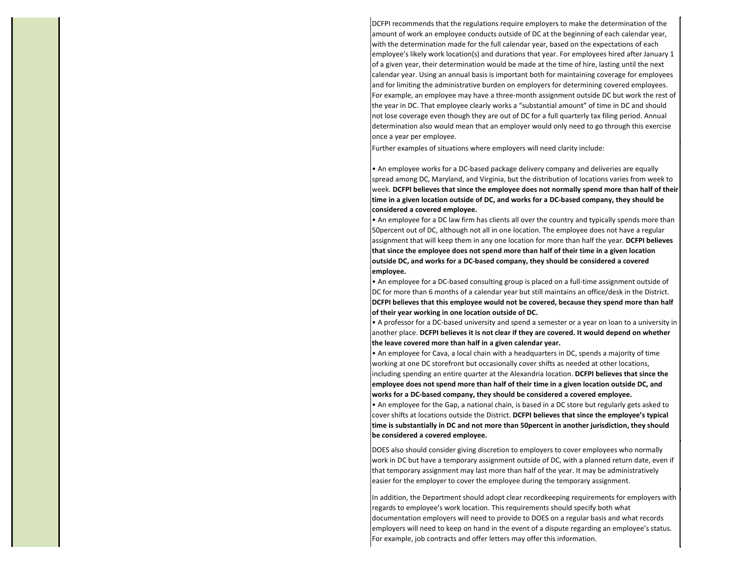DCFPI recommends that the regulations require employers to make the determination of the amount of work an employee conducts outside of DC at the beginning of each calendar year, with the determination made for the full calendar year, based on the expectations of each employee's likely work location(s) and durations that year. For employees hired after January 1 of a given year, their determination would be made at the time of hire, lasting until the next calendar year. Using an annual basis is important both for maintaining coverage for employees and for limiting the administrative burden on employers for determining covered employees. For example, an employee may have a three-month assignment outside DC but work the rest of the year in DC. That employee clearly works a "substantial amount" of time in DC and should not lose coverage even though they are out of DC for a full quarterly tax filing period. Annual determination also would mean that an employer would only need to go through this exercise once a year per employee.

Further examples of situations where employers will need clarity include:

• An employee works for a DC-based package delivery company and deliveries are equally spread among DC, Maryland, and Virginia, but the distribution of locations varies from week to week. **DCFPI believes that since the employee does not normally spend more than half of their time in a given location outside of DC, and works for a DC-based company, they should be considered a covered employee.**

• An employee for a DC law firm has clients all over the country and typically spends more than 50percent out of DC, although not all in one location. The employee does not have a regular assignment that will keep them in any one location for more than half the year. **DCFPI believes that since the employee does not spend more than half of their time in a given location outside DC, and works for a DC-based company, they should be considered a covered employee.**

• An employee for a DC-based consulting group is placed on a full-time assignment outside of DC for more than 6 months of a calendar year but still maintains an office/desk in the District. **DCFPI believes that this employee would not be covered, because they spend more than half of their year working in one location outside of DC.**

• A professor for a DC-based university and spend a semester or a year on loan to a university in another place. **DCFPI believes it is not clear if they are covered. It would depend on whether the leave covered more than half in a given calendar year.**

• An employee for Cava, a local chain with a headquarters in DC, spends a majority of time working at one DC storefront but occasionally cover shifts as needed at other locations, including spending an entire quarter at the Alexandria location. **DCFPI believes that since the employee does not spend more than half of their time in a given location outside DC, and works for a DC-based company, they should be considered a covered employee.**

• An employee for the Gap, a national chain, is based in a DC store but regularly gets asked to cover shifts at locations outside the District. **DCFPI believes that since the employee's typical time is substantially in DC and not more than 50percent in another jurisdiction, they should be considered a covered employee.**

DOES also should consider giving discretion to employers to cover employees who normally work in DC but have a temporary assignment outside of DC, with a planned return date, even if that temporary assignment may last more than half of the year. It may be administratively easier for the employer to cover the employee during the temporary assignment.

In addition, the Department should adopt clear recordkeeping requirements for employers with regards to employee's work location. This requirements should specify both what documentation employers will need to provide to DOES on a regular basis and what records employers will need to keep on hand in the event of a dispute regarding an employee's status. For example, job contracts and offer letters may offer this information.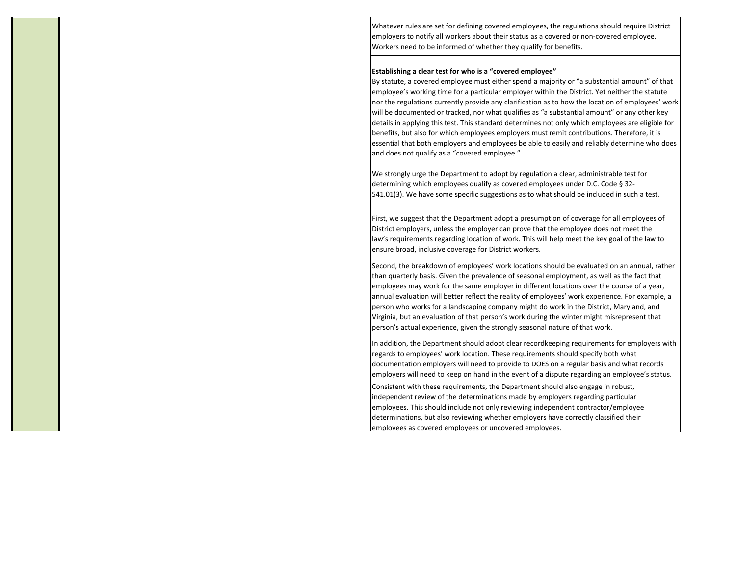Whatever rules are set for defining covered employees, the regulations should require District employers to notify all workers about their status as a covered or non-covered employee. Workers need to be informed of whether they qualify for benefits.

#### **Establishing a clear test for who is a "covered employee"**

By statute, a covered employee must either spend a majority or "a substantial amount" of that employee's working time for a particular employer within the District. Yet neither the statute nor the regulations currently provide any clarification as to how the location of employees' work will be documented or tracked, nor what qualifies as "a substantial amount" or any other key details in applying this test. This standard determines not only which employees are eligible for benefits, but also for which employees employers must remit contributions. Therefore, it is essential that both employers and employees be able to easily and reliably determine who does and does not qualify as a "covered employee."

We strongly urge the Department to adopt by regulation a clear, administrable test for determining which employees qualify as covered employees under D.C. Code § 32- 541.01(3). We have some specific suggestions as to what should be included in such a test.

First, we suggest that the Department adopt a presumption of coverage for all employees of District employers, unless the employer can prove that the employee does not meet the law's requirements regarding location of work. This will help meet the key goal of the law to ensure broad, inclusive coverage for District workers.

Second, the breakdown of employees' work locations should be evaluated on an annual, rather than quarterly basis. Given the prevalence of seasonal employment, as well as the fact that employees may work for the same employer in different locations over the course of a year, annual evaluation will better reflect the reality of employees' work experience. For example, a person who works for a landscaping company might do work in the District, Maryland, and Virginia, but an evaluation of that person's work during the winter might misrepresent that person's actual experience, given the strongly seasonal nature of that work.

In addition, the Department should adopt clear recordkeeping requirements for employers with regards to employees' work location. These requirements should specify both what documentation employers will need to provide to DOES on a regular basis and what records employers will need to keep on hand in the event of a dispute regarding an employee's status. Consistent with these requirements, the Department should also engage in robust, independent review of the determinations made by employers regarding particular employees. This should include not only reviewing independent contractor/employee determinations, but also reviewing whether employers have correctly classified their employees as covered employees or uncovered employees.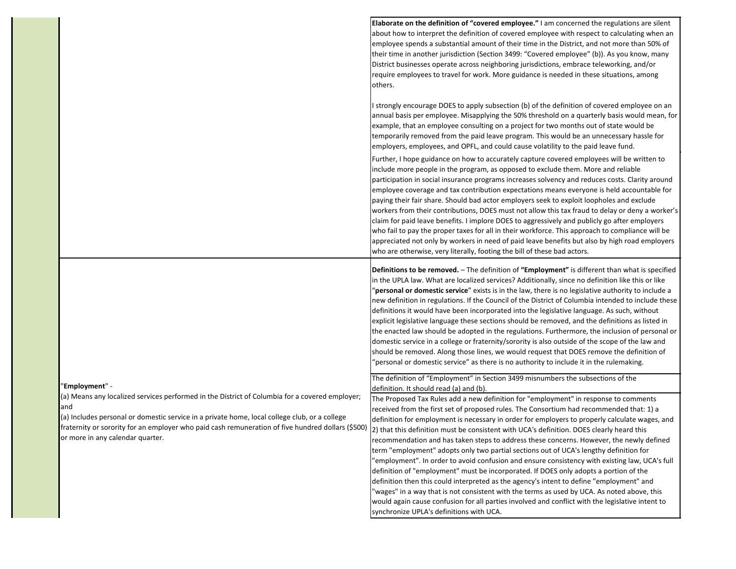|                                                                                                                                                                                                                                        | Elaborate on the definition of "covered employee." I am concerned the regulations are silent<br>about how to interpret the definition of covered employee with respect to calculating when an<br>employee spends a substantial amount of their time in the District, and not more than 50% of<br>their time in another jurisdiction (Section 3499: "Covered employee" (b)). As you know, many<br>District businesses operate across neighboring jurisdictions, embrace teleworking, and/or<br>require employees to travel for work. More guidance is needed in these situations, among<br>others.                                                                                                                                                                                                                                                                                                                                                                                                                     |
|----------------------------------------------------------------------------------------------------------------------------------------------------------------------------------------------------------------------------------------|-----------------------------------------------------------------------------------------------------------------------------------------------------------------------------------------------------------------------------------------------------------------------------------------------------------------------------------------------------------------------------------------------------------------------------------------------------------------------------------------------------------------------------------------------------------------------------------------------------------------------------------------------------------------------------------------------------------------------------------------------------------------------------------------------------------------------------------------------------------------------------------------------------------------------------------------------------------------------------------------------------------------------|
|                                                                                                                                                                                                                                        | I strongly encourage DOES to apply subsection (b) of the definition of covered employee on an<br>annual basis per employee. Misapplying the 50% threshold on a quarterly basis would mean, for<br>example, that an employee consulting on a project for two months out of state would be<br>temporarily removed from the paid leave program. This would be an unnecessary hassle for<br>employers, employees, and OPFL, and could cause volatility to the paid leave fund.                                                                                                                                                                                                                                                                                                                                                                                                                                                                                                                                            |
|                                                                                                                                                                                                                                        | Further, I hope guidance on how to accurately capture covered employees will be written to<br>include more people in the program, as opposed to exclude them. More and reliable<br>participation in social insurance programs increases solvency and reduces costs. Clarity around<br>employee coverage and tax contribution expectations means everyone is held accountable for<br>paying their fair share. Should bad actor employers seek to exploit loopholes and exclude<br>workers from their contributions, DOES must not allow this tax fraud to delay or deny a worker's<br>claim for paid leave benefits. I implore DOES to aggressively and publicly go after employers<br>who fail to pay the proper taxes for all in their workforce. This approach to compliance will be<br>appreciated not only by workers in need of paid leave benefits but also by high road employers<br>who are otherwise, very literally, footing the bill of these bad actors.                                                  |
|                                                                                                                                                                                                                                        | Definitions to be removed. - The definition of "Employment" is different than what is specified<br>in the UPLA law. What are localized services? Additionally, since no definition like this or like<br>'personal or domestic service" exists is in the law, there is no legislative authority to include a<br>new definition in regulations. If the Council of the District of Columbia intended to include these<br>definitions it would have been incorporated into the legislative language. As such, without<br>explicit legislative language these sections should be removed, and the definitions as listed in<br>the enacted law should be adopted in the regulations. Furthermore, the inclusion of personal or<br>domestic service in a college or fraternity/sorority is also outside of the scope of the law and<br>should be removed. Along those lines, we would request that DOES remove the definition of<br>'personal or domestic service" as there is no authority to include it in the rulemaking. |
| "Employment" -<br>(a) Means any localized services performed in the District of Columbia for a covered employer;<br>and                                                                                                                | The definition of "Employment" in Section 3499 misnumbers the subsections of the<br>definition. It should read (a) and (b).<br>The Proposed Tax Rules add a new definition for "employment" in response to comments<br>received from the first set of proposed rules. The Consortium had recommended that: 1) a                                                                                                                                                                                                                                                                                                                                                                                                                                                                                                                                                                                                                                                                                                       |
| (a) Includes personal or domestic service in a private home, local college club, or a college<br>fraternity or sorority for an employer who paid cash remuneration of five hundred dollars (\$500)<br>or more in any calendar quarter. | definition for employment is necessary in order for employers to properly calculate wages, and<br>2) that this definition must be consistent with UCA's definition. DOES clearly heard this<br>recommendation and has taken steps to address these concerns. However, the newly defined<br>term "employment" adopts only two partial sections out of UCA's lengthy definition for<br>"employment". In order to avoid confusion and ensure consistency with existing law, UCA's full<br>definition of "employment" must be incorporated. If DOES only adopts a portion of the<br>definition then this could interpreted as the agency's intent to define "employment" and<br>"wages" in a way that is not consistent with the terms as used by UCA. As noted above, this<br>would again cause confusion for all parties involved and conflict with the legislative intent to                                                                                                                                           |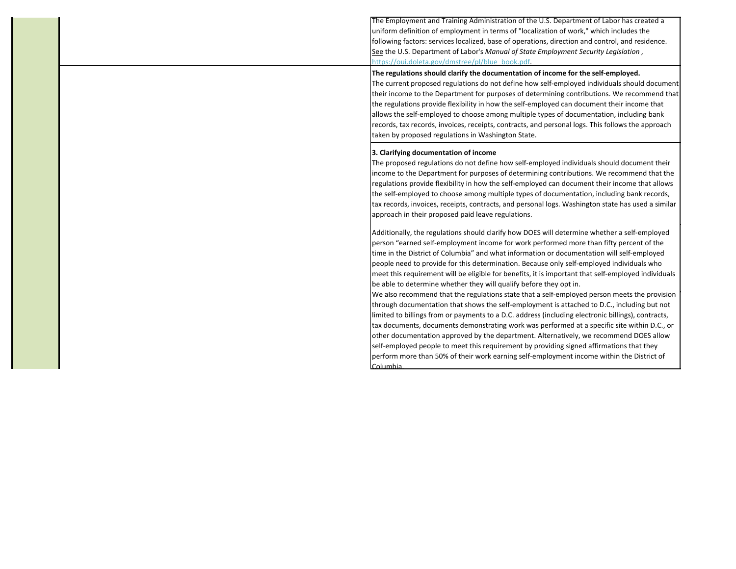The Employment and Training Administration of the U.S. Department of Labor has created a uniform definition of employment in terms of "localization of work," which includes the following factors: services localized, base of operations, direction and control, and residence. See the U.S. Department of Labor's *Manual of State Employment Security Legislation* , https://oui.doleta.gov/dmstree/pl/blue book.pdf.

## **The regulations should clarify the documentation of income for the self-employed.**

The current proposed regulations do not define how self-employed individuals should document their income to the Department for purposes of determining contributions. We recommend that the regulations provide flexibility in how the self-employed can document their income that allows the self-employed to choose among multiple types of documentation, including bank records, tax records, invoices, receipts, contracts, and personal logs. This follows the approach taken by proposed regulations in Washington State.

# **3. Clarifying documentation of income**

The proposed regulations do not define how self-employed individuals should document their income to the Department for purposes of determining contributions. We recommend that the regulations provide flexibility in how the self-employed can document their income that allows the self-employed to choose among multiple types of documentation, including bank records, tax records, invoices, receipts, contracts, and personal logs. Washington state has used a similar approach in their proposed paid leave regulations.

Additionally, the regulations should clarify how DOES will determine whether a self-employed person "earned self-employment income for work performed more than fifty percent of the time in the District of Columbia" and what information or documentation will self-employed people need to provide for this determination. Because only self-employed individuals who meet this requirement will be eligible for benefits, it is important that self-employed individuals be able to determine whether they will qualify before they opt in.

We also recommend that the regulations state that a self-employed person meets the provision through documentation that shows the self-employment is attached to D.C., including but not limited to billings from or payments to a D.C. address (including electronic billings), contracts, tax documents, documents demonstrating work was performed at a specific site within D.C., or other documentation approved by the department. Alternatively, we recommend DOES allow self-employed people to meet this requirement by providing signed affirmations that they perform more than 50% of their work earning self-employment income within the District of Columbia.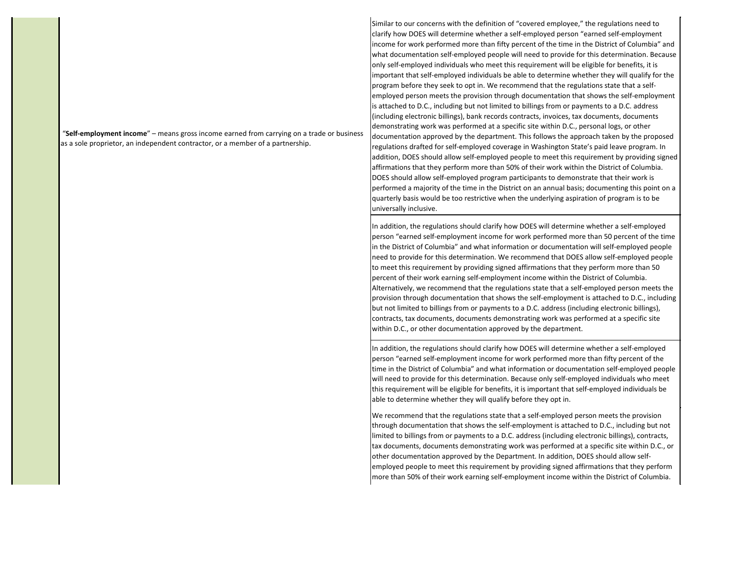"**Self-employment income**" – means gross income earned from carrying on a trade or business as a sole proprietor, an independent contractor, or a member of a partnership.

Similar to our concerns with the definition of "covered employee," the regulations need to clarify how DOES will determine whether a self-employed person "earned self-employment income for work performed more than fifty percent of the time in the District of Columbia" and what documentation self-employed people will need to provide for this determination. Because only self-employed individuals who meet this requirement will be eligible for benefits, it is important that self-employed individuals be able to determine whether they will qualify for the program before they seek to opt in. We recommend that the regulations state that a selfemployed person meets the provision through documentation that shows the self-employment is attached to D.C., including but not limited to billings from or payments to a D.C. address (including electronic billings), bank records contracts, invoices, tax documents, documents demonstrating work was performed at a specific site within D.C., personal logs, or other documentation approved by the department. This follows the approach taken by the proposed regulations drafted for self-employed coverage in Washington State's paid leave program. In addition, DOES should allow self-employed people to meet this requirement by providing signed affirmations that they perform more than 50% of their work within the District of Columbia. DOES should allow self-employed program participants to demonstrate that their work is performed a majority of the time in the District on an annual basis; documenting this point on a quarterly basis would be too restrictive when the underlying aspiration of program is to be universally inclusive.

In addition, the regulations should clarify how DOES will determine whether a self-employed person "earned self-employment income for work performed more than 50 percent of the time in the District of Columbia" and what information or documentation will self-employed people need to provide for this determination. We recommend that DOES allow self-employed people to meet this requirement by providing signed affirmations that they perform more than 50 percent of their work earning self-employment income within the District of Columbia. Alternatively, we recommend that the regulations state that a self-employed person meets the provision through documentation that shows the self-employment is attached to D.C., including but not limited to billings from or payments to a D.C. address (including electronic billings), contracts, tax documents, documents demonstrating work was performed at a specific site within D.C., or other documentation approved by the department.

In addition, the regulations should clarify how DOES will determine whether a self-employed person "earned self-employment income for work performed more than fifty percent of the time in the District of Columbia" and what information or documentation self-employed people will need to provide for this determination. Because only self-employed individuals who meet this requirement will be eligible for benefits, it is important that self-employed individuals be able to determine whether they will qualify before they opt in.

We recommend that the regulations state that a self-employed person meets the provision through documentation that shows the self-employment is attached to D.C., including but not limited to billings from or payments to a D.C. address (including electronic billings), contracts, tax documents, documents demonstrating work was performed at a specific site within D.C., or other documentation approved by the Department. In addition, DOES should allow selfemployed people to meet this requirement by providing signed affirmations that they perform more than 50% of their work earning self-employment income within the District of Columbia.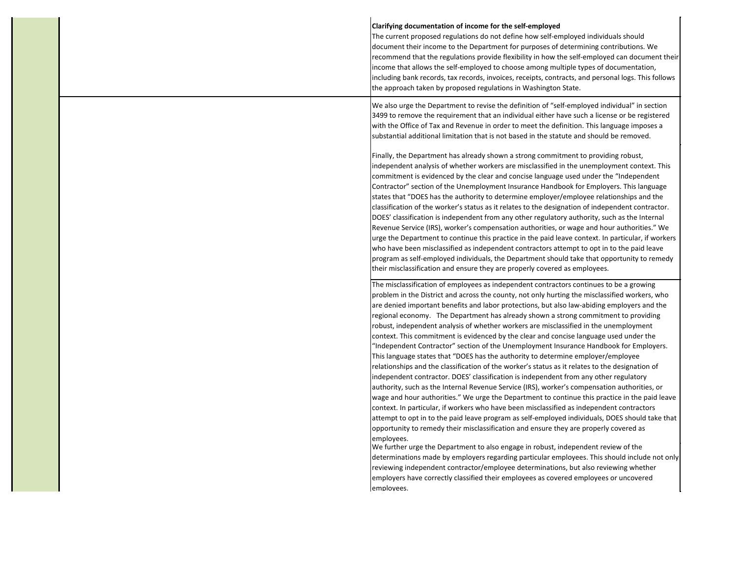| Clarifying documentation of income for the self-employed<br>The current proposed regulations do not define how self-employed individuals should<br>document their income to the Department for purposes of determining contributions. We<br>recommend that the regulations provide flexibility in how the self-employed can document their<br>income that allows the self-employed to choose among multiple types of documentation,<br>including bank records, tax records, invoices, receipts, contracts, and personal logs. This follows<br>the approach taken by proposed regulations in Washington State.                                                                                                                                                                                                                                                                                                                                                                                                                                                                                                                                                                                                                                                                                                                                                                                                                                                                                                                                                                                                                                                                                                                                                                                                                               |
|---------------------------------------------------------------------------------------------------------------------------------------------------------------------------------------------------------------------------------------------------------------------------------------------------------------------------------------------------------------------------------------------------------------------------------------------------------------------------------------------------------------------------------------------------------------------------------------------------------------------------------------------------------------------------------------------------------------------------------------------------------------------------------------------------------------------------------------------------------------------------------------------------------------------------------------------------------------------------------------------------------------------------------------------------------------------------------------------------------------------------------------------------------------------------------------------------------------------------------------------------------------------------------------------------------------------------------------------------------------------------------------------------------------------------------------------------------------------------------------------------------------------------------------------------------------------------------------------------------------------------------------------------------------------------------------------------------------------------------------------------------------------------------------------------------------------------------------------|
| We also urge the Department to revise the definition of "self-employed individual" in section<br>3499 to remove the requirement that an individual either have such a license or be registered<br>with the Office of Tax and Revenue in order to meet the definition. This language imposes a<br>substantial additional limitation that is not based in the statute and should be removed.                                                                                                                                                                                                                                                                                                                                                                                                                                                                                                                                                                                                                                                                                                                                                                                                                                                                                                                                                                                                                                                                                                                                                                                                                                                                                                                                                                                                                                                  |
| Finally, the Department has already shown a strong commitment to providing robust,<br>independent analysis of whether workers are misclassified in the unemployment context. This<br>commitment is evidenced by the clear and concise language used under the "Independent"<br>Contractor" section of the Unemployment Insurance Handbook for Employers. This language<br>states that "DOES has the authority to determine employer/employee relationships and the<br>classification of the worker's status as it relates to the designation of independent contractor.<br>DOES' classification is independent from any other regulatory authority, such as the Internal<br>Revenue Service (IRS), worker's compensation authorities, or wage and hour authorities." We<br>urge the Department to continue this practice in the paid leave context. In particular, if workers<br>who have been misclassified as independent contractors attempt to opt in to the paid leave<br>program as self-employed individuals, the Department should take that opportunity to remedy<br>their misclassification and ensure they are properly covered as employees.                                                                                                                                                                                                                                                                                                                                                                                                                                                                                                                                                                                                                                                                                    |
| The misclassification of employees as independent contractors continues to be a growing<br>problem in the District and across the county, not only hurting the misclassified workers, who<br>are denied important benefits and labor protections, but also law-abiding employers and the<br>regional economy. The Department has already shown a strong commitment to providing<br>robust, independent analysis of whether workers are misclassified in the unemployment<br>context. This commitment is evidenced by the clear and concise language used under the<br>"Independent Contractor" section of the Unemployment Insurance Handbook for Employers.<br>This language states that "DOES has the authority to determine employer/employee<br>relationships and the classification of the worker's status as it relates to the designation of<br>independent contractor. DOES' classification is independent from any other regulatory<br>authority, such as the Internal Revenue Service (IRS), worker's compensation authorities, or<br>wage and hour authorities." We urge the Department to continue this practice in the paid leave<br>context. In particular, if workers who have been misclassified as independent contractors<br>attempt to opt in to the paid leave program as self-employed individuals, DOES should take that<br>opportunity to remedy their misclassification and ensure they are properly covered as<br>employees.<br>We further urge the Department to also engage in robust, independent review of the<br>determinations made by employers regarding particular employees. This should include not only<br>reviewing independent contractor/employee determinations, but also reviewing whether<br>employers have correctly classified their employees as covered employees or uncovered<br>employees. |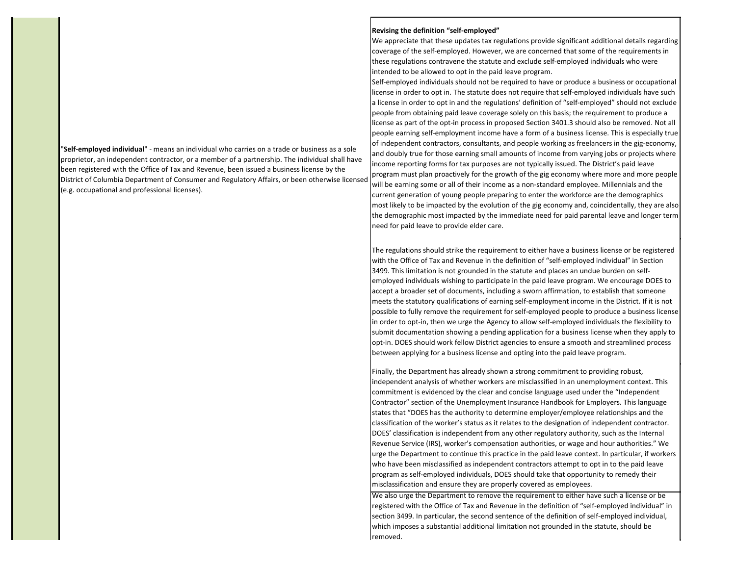"**Self-employed individual**" - means an individual who carries on a trade or business as a sole proprietor, an independent contractor, or a member of a partnership. The individual shall have been registered with the Office of Tax and Revenue, been issued a business license by the District of Columbia Department of Consumer and Regulatory Affairs, or been otherwise licensed (e.g. occupational and professional licenses).

### **Revising the definition "self-employed"**

We appreciate that these updates tax regulations provide significant additional details regarding coverage of the self-employed. However, we are concerned that some of the requirements in these regulations contravene the statute and exclude self-employed individuals who were intended to be allowed to opt in the paid leave program.

Self-employed individuals should not be required to have or produce a business or occupational license in order to opt in. The statute does not require that self-employed individuals have such a license in order to opt in and the regulations' definition of "self-employed" should not exclude people from obtaining paid leave coverage solely on this basis; the requirement to produce a license as part of the opt-in process in proposed Section 3401.3 should also be removed. Not all people earning self-employment income have a form of a business license. This is especially true of independent contractors, consultants, and people working as freelancers in the gig-economy, and doubly true for those earning small amounts of income from varying jobs or projects where income reporting forms for tax purposes are not typically issued. The District's paid leave program must plan proactively for the growth of the gig economy where more and more people will be earning some or all of their income as a non-standard employee. Millennials and the current generation of young people preparing to enter the workforce are the demographics most likely to be impacted by the evolution of the gig economy and, coincidentally, they are also the demographic most impacted by the immediate need for paid parental leave and longer term need for paid leave to provide elder care.

The regulations should strike the requirement to either have a business license or be registered with the Office of Tax and Revenue in the definition of "self-employed individual" in Section 3499. This limitation is not grounded in the statute and places an undue burden on selfemployed individuals wishing to participate in the paid leave program. We encourage DOES to accept a broader set of documents, including a sworn affirmation, to establish that someone meets the statutory qualifications of earning self-employment income in the District. If it is not possible to fully remove the requirement for self-employed people to produce a business license in order to opt-in, then we urge the Agency to allow self-employed individuals the flexibility to submit documentation showing a pending application for a business license when they apply to opt-in. DOES should work fellow District agencies to ensure a smooth and streamlined process between applying for a business license and opting into the paid leave program.

Finally, the Department has already shown a strong commitment to providing robust, independent analysis of whether workers are misclassified in an unemployment context. This commitment is evidenced by the clear and concise language used under the "Independent Contractor" section of the Unemployment Insurance Handbook for Employers. This language states that "DOES has the authority to determine employer/employee relationships and the classification of the worker's status as it relates to the designation of independent contractor. DOES' classification is independent from any other regulatory authority, such as the Internal Revenue Service (IRS), worker's compensation authorities, or wage and hour authorities." We urge the Department to continue this practice in the paid leave context. In particular, if workers who have been misclassified as independent contractors attempt to opt in to the paid leave program as self-employed individuals, DOES should take that opportunity to remedy their misclassification and ensure they are properly covered as employees.

We also urge the Department to remove the requirement to either have such a license or be registered with the Office of Tax and Revenue in the definition of "self-employed individual" in section 3499. In particular, the second sentence of the definition of self-employed individual, which imposes a substantial additional limitation not grounded in the statute, should be removed.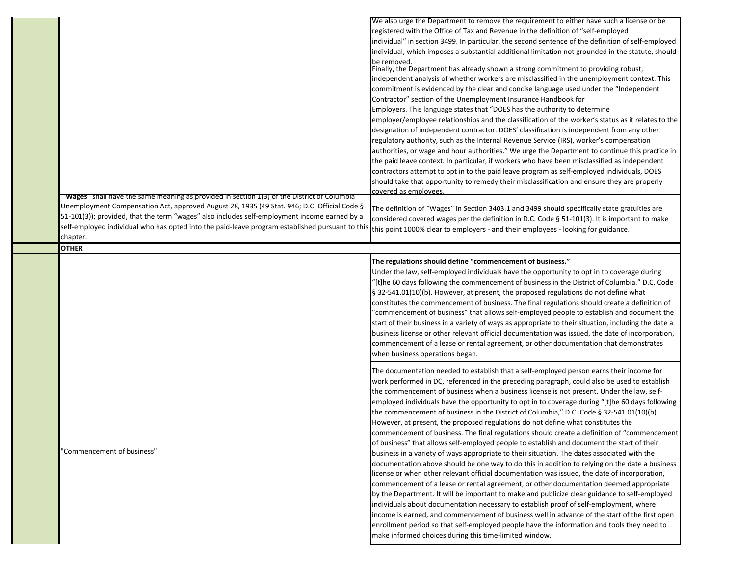|                                                                                                 | We also urge the Department to remove the requirement to either have such a license or be                                                                                                                                                                                                                                                                                                                                                                                                                                                                                                                                                                                                                                                                                                                                                                                                                                                                                                                                                                              |
|-------------------------------------------------------------------------------------------------|------------------------------------------------------------------------------------------------------------------------------------------------------------------------------------------------------------------------------------------------------------------------------------------------------------------------------------------------------------------------------------------------------------------------------------------------------------------------------------------------------------------------------------------------------------------------------------------------------------------------------------------------------------------------------------------------------------------------------------------------------------------------------------------------------------------------------------------------------------------------------------------------------------------------------------------------------------------------------------------------------------------------------------------------------------------------|
|                                                                                                 | registered with the Office of Tax and Revenue in the definition of "self-employed                                                                                                                                                                                                                                                                                                                                                                                                                                                                                                                                                                                                                                                                                                                                                                                                                                                                                                                                                                                      |
|                                                                                                 | individual" in section 3499. In particular, the second sentence of the definition of self-employed                                                                                                                                                                                                                                                                                                                                                                                                                                                                                                                                                                                                                                                                                                                                                                                                                                                                                                                                                                     |
|                                                                                                 | individual, which imposes a substantial additional limitation not grounded in the statute, should                                                                                                                                                                                                                                                                                                                                                                                                                                                                                                                                                                                                                                                                                                                                                                                                                                                                                                                                                                      |
|                                                                                                 | be removed.<br>Finally, the Department has already shown a strong commitment to providing robust,                                                                                                                                                                                                                                                                                                                                                                                                                                                                                                                                                                                                                                                                                                                                                                                                                                                                                                                                                                      |
|                                                                                                 | independent analysis of whether workers are misclassified in the unemployment context. This                                                                                                                                                                                                                                                                                                                                                                                                                                                                                                                                                                                                                                                                                                                                                                                                                                                                                                                                                                            |
|                                                                                                 | commitment is evidenced by the clear and concise language used under the "Independent"                                                                                                                                                                                                                                                                                                                                                                                                                                                                                                                                                                                                                                                                                                                                                                                                                                                                                                                                                                                 |
|                                                                                                 | Contractor" section of the Unemployment Insurance Handbook for                                                                                                                                                                                                                                                                                                                                                                                                                                                                                                                                                                                                                                                                                                                                                                                                                                                                                                                                                                                                         |
|                                                                                                 | Employers. This language states that "DOES has the authority to determine                                                                                                                                                                                                                                                                                                                                                                                                                                                                                                                                                                                                                                                                                                                                                                                                                                                                                                                                                                                              |
|                                                                                                 | employer/employee relationships and the classification of the worker's status as it relates to the                                                                                                                                                                                                                                                                                                                                                                                                                                                                                                                                                                                                                                                                                                                                                                                                                                                                                                                                                                     |
|                                                                                                 | designation of independent contractor. DOES' classification is independent from any other                                                                                                                                                                                                                                                                                                                                                                                                                                                                                                                                                                                                                                                                                                                                                                                                                                                                                                                                                                              |
|                                                                                                 | regulatory authority, such as the Internal Revenue Service (IRS), worker's compensation                                                                                                                                                                                                                                                                                                                                                                                                                                                                                                                                                                                                                                                                                                                                                                                                                                                                                                                                                                                |
|                                                                                                 | authorities, or wage and hour authorities." We urge the Department to continue this practice in                                                                                                                                                                                                                                                                                                                                                                                                                                                                                                                                                                                                                                                                                                                                                                                                                                                                                                                                                                        |
|                                                                                                 | the paid leave context. In particular, if workers who have been misclassified as independent                                                                                                                                                                                                                                                                                                                                                                                                                                                                                                                                                                                                                                                                                                                                                                                                                                                                                                                                                                           |
|                                                                                                 | contractors attempt to opt in to the paid leave program as self-employed individuals, DOES                                                                                                                                                                                                                                                                                                                                                                                                                                                                                                                                                                                                                                                                                                                                                                                                                                                                                                                                                                             |
|                                                                                                 |                                                                                                                                                                                                                                                                                                                                                                                                                                                                                                                                                                                                                                                                                                                                                                                                                                                                                                                                                                                                                                                                        |
|                                                                                                 | should take that opportunity to remedy their misclassification and ensure they are properly                                                                                                                                                                                                                                                                                                                                                                                                                                                                                                                                                                                                                                                                                                                                                                                                                                                                                                                                                                            |
| "Wages" shall have the same meaning as provided in section 1(3) of the District of Columbia     | covered as emplovees.                                                                                                                                                                                                                                                                                                                                                                                                                                                                                                                                                                                                                                                                                                                                                                                                                                                                                                                                                                                                                                                  |
| Unemployment Compensation Act, approved August 28, 1935 (49 Stat. 946; D.C. Official Code §     | The definition of "Wages" in Section 3403.1 and 3499 should specifically state gratuities are                                                                                                                                                                                                                                                                                                                                                                                                                                                                                                                                                                                                                                                                                                                                                                                                                                                                                                                                                                          |
| 51-101(3)); provided, that the term "wages" also includes self-employment income earned by a    | considered covered wages per the definition in D.C. Code § 51-101(3). It is important to make                                                                                                                                                                                                                                                                                                                                                                                                                                                                                                                                                                                                                                                                                                                                                                                                                                                                                                                                                                          |
| self-employed individual who has opted into the paid-leave program established pursuant to this | this point 1000% clear to employers - and their employees - looking for guidance.                                                                                                                                                                                                                                                                                                                                                                                                                                                                                                                                                                                                                                                                                                                                                                                                                                                                                                                                                                                      |
| chapter.                                                                                        |                                                                                                                                                                                                                                                                                                                                                                                                                                                                                                                                                                                                                                                                                                                                                                                                                                                                                                                                                                                                                                                                        |
| <b>OTHER</b>                                                                                    |                                                                                                                                                                                                                                                                                                                                                                                                                                                                                                                                                                                                                                                                                                                                                                                                                                                                                                                                                                                                                                                                        |
|                                                                                                 | The regulations should define "commencement of business."                                                                                                                                                                                                                                                                                                                                                                                                                                                                                                                                                                                                                                                                                                                                                                                                                                                                                                                                                                                                              |
|                                                                                                 | Under the law, self-employed individuals have the opportunity to opt in to coverage during<br>'[t]he 60 days following the commencement of business in the District of Columbia." D.C. Code<br>§ 32-541.01(10)(b). However, at present, the proposed regulations do not define what<br>constitutes the commencement of business. The final regulations should create a definition of<br>'commencement of business" that allows self-employed people to establish and document the<br>start of their business in a variety of ways as appropriate to their situation, including the date a<br>business license or other relevant official documentation was issued, the date of incorporation,<br>commencement of a lease or rental agreement, or other documentation that demonstrates<br>when business operations began.                                                                                                                                                                                                                                              |
| 'Commencement of business"                                                                      | The documentation needed to establish that a self-employed person earns their income for<br>work performed in DC, referenced in the preceding paragraph, could also be used to establish<br>the commencement of business when a business license is not present. Under the law, self-<br>employed individuals have the opportunity to opt in to coverage during "[t]he 60 days following<br>the commencement of business in the District of Columbia," D.C. Code § 32-541.01(10)(b).<br>However, at present, the proposed regulations do not define what constitutes the<br>commencement of business. The final regulations should create a definition of "commencement<br>of business" that allows self-employed people to establish and document the start of their<br>business in a variety of ways appropriate to their situation. The dates associated with the<br>documentation above should be one way to do this in addition to relying on the date a business<br>license or when other relevant official documentation was issued, the date of incorporation, |
|                                                                                                 | commencement of a lease or rental agreement, or other documentation deemed appropriate<br>by the Department. It will be important to make and publicize clear guidance to self-employed<br>individuals about documentation necessary to establish proof of self-employment, where<br>income is earned, and commencement of business well in advance of the start of the first open<br>enrollment period so that self-employed people have the information and tools they need to                                                                                                                                                                                                                                                                                                                                                                                                                                                                                                                                                                                       |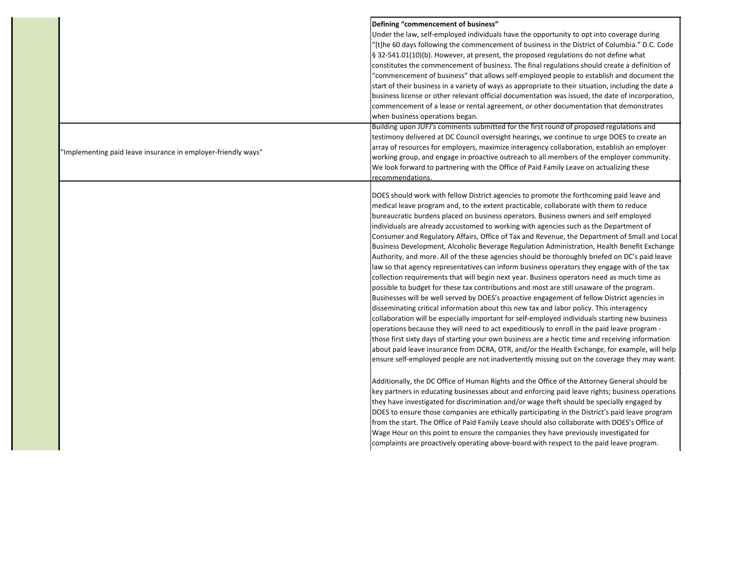|                                                               | Defining "commencement of business"<br>Under the law, self-employed individuals have the opportunity to opt into coverage during<br>'[t]he 60 days following the commencement of business in the District of Columbia." D.C. Code<br>§ 32-541.01(10)(b). However, at present, the proposed regulations do not define what<br>constitutes the commencement of business. The final regulations should create a definition of<br>"commencement of business" that allows self-employed people to establish and document the<br>start of their business in a variety of ways as appropriate to their situation, including the date a<br>business license or other relevant official documentation was issued, the date of incorporation,<br>commencement of a lease or rental agreement, or other documentation that demonstrates<br>when business operations began.                                                                                                                                                                                                                                                                                                                                                                                                                                                                                                                                                                                                                                                                                                                                                                                                                                                                                                                                                                                                                                                                                                                                                                                                                                                                                                                                                                                                                                                                                              |
|---------------------------------------------------------------|--------------------------------------------------------------------------------------------------------------------------------------------------------------------------------------------------------------------------------------------------------------------------------------------------------------------------------------------------------------------------------------------------------------------------------------------------------------------------------------------------------------------------------------------------------------------------------------------------------------------------------------------------------------------------------------------------------------------------------------------------------------------------------------------------------------------------------------------------------------------------------------------------------------------------------------------------------------------------------------------------------------------------------------------------------------------------------------------------------------------------------------------------------------------------------------------------------------------------------------------------------------------------------------------------------------------------------------------------------------------------------------------------------------------------------------------------------------------------------------------------------------------------------------------------------------------------------------------------------------------------------------------------------------------------------------------------------------------------------------------------------------------------------------------------------------------------------------------------------------------------------------------------------------------------------------------------------------------------------------------------------------------------------------------------------------------------------------------------------------------------------------------------------------------------------------------------------------------------------------------------------------------------------------------------------------------------------------------------------------|
| 'Implementing paid leave insurance in employer-friendly ways" | Building upon JUFJ's comments submitted for the first round of proposed regulations and<br>testimony delivered at DC Council oversight hearings, we continue to urge DOES to create an<br>array of resources for employers, maximize interagency collaboration, establish an employer<br>working group, and engage in proactive outreach to all members of the employer community.<br>We look forward to partnering with the Office of Paid Family Leave on actualizing these<br>recommendations.                                                                                                                                                                                                                                                                                                                                                                                                                                                                                                                                                                                                                                                                                                                                                                                                                                                                                                                                                                                                                                                                                                                                                                                                                                                                                                                                                                                                                                                                                                                                                                                                                                                                                                                                                                                                                                                            |
|                                                               | DOES should work with fellow District agencies to promote the forthcoming paid leave and<br>medical leave program and, to the extent practicable, collaborate with them to reduce<br>bureaucratic burdens placed on business operators. Business owners and self employed<br>individuals are already accustomed to working with agencies such as the Department of<br>Consumer and Regulatory Affairs, Office of Tax and Revenue, the Department of Small and Local<br>Business Development, Alcoholic Beverage Regulation Administration, Health Benefit Exchange<br>Authority, and more. All of the these agencies should be thoroughly briefed on DC's paid leave<br>law so that agency representatives can inform business operators they engage with of the tax<br>collection requirements that will begin next year. Business operators need as much time as<br>possible to budget for these tax contributions and most are still unaware of the program.<br>Businesses will be well served by DOES's proactive engagement of fellow District agencies in<br>disseminating critical information about this new tax and labor policy. This interagency<br>collaboration will be especially important for self-employed individuals starting new business<br>operations because they will need to act expeditiously to enroll in the paid leave program -<br>those first sixty days of starting your own business are a hectic time and receiving information<br>about paid leave insurance from DCRA, OTR, and/or the Health Exchange, for example, will help<br>ensure self-employed people are not inadvertently missing out on the coverage they may want.<br>Additionally, the DC Office of Human Rights and the Office of the Attorney General should be<br>key partners in educating businesses about and enforcing paid leave rights; business operations<br>they have investigated for discrimination and/or wage theft should be specially engaged by<br>DOES to ensure those companies are ethically participating in the District's paid leave program<br>from the start. The Office of Paid Family Leave should also collaborate with DOES's Office of<br>Wage Hour on this point to ensure the companies they have previously investigated for<br>complaints are proactively operating above-board with respect to the paid leave program. |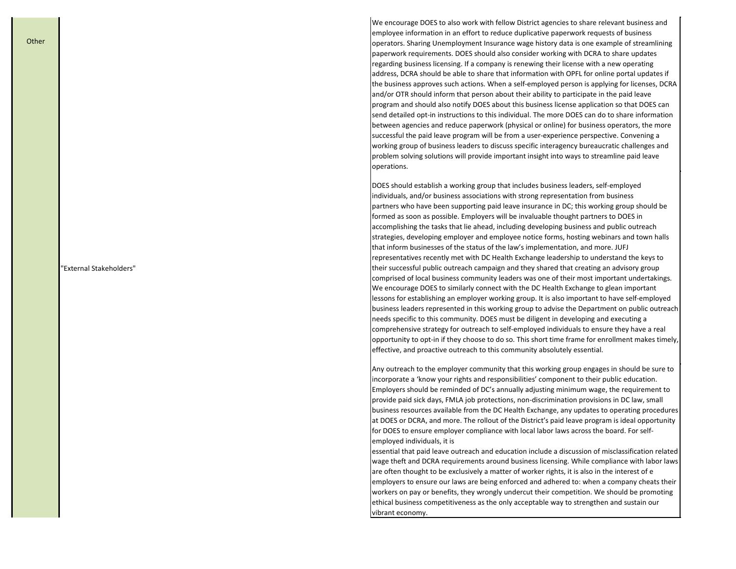"External Stakeholders"

We encourage DOES to also work with fellow District agencies to share relevant business and employee information in an effort to reduce duplicative paperwork requests of business operators. Sharing Unemployment Insurance wage history data is one example of streamlining paperwork requirements. DOES should also consider working with DCRA to share updates regarding business licensing. If a company is renewing their license with a new operating address, DCRA should be able to share that information with OPFL for online portal updates if the business approves such actions. When a self-employed person is applying for licenses, DCRA and/or OTR should inform that person about their ability to participate in the paid leave program and should also notify DOES about this business license application so that DOES can send detailed opt-in instructions to this individual. The more DOES can do to share information between agencies and reduce paperwork (physical or online) for business operators, the more successful the paid leave program will be from a user-experience perspective. Convening a working group of business leaders to discuss specific interagency bureaucratic challenges and problem solving solutions will provide important insight into ways to streamline paid leave operations.

DOES should establish a working group that includes business leaders, self-employed individuals, and/or business associations with strong representation from business partners who have been supporting paid leave insurance in DC; this working group should be formed as soon as possible. Employers will be invaluable thought partners to DOES in accomplishing the tasks that lie ahead, including developing business and public outreach strategies, developing employer and employee notice forms, hosting webinars and town halls that inform businesses of the status of the law's implementation, and more. JUFJ representatives recently met with DC Health Exchange leadership to understand the keys to their successful public outreach campaign and they shared that creating an advisory group comprised of local business community leaders was one of their most important undertakings. We encourage DOES to similarly connect with the DC Health Exchange to glean important lessons for establishing an employer working group. It is also important to have self-employed business leaders represented in this working group to advise the Department on public outreach needs specific to this community. DOES must be diligent in developing and executing a comprehensive strategy for outreach to self-employed individuals to ensure they have a real opportunity to opt-in if they choose to do so. This short time frame for enrollment makes timely, effective, and proactive outreach to this community absolutely essential.

Any outreach to the employer community that this working group engages in should be sure to incorporate a 'know your rights and responsibilities' component to their public education. Employers should be reminded of DC's annually adjusting minimum wage, the requirement to provide paid sick days, FMLA job protections, non-discrimination provisions in DC law, small business resources available from the DC Health Exchange, any updates to operating procedures at DOES or DCRA, and more. The rollout of the District's paid leave program is ideal opportunity for DOES to ensure employer compliance with local labor laws across the board. For selfemployed individuals, it is

essential that paid leave outreach and education include a discussion of misclassification related wage theft and DCRA requirements around business licensing. While compliance with labor laws are often thought to be exclusively a matter of worker rights, it is also in the interest of e employers to ensure our laws are being enforced and adhered to: when a company cheats their workers on pay or benefits, they wrongly undercut their competition. We should be promoting ethical business competitiveness as the only acceptable way to strengthen and sustain our vibrant economy.